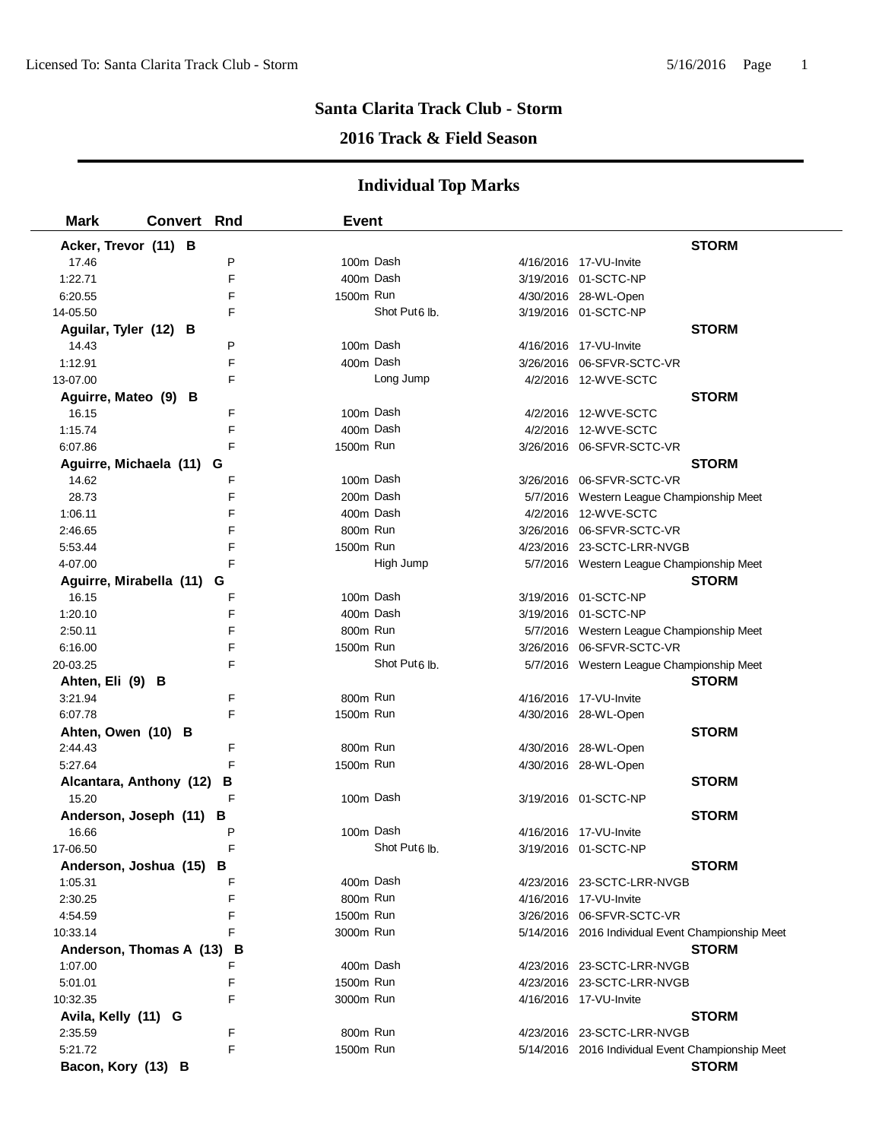### **2016 Track & Field Season**

| <b>Mark</b>               | <b>Convert Rnd</b> |   | <b>Event</b> |                           |                                                   |              |
|---------------------------|--------------------|---|--------------|---------------------------|---------------------------------------------------|--------------|
| Acker, Trevor (11) B      |                    |   |              |                           |                                                   | <b>STORM</b> |
| 17.46                     |                    | P | 100m Dash    |                           | 4/16/2016 17-VU-Invite                            |              |
| 1:22.71                   |                    | F | 400m Dash    |                           | 3/19/2016 01-SCTC-NP                              |              |
| 6:20.55                   |                    | F | 1500m Run    |                           | 4/30/2016 28-WL-Open                              |              |
| 14-05.50                  |                    | F |              | Shot Put <sub>6</sub> lb. | 3/19/2016 01-SCTC-NP                              |              |
| Aguilar, Tyler (12) B     |                    |   |              |                           |                                                   | <b>STORM</b> |
| 14.43                     |                    | P | 100m Dash    |                           | 4/16/2016 17-VU-Invite                            |              |
| 1:12.91                   |                    | F | 400m Dash    |                           | 3/26/2016 06-SFVR-SCTC-VR                         |              |
| 13-07.00                  |                    | F |              | Long Jump                 | 4/2/2016 12-WVE-SCTC                              |              |
| Aguirre, Mateo (9) B      |                    |   |              |                           |                                                   | <b>STORM</b> |
| 16.15                     |                    | F | 100m Dash    |                           | 4/2/2016 12-WVE-SCTC                              |              |
| 1:15.74                   |                    | F | 400m Dash    |                           | 4/2/2016 12-WVE-SCTC                              |              |
| 6:07.86                   |                    | F | 1500m Run    |                           | 3/26/2016 06-SFVR-SCTC-VR                         |              |
| Aguirre, Michaela (11)    |                    | G |              |                           |                                                   | <b>STORM</b> |
| 14.62                     |                    | F | 100m Dash    |                           | 3/26/2016 06-SFVR-SCTC-VR                         |              |
| 28.73                     |                    | F | 200m Dash    |                           | 5/7/2016 Western League Championship Meet         |              |
| 1:06.11                   |                    | F | 400m Dash    |                           | 4/2/2016 12-WVE-SCTC                              |              |
| 2:46.65                   |                    | F | 800m Run     |                           | 3/26/2016 06-SFVR-SCTC-VR                         |              |
| 5:53.44                   |                    | F | 1500m Run    |                           | 4/23/2016 23-SCTC-LRR-NVGB                        |              |
| 4-07.00                   |                    | F |              | High Jump                 | 5/7/2016 Western League Championship Meet         |              |
| Aguirre, Mirabella (11) G |                    |   |              |                           |                                                   | <b>STORM</b> |
| 16.15                     |                    | F | 100m Dash    |                           | 3/19/2016 01-SCTC-NP                              |              |
| 1:20.10                   |                    | F | 400m Dash    |                           | 3/19/2016 01-SCTC-NP                              |              |
| 2:50.11                   |                    | F | 800m Run     |                           | 5/7/2016 Western League Championship Meet         |              |
| 6:16.00                   |                    | F | 1500m Run    |                           | 3/26/2016 06-SFVR-SCTC-VR                         |              |
| 20-03.25                  |                    | F |              | Shot Put <sub>6</sub> lb. | 5/7/2016 Western League Championship Meet         |              |
| Ahten, Eli (9) B          |                    |   |              |                           |                                                   | <b>STORM</b> |
| 3:21.94                   |                    | F | 800m Run     |                           | 4/16/2016 17-VU-Invite                            |              |
| 6:07.78                   |                    | F | 1500m Run    |                           | 4/30/2016 28-WL-Open                              |              |
| Ahten, Owen (10) B        |                    |   |              |                           |                                                   | <b>STORM</b> |
| 2:44.43                   |                    | F | 800m Run     |                           | 4/30/2016 28-WL-Open                              |              |
| 5:27.64                   |                    | F | 1500m Run    |                           | 4/30/2016 28-WL-Open                              |              |
| Alcantara, Anthony (12)   |                    | В |              |                           |                                                   | <b>STORM</b> |
| 15.20                     |                    | F | 100m Dash    |                           | 3/19/2016 01-SCTC-NP                              |              |
| Anderson, Joseph (11)     |                    | в |              |                           |                                                   | <b>STORM</b> |
| 16.66                     |                    | P | 100m Dash    |                           | 4/16/2016 17-VU-Invite                            |              |
| 17-06.50                  |                    | F |              | Shot Put <sub>6</sub> lb. | 3/19/2016 01-SCTC-NP                              |              |
| Anderson, Joshua (15)     |                    | В |              |                           |                                                   | <b>STORM</b> |
| 1:05.31                   |                    | F | 400m Dash    |                           | 4/23/2016 23-SCTC-LRR-NVGB                        |              |
| 2:30.25                   |                    | F | 800m Run     |                           | 4/16/2016 17-VU-Invite                            |              |
| 4:54.59                   |                    | F | 1500m Run    |                           | 3/26/2016 06-SFVR-SCTC-VR                         |              |
| 10:33.14                  |                    | F | 3000m Run    |                           | 5/14/2016 2016 Individual Event Championship Meet |              |
| Anderson, Thomas A (13)   |                    | В |              |                           |                                                   | <b>STORM</b> |
| 1:07.00                   |                    | F | 400m Dash    |                           | 4/23/2016 23-SCTC-LRR-NVGB                        |              |
| 5:01.01                   |                    | F | 1500m Run    |                           | 4/23/2016 23-SCTC-LRR-NVGB                        |              |
| 10:32.35                  |                    | F | 3000m Run    |                           | 4/16/2016 17-VU-Invite                            |              |
| Avila, Kelly (11) G       |                    |   |              |                           |                                                   | <b>STORM</b> |
| 2:35.59                   |                    | F | 800m Run     |                           | 4/23/2016 23-SCTC-LRR-NVGB                        |              |
| 5:21.72                   |                    | F | 1500m Run    |                           | 5/14/2016 2016 Individual Event Championship Meet |              |
| Bacon, Kory (13) B        |                    |   |              |                           |                                                   | <b>STORM</b> |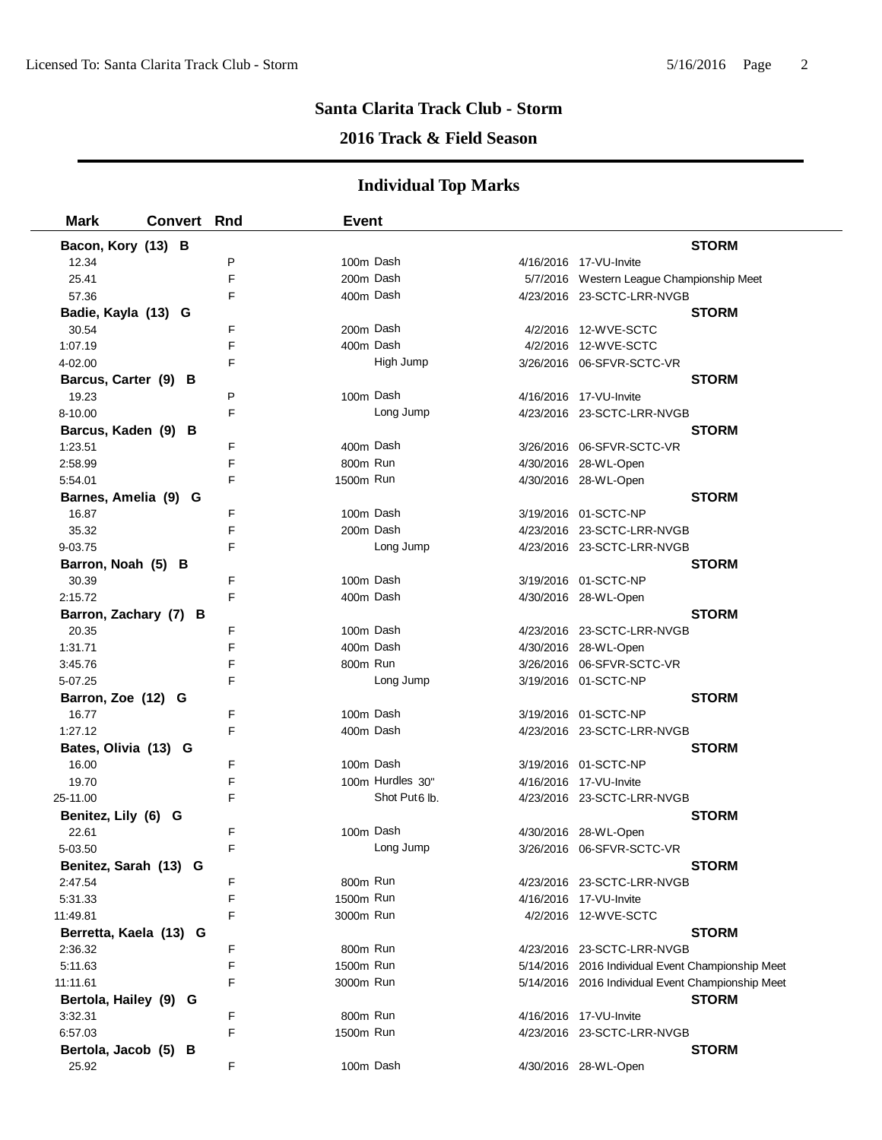### **2016 Track & Field Season**

| <b>Mark</b>            | <b>Convert Rnd</b> |   | <b>Event</b> |                           |                                                   |              |
|------------------------|--------------------|---|--------------|---------------------------|---------------------------------------------------|--------------|
| Bacon, Kory (13) B     |                    |   |              |                           |                                                   | <b>STORM</b> |
| 12.34                  |                    | P | 100m Dash    |                           | 4/16/2016 17-VU-Invite                            |              |
| 25.41                  |                    | F | 200m Dash    |                           | 5/7/2016 Western League Championship Meet         |              |
| 57.36                  |                    | F | 400m Dash    |                           | 4/23/2016 23-SCTC-LRR-NVGB                        |              |
| Badie, Kayla (13) G    |                    |   |              |                           |                                                   | <b>STORM</b> |
| 30.54                  |                    | F | 200m Dash    |                           | 4/2/2016 12-WVE-SCTC                              |              |
| 1:07.19                |                    | F | 400m Dash    |                           | 4/2/2016 12-WVE-SCTC                              |              |
| 4-02.00                |                    | F |              | High Jump                 | 3/26/2016 06-SFVR-SCTC-VR                         |              |
| Barcus, Carter (9) B   |                    |   |              |                           |                                                   | <b>STORM</b> |
| 19.23                  |                    | P | 100m Dash    |                           | 4/16/2016 17-VU-Invite                            |              |
| 8-10.00                |                    | F |              | Long Jump                 | 4/23/2016 23-SCTC-LRR-NVGB                        |              |
| Barcus, Kaden (9) B    |                    |   |              |                           |                                                   | <b>STORM</b> |
| 1:23.51                |                    | F | 400m Dash    |                           | 3/26/2016 06-SFVR-SCTC-VR                         |              |
| 2:58.99                |                    | F | 800m Run     |                           | 4/30/2016 28-WL-Open                              |              |
| 5:54.01                |                    | F | 1500m Run    |                           | 4/30/2016 28-WL-Open                              |              |
| Barnes, Amelia (9) G   |                    |   |              |                           |                                                   | <b>STORM</b> |
| 16.87                  |                    | F | 100m Dash    |                           | 3/19/2016 01-SCTC-NP                              |              |
| 35.32                  |                    | F | 200m Dash    |                           | 4/23/2016 23-SCTC-LRR-NVGB                        |              |
| 9-03.75                |                    | F |              | Long Jump                 | 4/23/2016 23-SCTC-LRR-NVGB                        |              |
| Barron, Noah (5) B     |                    |   |              |                           |                                                   | <b>STORM</b> |
| 30.39                  |                    | F | 100m Dash    |                           | 3/19/2016 01-SCTC-NP                              |              |
| 2:15.72                |                    | F | 400m Dash    |                           | 4/30/2016 28-WL-Open                              |              |
| Barron, Zachary (7) B  |                    |   |              |                           |                                                   | <b>STORM</b> |
| 20.35                  |                    | F | 100m Dash    |                           | 4/23/2016 23-SCTC-LRR-NVGB                        |              |
| 1:31.71                |                    | F | 400m Dash    |                           | 4/30/2016 28-WL-Open                              |              |
| 3:45.76                |                    | F | 800m Run     |                           | 3/26/2016 06-SFVR-SCTC-VR                         |              |
| 5-07.25                |                    | F |              | Long Jump                 | 3/19/2016 01-SCTC-NP                              |              |
| Barron, Zoe (12) G     |                    |   |              |                           |                                                   | <b>STORM</b> |
| 16.77                  |                    | F | 100m Dash    |                           | 3/19/2016 01-SCTC-NP                              |              |
| 1:27.12                |                    | F | 400m Dash    |                           | 4/23/2016 23-SCTC-LRR-NVGB                        |              |
| Bates, Olivia (13) G   |                    |   |              |                           |                                                   | <b>STORM</b> |
| 16.00                  |                    | F | 100m Dash    |                           | 3/19/2016 01-SCTC-NP                              |              |
| 19.70                  |                    | F |              | 100m Hurdles 30"          | 4/16/2016 17-VU-Invite                            |              |
| 25-11.00               |                    | F |              | Shot Put <sub>6</sub> lb. | 4/23/2016 23-SCTC-LRR-NVGB                        |              |
| Benitez, Lily (6) G    |                    |   |              |                           |                                                   | <b>STORM</b> |
| 22.61                  |                    | F | 100m Dash    |                           | 4/30/2016 28-WL-Open                              |              |
| 5-03.50                |                    | F |              | Long Jump                 | 3/26/2016 06-SFVR-SCTC-VR                         |              |
| Benitez, Sarah (13) G  |                    |   |              |                           |                                                   | <b>STORM</b> |
| 2:47.54                |                    | F | 800m Run     |                           | 4/23/2016 23-SCTC-LRR-NVGB                        |              |
| 5:31.33                |                    | F | 1500m Run    |                           | 4/16/2016 17-VU-Invite                            |              |
| 11:49.81               |                    | F | 3000m Run    |                           | 4/2/2016 12-WVE-SCTC                              |              |
| Berretta, Kaela (13) G |                    |   |              |                           |                                                   | <b>STORM</b> |
| 2:36.32                |                    | F | 800m Run     |                           | 4/23/2016 23-SCTC-LRR-NVGB                        |              |
| 5:11.63                |                    | F | 1500m Run    |                           | 5/14/2016 2016 Individual Event Championship Meet |              |
| 11:11.61               |                    | F | 3000m Run    |                           | 5/14/2016 2016 Individual Event Championship Meet |              |
| Bertola, Hailey (9) G  |                    |   |              |                           |                                                   | <b>STORM</b> |
| 3:32.31                |                    | F | 800m Run     |                           | 4/16/2016 17-VU-Invite                            |              |
| 6:57.03                |                    | F | 1500m Run    |                           | 4/23/2016 23-SCTC-LRR-NVGB                        |              |
| Bertola, Jacob (5) B   |                    |   |              |                           |                                                   | <b>STORM</b> |
| 25.92                  |                    | F | 100m Dash    |                           | 4/30/2016 28-WL-Open                              |              |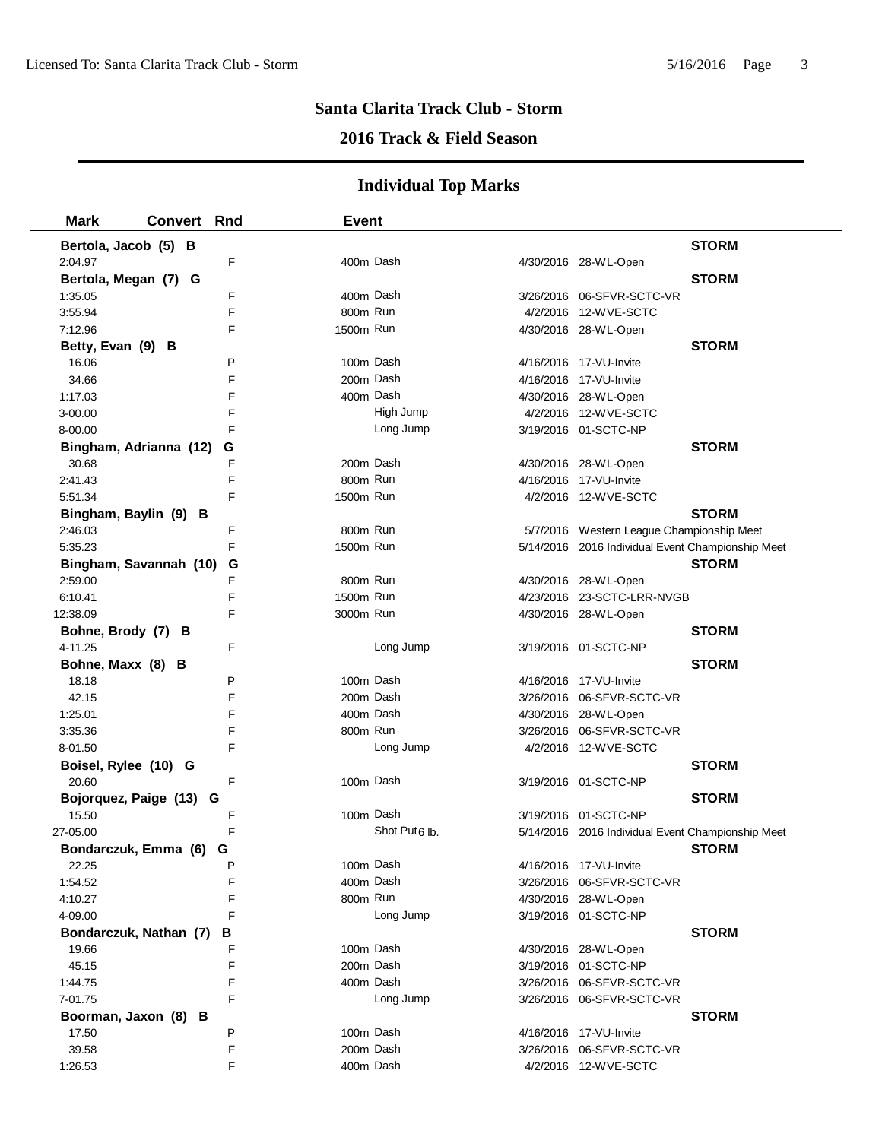## **2016 Track & Field Season**

| <b>Mark</b>             | <b>Convert Rnd</b> |   | <b>Event</b> |                           |                                                   |              |
|-------------------------|--------------------|---|--------------|---------------------------|---------------------------------------------------|--------------|
| Bertola, Jacob (5) B    |                    |   |              |                           |                                                   | <b>STORM</b> |
| 2:04.97                 |                    | F | 400m Dash    |                           | 4/30/2016 28-WL-Open                              |              |
| Bertola, Megan (7) G    |                    |   |              |                           |                                                   | <b>STORM</b> |
| 1:35.05                 |                    | F | 400m Dash    |                           |                                                   |              |
| 3:55.94                 |                    | F | 800m Run     |                           | 4/2/2016 12-WVE-SCTC                              |              |
| 7:12.96                 |                    | F | 1500m Run    |                           | 4/30/2016 28-WL-Open                              |              |
| Betty, Evan (9) B       |                    |   |              |                           |                                                   | <b>STORM</b> |
| 16.06                   |                    | P | 100m Dash    |                           | 4/16/2016 17-VU-Invite                            |              |
| 34.66                   |                    | F | 200m Dash    |                           | 4/16/2016 17-VU-Invite                            |              |
| 1:17.03                 |                    | F | 400m Dash    |                           | 4/30/2016 28-WL-Open                              |              |
| 3-00.00                 |                    | F |              | High Jump                 | 4/2/2016 12-WVE-SCTC                              |              |
| 8-00.00                 |                    | F |              | Long Jump                 | 3/19/2016 01-SCTC-NP                              |              |
| Bingham, Adrianna (12)  |                    | G |              |                           |                                                   | <b>STORM</b> |
| 30.68                   |                    | F | 200m Dash    |                           | 4/30/2016 28-WL-Open                              |              |
| 2:41.43                 |                    | F | 800m Run     |                           | 4/16/2016 17-VU-Invite                            |              |
| 5:51.34                 |                    | F | 1500m Run    |                           | 4/2/2016 12-WVE-SCTC                              |              |
| Bingham, Baylin (9) B   |                    |   |              |                           |                                                   | <b>STORM</b> |
| 2:46.03                 |                    | F | 800m Run     |                           | 5/7/2016 Western League Championship Meet         |              |
| 5:35.23                 |                    | F | 1500m Run    |                           | 5/14/2016 2016 Individual Event Championship Meet |              |
| Bingham, Savannah (10)  |                    | G |              |                           |                                                   | <b>STORM</b> |
| 2:59.00                 |                    | F | 800m Run     |                           | 4/30/2016 28-WL-Open                              |              |
| 6:10.41                 |                    | F | 1500m Run    |                           | 4/23/2016 23-SCTC-LRR-NVGB                        |              |
| 12:38.09                |                    | F | 3000m Run    |                           | 4/30/2016 28-WL-Open                              |              |
| Bohne, Brody (7) B      |                    |   |              |                           |                                                   | <b>STORM</b> |
| 4-11.25                 |                    | F |              | Long Jump                 | 3/19/2016 01-SCTC-NP                              |              |
| Bohne, Maxx (8) B       |                    |   |              |                           |                                                   | <b>STORM</b> |
| 18.18                   |                    | P | 100m Dash    |                           | 4/16/2016 17-VU-Invite                            |              |
| 42.15                   |                    | F | 200m Dash    |                           | 3/26/2016 06-SFVR-SCTC-VR                         |              |
| 1:25.01                 |                    | F | 400m Dash    |                           | 4/30/2016 28-WL-Open                              |              |
| 3:35.36                 |                    | F | 800m Run     |                           | 3/26/2016 06-SFVR-SCTC-VR                         |              |
| 8-01.50                 |                    | F |              | Long Jump                 | 4/2/2016 12-WVE-SCTC                              |              |
| Boisel, Rylee (10) G    |                    |   |              |                           |                                                   | <b>STORM</b> |
| 20.60                   |                    | F | 100m Dash    |                           | 3/19/2016 01-SCTC-NP                              |              |
| Bojorquez, Paige (13) G |                    |   |              |                           |                                                   | <b>STORM</b> |
| 15.50                   |                    | F | 100m Dash    |                           | 3/19/2016 01-SCTC-NP                              |              |
| 27-05.00                |                    | F |              | Shot Put <sub>6</sub> lb. | 5/14/2016 2016 Individual Event Championship Meet |              |
| Bondarczuk, Emma (6) G  |                    |   |              |                           |                                                   | <b>STORM</b> |
| 22.25                   |                    | Р | 100m Dash    |                           | 4/16/2016 17-VU-Invite                            |              |
| 1:54.52                 |                    | F | 400m Dash    |                           | 3/26/2016 06-SFVR-SCTC-VR                         |              |
| 4:10.27                 |                    | F | 800m Run     |                           | 4/30/2016 28-WL-Open                              |              |
| 4-09.00                 |                    | F |              | Long Jump                 | 3/19/2016 01-SCTC-NP                              |              |
| Bondarczuk, Nathan (7)  |                    | В |              |                           |                                                   | <b>STORM</b> |
| 19.66                   |                    | F | 100m Dash    |                           | 4/30/2016 28-WL-Open                              |              |
| 45.15                   |                    | F | 200m Dash    |                           | 3/19/2016 01-SCTC-NP                              |              |
| 1:44.75                 |                    | F | 400m Dash    |                           | 3/26/2016 06-SFVR-SCTC-VR                         |              |
| 7-01.75                 |                    | F |              | Long Jump                 | 3/26/2016 06-SFVR-SCTC-VR                         |              |
| Boorman, Jaxon (8) B    |                    |   |              |                           |                                                   | <b>STORM</b> |
| 17.50                   |                    | P | 100m Dash    |                           | 4/16/2016 17-VU-Invite                            |              |
| 39.58                   |                    | F | 200m Dash    |                           | 3/26/2016 06-SFVR-SCTC-VR                         |              |
| 1:26.53                 |                    | F | 400m Dash    |                           | 4/2/2016 12-WVE-SCTC                              |              |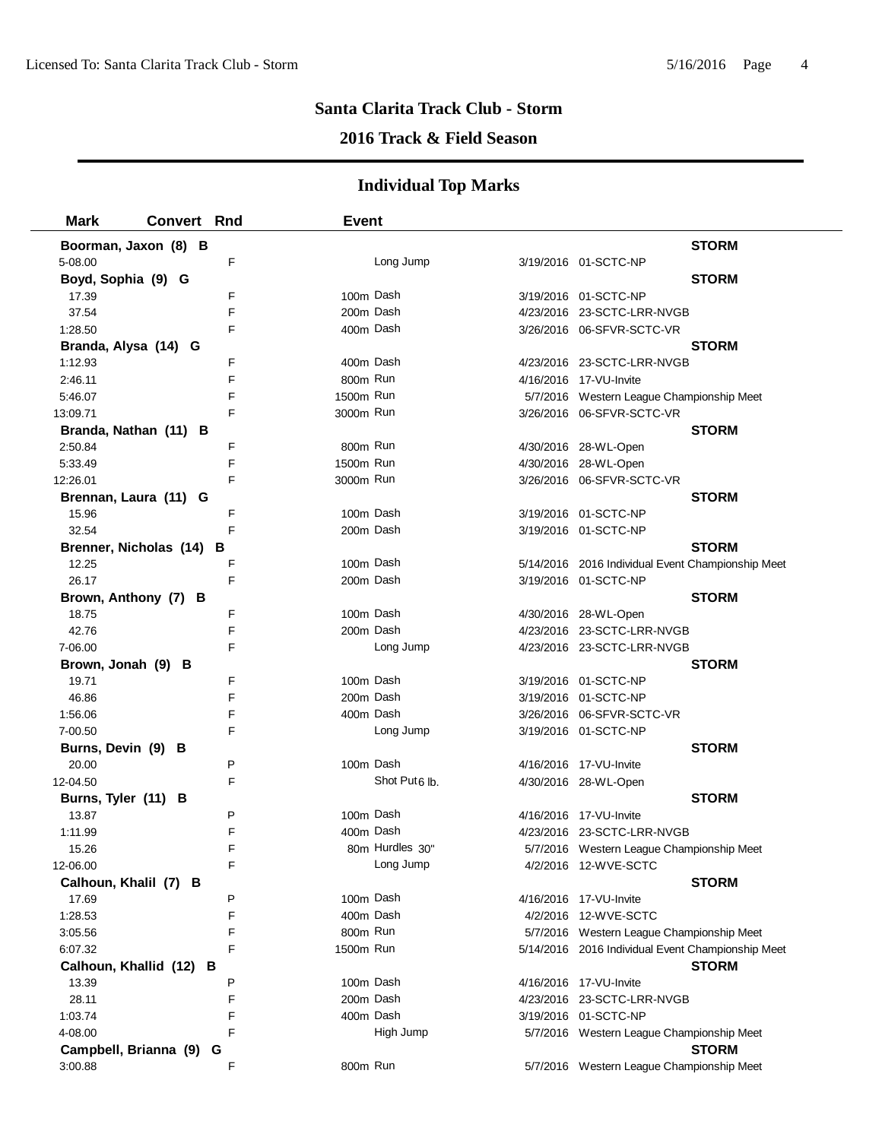## **2016 Track & Field Season**

| <b>Mark</b>           | <b>Convert Rnd</b>      |   | <b>Event</b> |                           |                                                   |              |
|-----------------------|-------------------------|---|--------------|---------------------------|---------------------------------------------------|--------------|
|                       | Boorman, Jaxon (8) B    |   |              |                           |                                                   | <b>STORM</b> |
| 5-08.00               |                         | F |              | Long Jump                 | 3/19/2016 01-SCTC-NP                              |              |
| Boyd, Sophia (9) G    |                         |   |              |                           |                                                   | <b>STORM</b> |
| 17.39                 |                         | F | 100m Dash    |                           | 3/19/2016 01-SCTC-NP                              |              |
| 37.54                 |                         | F | 200m Dash    |                           | 4/23/2016 23-SCTC-LRR-NVGB                        |              |
| 1:28.50               |                         | F | 400m Dash    |                           | 3/26/2016 06-SFVR-SCTC-VR                         |              |
| Branda, Alysa (14) G  |                         |   |              |                           |                                                   | <b>STORM</b> |
| 1:12.93               |                         | F | 400m Dash    |                           | 4/23/2016 23-SCTC-LRR-NVGB                        |              |
| 2:46.11               |                         | F | 800m Run     |                           | 4/16/2016 17-VU-Invite                            |              |
| 5:46.07               |                         | F | 1500m Run    |                           | 5/7/2016 Western League Championship Meet         |              |
| 13:09.71              |                         | F | 3000m Run    |                           | 3/26/2016    06-SFVR-SCTC-VR                      |              |
|                       | Branda, Nathan (11) B   |   |              |                           |                                                   | <b>STORM</b> |
| 2:50.84               |                         | F | 800m Run     |                           | 4/30/2016 28-WL-Open                              |              |
| 5:33.49               |                         | F | 1500m Run    |                           | 4/30/2016 28-WL-Open                              |              |
| 12:26.01              |                         | F | 3000m Run    |                           | 3/26/2016 06-SFVR-SCTC-VR                         |              |
|                       | Brennan, Laura (11) G   |   |              |                           |                                                   | <b>STORM</b> |
| 15.96                 |                         | F | 100m Dash    |                           | 3/19/2016 01-SCTC-NP                              |              |
| 32.54                 |                         | F | 200m Dash    |                           | 3/19/2016 01-SCTC-NP                              |              |
|                       | Brenner, Nicholas (14)  | в |              |                           |                                                   | <b>STORM</b> |
| 12.25                 |                         | F | 100m Dash    |                           | 5/14/2016 2016 Individual Event Championship Meet |              |
| 26.17                 |                         | F | 200m Dash    |                           | 3/19/2016 01-SCTC-NP                              |              |
|                       | Brown, Anthony (7) B    |   |              |                           |                                                   | <b>STORM</b> |
| 18.75                 |                         | F | 100m Dash    |                           | 4/30/2016 28-WL-Open                              |              |
| 42.76                 |                         | F | 200m Dash    |                           | 4/23/2016 23-SCTC-LRR-NVGB                        |              |
| 7-06.00               |                         | F |              | Long Jump                 | 4/23/2016 23-SCTC-LRR-NVGB                        |              |
| Brown, Jonah (9) B    |                         |   |              |                           |                                                   | <b>STORM</b> |
| 19.71                 |                         | F | 100m Dash    |                           | 3/19/2016 01-SCTC-NP                              |              |
| 46.86                 |                         | F | 200m Dash    |                           | 3/19/2016 01-SCTC-NP                              |              |
| 1:56.06               |                         | F | 400m Dash    |                           | 3/26/2016 06-SFVR-SCTC-VR                         |              |
| 7-00.50               |                         | F |              | Long Jump                 | 3/19/2016 01-SCTC-NP                              |              |
| Burns, Devin (9) B    |                         |   |              |                           |                                                   | <b>STORM</b> |
| 20.00                 |                         | P | 100m Dash    |                           | 4/16/2016 17-VU-Invite                            |              |
| 12-04.50              |                         | F |              | Shot Put <sub>6</sub> lb. | 4/30/2016 28-WL-Open                              |              |
| Burns, Tyler (11) B   |                         |   |              |                           |                                                   | <b>STORM</b> |
| 13.87                 |                         | P | 100m Dash    |                           | 4/16/2016 17-VU-Invite                            |              |
| 1:11.99               |                         | F | 400m Dash    |                           | 4/23/2016 23-SCTC-LRR-NVGB                        |              |
| 15.26                 |                         | F |              | 80m Hurdles 30"           | 5/7/2016 Western League Championship Meet         |              |
| 12-06.00              |                         | F |              | Long Jump                 | 4/2/2016 12-WVE-SCTC                              |              |
| Calhoun, Khalil (7) B |                         |   |              |                           |                                                   | <b>STORM</b> |
| 17.69                 |                         | P | 100m Dash    |                           | 4/16/2016 17-VU-Invite                            |              |
| 1:28.53               |                         | F | 400m Dash    |                           | 4/2/2016 12-WVE-SCTC                              |              |
| 3:05.56               |                         | F | 800m Run     |                           | 5/7/2016 Western League Championship Meet         |              |
| 6:07.32               |                         | F | 1500m Run    |                           | 5/14/2016 2016 Individual Event Championship Meet |              |
|                       | Calhoun, Khallid (12) B |   |              |                           |                                                   | <b>STORM</b> |
| 13.39                 |                         | P | 100m Dash    |                           | 4/16/2016 17-VU-Invite                            |              |
| 28.11                 |                         | F | 200m Dash    |                           | 4/23/2016 23-SCTC-LRR-NVGB                        |              |
| 1:03.74               |                         | F | 400m Dash    |                           | 3/19/2016 01-SCTC-NP                              |              |
| 4-08.00               |                         | F |              | High Jump                 | 5/7/2016 Western League Championship Meet         |              |
| Campbell, Brianna (9) |                         | G |              |                           |                                                   | <b>STORM</b> |
| 3:00.88               |                         | F | 800m Run     |                           | 5/7/2016 Western League Championship Meet         |              |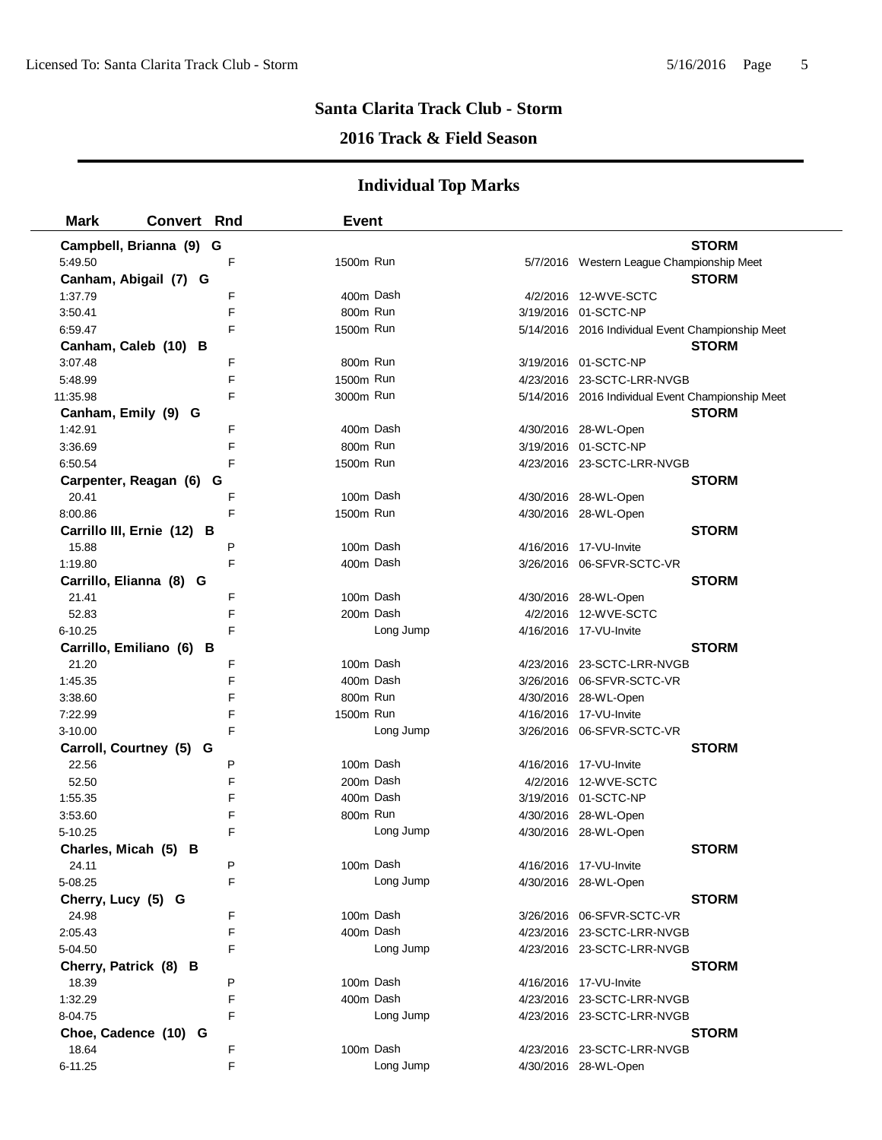## **2016 Track & Field Season**

| <b>Mark</b>        | <b>Convert Rnd</b>         |   | <b>Event</b> |           |                                                   |              |
|--------------------|----------------------------|---|--------------|-----------|---------------------------------------------------|--------------|
|                    | Campbell, Brianna (9) G    |   |              |           |                                                   | <b>STORM</b> |
| 5:49.50            |                            | F | 1500m Run    |           | 5/7/2016 Western League Championship Meet         |              |
|                    | Canham, Abigail (7) G      |   |              |           |                                                   | <b>STORM</b> |
| 1:37.79            |                            | F | 400m Dash    |           | 4/2/2016 12-WVE-SCTC                              |              |
| 3:50.41            |                            | F | 800m Run     |           | 3/19/2016 01-SCTC-NP                              |              |
| 6:59.47            |                            | F | 1500m Run    |           | 5/14/2016 2016 Individual Event Championship Meet |              |
|                    | Canham, Caleb (10) B       |   |              |           |                                                   | <b>STORM</b> |
| 3:07.48            |                            | F | 800m Run     |           | 3/19/2016 01-SCTC-NP                              |              |
| 5:48.99            |                            | F | 1500m Run    |           | 4/23/2016 23-SCTC-LRR-NVGB                        |              |
| 11:35.98           |                            | F | 3000m Run    |           | 5/14/2016 2016 Individual Event Championship Meet |              |
|                    | Canham, Emily (9) G        |   |              |           |                                                   | <b>STORM</b> |
| 1:42.91            |                            | F | 400m Dash    |           | 4/30/2016 28-WL-Open                              |              |
| 3:36.69            |                            | F | 800m Run     |           | 3/19/2016 01-SCTC-NP                              |              |
| 6:50.54            |                            | F | 1500m Run    |           | 4/23/2016 23-SCTC-LRR-NVGB                        |              |
|                    | Carpenter, Reagan (6)      | G |              |           |                                                   | <b>STORM</b> |
| 20.41              |                            | F | 100m Dash    |           | 4/30/2016 28-WL-Open                              |              |
| 8:00.86            |                            | F | 1500m Run    |           | 4/30/2016 28-WL-Open                              |              |
|                    | Carrillo III, Ernie (12) B |   |              |           |                                                   | <b>STORM</b> |
| 15.88              |                            | P | 100m Dash    |           | 4/16/2016 17-VU-Invite                            |              |
| 1:19.80            |                            | F | 400m Dash    |           | 3/26/2016    06-SFVR-SCTC-VR                      |              |
|                    | Carrillo, Elianna (8) G    |   |              |           |                                                   | <b>STORM</b> |
| 21.41              |                            | F | 100m Dash    |           | 4/30/2016 28-WL-Open                              |              |
| 52.83              |                            | F | 200m Dash    |           | 4/2/2016 12-WVE-SCTC                              |              |
| 6-10.25            |                            | F |              | Long Jump | 4/16/2016 17-VU-Invite                            |              |
|                    | Carrillo, Emiliano (6) B   |   |              |           |                                                   | <b>STORM</b> |
| 21.20              |                            | F | 100m Dash    |           | 4/23/2016 23-SCTC-LRR-NVGB                        |              |
| 1:45.35            |                            | F | 400m Dash    |           |                                                   |              |
| 3:38.60            |                            | F | 800m Run     |           | 4/30/2016 28-WL-Open                              |              |
| 7:22.99            |                            | F | 1500m Run    |           | 4/16/2016 17-VU-Invite                            |              |
| $3 - 10.00$        |                            | F |              | Long Jump | 3/26/2016 06-SFVR-SCTC-VR                         |              |
|                    | Carroll, Courtney (5) G    |   |              |           |                                                   | <b>STORM</b> |
| 22.56              |                            | P | 100m Dash    |           | 4/16/2016 17-VU-Invite                            |              |
| 52.50              |                            | F | 200m Dash    |           | 4/2/2016 12-WVE-SCTC                              |              |
| 1:55.35            |                            | F | 400m Dash    |           | 3/19/2016 01-SCTC-NP                              |              |
| 3:53.60            |                            | F | 800m Run     |           | 4/30/2016 28-WL-Open                              |              |
| 5-10.25            |                            | F |              | Long Jump | 4/30/2016 28-WL-Open                              |              |
|                    | Charles, Micah (5) B       |   |              |           |                                                   | <b>STORM</b> |
| 24.11              |                            | P | 100m Dash    |           | 4/16/2016 17-VU-Invite                            |              |
| 5-08.25            |                            | F |              | Long Jump | 4/30/2016 28-WL-Open                              |              |
| Cherry, Lucy (5) G |                            |   |              |           |                                                   | <b>STORM</b> |
| 24.98              |                            | F | 100m Dash    |           |                                                   |              |
| 2:05.43            |                            | F | 400m Dash    |           | 4/23/2016 23-SCTC-LRR-NVGB                        |              |
| 5-04.50            |                            | F |              | Long Jump | 4/23/2016 23-SCTC-LRR-NVGB                        |              |
|                    | Cherry, Patrick (8) B      |   |              |           |                                                   | <b>STORM</b> |
| 18.39              |                            | P | 100m Dash    |           | 4/16/2016 17-VU-Invite                            |              |
| 1:32.29            |                            | F | 400m Dash    |           | 4/23/2016 23-SCTC-LRR-NVGB                        |              |
| 8-04.75            |                            | F |              | Long Jump | 4/23/2016 23-SCTC-LRR-NVGB                        |              |
|                    | Choe, Cadence (10) G       |   |              |           |                                                   | <b>STORM</b> |
| 18.64              |                            | F | 100m Dash    |           | 4/23/2016 23-SCTC-LRR-NVGB                        |              |
| $6 - 11.25$        |                            | F |              | Long Jump | 4/30/2016 28-WL-Open                              |              |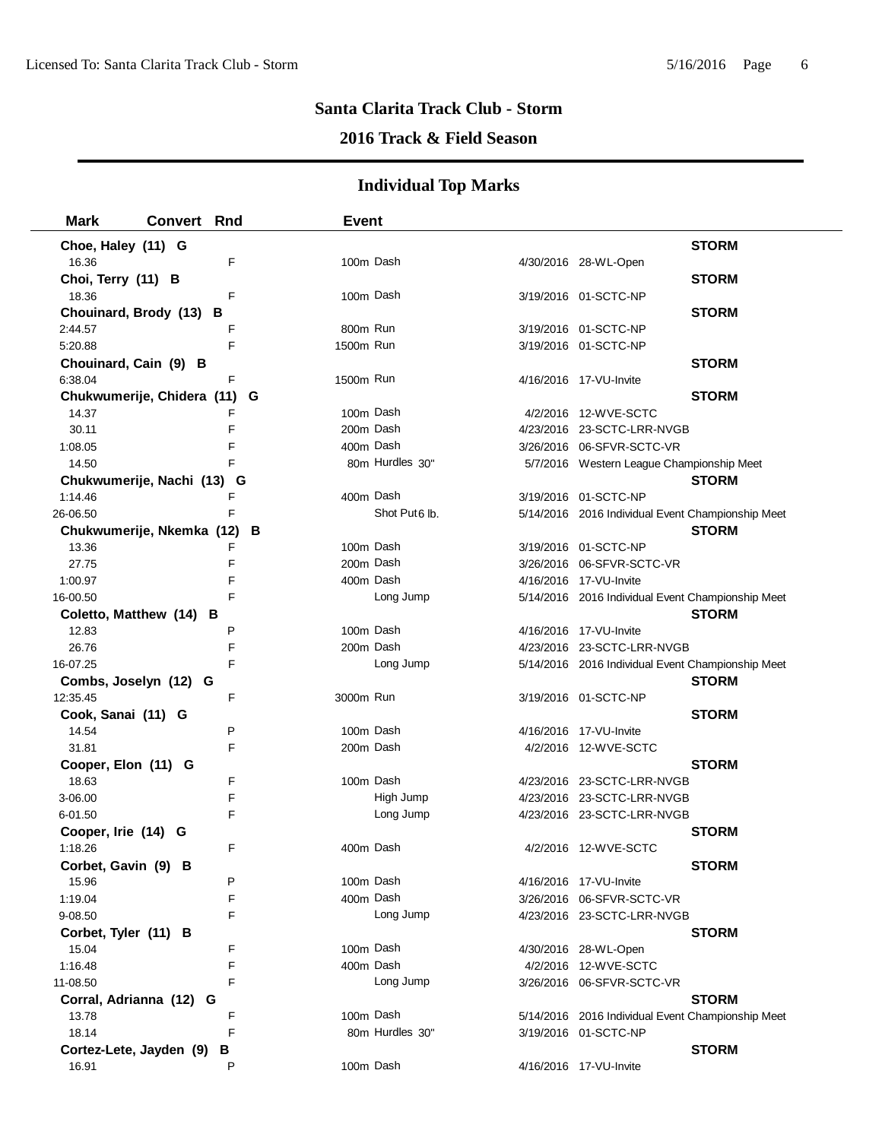## **2016 Track & Field Season**

| <b>Mark</b>           | <b>Convert Rnd</b>         |   | <b>Event</b> |                           |                                                   |              |
|-----------------------|----------------------------|---|--------------|---------------------------|---------------------------------------------------|--------------|
| Choe, Haley (11) G    |                            |   |              |                           |                                                   | <b>STORM</b> |
| 16.36                 |                            | F | 100m Dash    |                           | 4/30/2016 28-WL-Open                              |              |
| Choi, Terry (11) B    |                            |   |              |                           |                                                   | <b>STORM</b> |
| 18.36                 |                            | F | 100m Dash    |                           | 3/19/2016 01-SCTC-NP                              |              |
|                       | Chouinard, Brody (13) B    |   |              |                           |                                                   | <b>STORM</b> |
| 2:44.57               |                            | F | 800m Run     |                           | 3/19/2016 01-SCTC-NP                              |              |
| 5:20.88               |                            | F | 1500m Run    |                           | 3/19/2016 01-SCTC-NP                              |              |
| Chouinard, Cain (9) B |                            |   |              |                           |                                                   | <b>STORM</b> |
| 6:38.04               |                            | F | 1500m Run    |                           | 4/16/2016 17-VU-Invite                            |              |
|                       | Chukwumerije, Chidera (11) |   | G            |                           |                                                   | <b>STORM</b> |
| 14.37                 |                            | F | 100m Dash    |                           | 4/2/2016 12-WVE-SCTC                              |              |
| 30.11                 |                            | F | 200m Dash    |                           | 4/23/2016 23-SCTC-LRR-NVGB                        |              |
| 1:08.05               |                            | F | 400m Dash    |                           | 3/26/2016 06-SFVR-SCTC-VR                         |              |
| 14.50                 |                            | F |              | 80m Hurdles 30"           | 5/7/2016 Western League Championship Meet         |              |
|                       | Chukwumerije, Nachi (13) G |   |              |                           |                                                   | <b>STORM</b> |
| 1:14.46               |                            | F | 400m Dash    |                           | 3/19/2016 01-SCTC-NP                              |              |
| 26-06.50              |                            | F |              | Shot Put <sub>6</sub> lb. | 5/14/2016 2016 Individual Event Championship Meet |              |
|                       | Chukwumerije, Nkemka (12)  |   | В            |                           |                                                   | <b>STORM</b> |
| 13.36                 |                            | F | 100m Dash    |                           | 3/19/2016 01-SCTC-NP                              |              |
| 27.75                 |                            | F | 200m Dash    |                           | 3/26/2016 06-SFVR-SCTC-VR                         |              |
| 1:00.97               |                            | F | 400m Dash    |                           | 4/16/2016 17-VU-Invite                            |              |
| 16-00.50              |                            | F |              | Long Jump                 | 5/14/2016 2016 Individual Event Championship Meet |              |
|                       | Coletto, Matthew (14) B    |   |              |                           |                                                   | <b>STORM</b> |
| 12.83                 |                            | P | 100m Dash    |                           | 4/16/2016 17-VU-Invite                            |              |
| 26.76                 |                            | F | 200m Dash    |                           | 4/23/2016 23-SCTC-LRR-NVGB                        |              |
| 16-07.25              |                            | F |              | Long Jump                 | 5/14/2016 2016 Individual Event Championship Meet |              |
| Combs, Joselyn (12)   | G                          |   |              |                           |                                                   | <b>STORM</b> |
| 12:35.45              |                            | F | 3000m Run    |                           | 3/19/2016 01-SCTC-NP                              |              |
| Cook, Sanai (11) G    |                            |   |              |                           |                                                   | <b>STORM</b> |
| 14.54                 |                            | P | 100m Dash    |                           | 4/16/2016 17-VU-Invite                            |              |
| 31.81                 |                            | F | 200m Dash    |                           | 4/2/2016 12-WVE-SCTC                              |              |
| Cooper, Elon (11) G   |                            |   |              |                           |                                                   | <b>STORM</b> |
| 18.63                 |                            | F | 100m Dash    |                           | 4/23/2016 23-SCTC-LRR-NVGB                        |              |
| 3-06.00               |                            | F |              | High Jump                 | 4/23/2016 23-SCTC-LRR-NVGB                        |              |
| 6-01.50               |                            | F |              | Long Jump                 | 4/23/2016 23-SCTC-LRR-NVGB                        |              |
| Cooper, Irie (14) G   |                            |   |              |                           |                                                   | <b>STORM</b> |
| 1:18.26               |                            | F | 400m Dash    |                           | 4/2/2016 12-WVE-SCTC                              |              |
| Corbet, Gavin (9) B   |                            |   |              |                           |                                                   | <b>STORM</b> |
| 15.96                 |                            | P | 100m Dash    |                           | 4/16/2016 17-VU-Invite                            |              |
| 1:19.04               |                            | F | 400m Dash    |                           | 3/26/2016 06-SFVR-SCTC-VR                         |              |
| 9-08.50               |                            | F |              | Long Jump                 | 4/23/2016 23-SCTC-LRR-NVGB                        |              |
| Corbet, Tyler (11) B  |                            |   |              |                           |                                                   | <b>STORM</b> |
| 15.04                 |                            | F | 100m Dash    |                           | 4/30/2016 28-WL-Open                              |              |
| 1:16.48               |                            | F | 400m Dash    |                           | 4/2/2016 12-WVE-SCTC                              |              |
| 11-08.50              |                            | F |              | Long Jump                 | 3/26/2016 06-SFVR-SCTC-VR                         |              |
| Corral, Adrianna (12) |                            | G |              |                           |                                                   | <b>STORM</b> |
| 13.78                 |                            | F | 100m Dash    |                           | 5/14/2016 2016 Individual Event Championship Meet |              |
| 18.14                 |                            | F |              | 80m Hurdles 30"           | 3/19/2016 01-SCTC-NP                              |              |
|                       | Cortez-Lete, Jayden (9)    | В |              |                           |                                                   | <b>STORM</b> |
| 16.91                 |                            | P | 100m Dash    |                           | 4/16/2016 17-VU-Invite                            |              |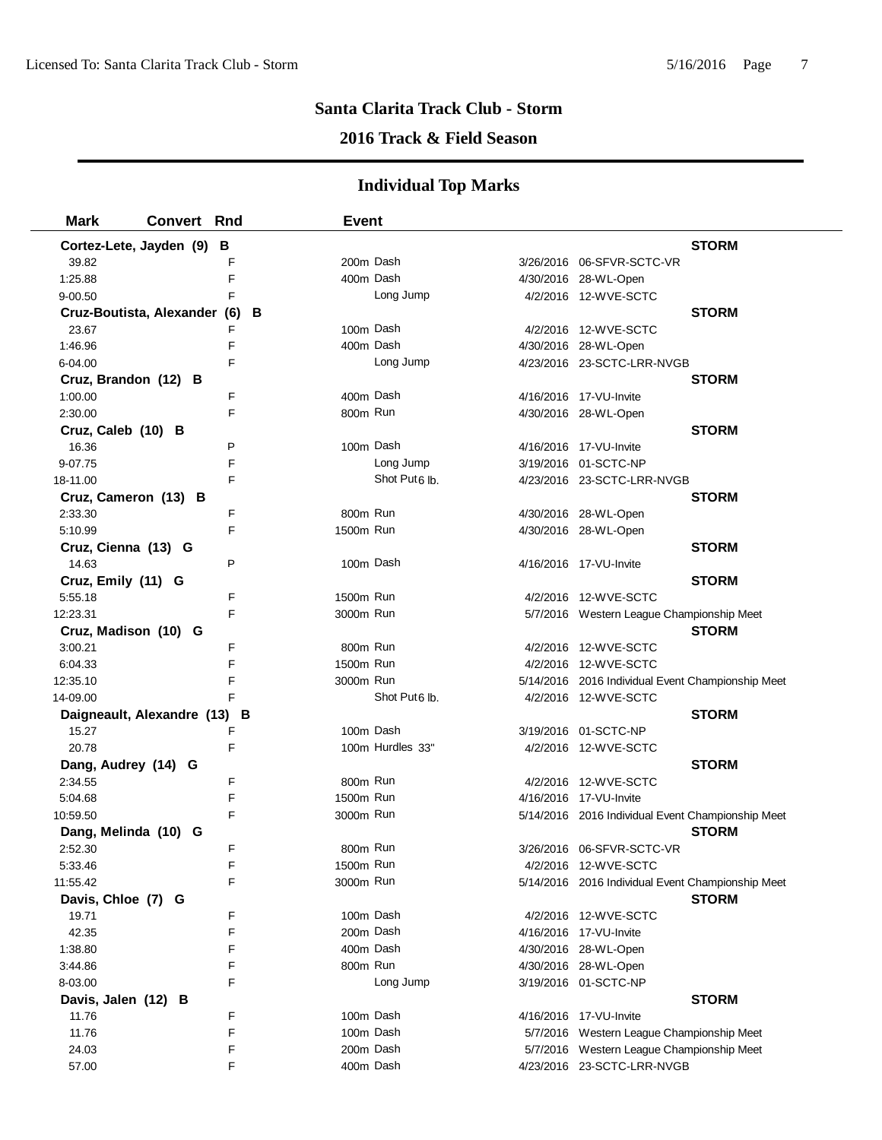## **2016 Track & Field Season**

| <b>Mark</b>                  | <b>Convert Rnd</b> |   | <b>Event</b> |                           |                                                   |              |
|------------------------------|--------------------|---|--------------|---------------------------|---------------------------------------------------|--------------|
| Cortez-Lete, Jayden (9)      |                    | в |              |                           |                                                   | <b>STORM</b> |
| 39.82                        |                    | F | 200m Dash    |                           | 3/26/2016 06-SFVR-SCTC-VR                         |              |
| 1:25.88                      |                    | F | 400m Dash    |                           | 4/30/2016 28-WL-Open                              |              |
| $9 - 00.50$                  |                    | F |              | Long Jump                 | 4/2/2016 12-WVE-SCTC                              |              |
| Cruz-Boutista, Alexander (6) |                    |   | в            |                           |                                                   | <b>STORM</b> |
| 23.67                        |                    | F | 100m Dash    |                           | 4/2/2016 12-WVE-SCTC                              |              |
| 1:46.96                      |                    | F | 400m Dash    |                           | 4/30/2016 28-WL-Open                              |              |
| 6-04.00                      |                    | F |              | Long Jump                 | 4/23/2016 23-SCTC-LRR-NVGB                        |              |
| Cruz, Brandon (12) B         |                    |   |              |                           |                                                   | <b>STORM</b> |
| 1:00.00                      |                    | F | 400m Dash    |                           | 4/16/2016 17-VU-Invite                            |              |
| 2:30.00                      |                    | F | 800m Run     |                           | 4/30/2016 28-WL-Open                              |              |
| Cruz, Caleb (10) B           |                    |   |              |                           |                                                   | <b>STORM</b> |
| 16.36                        |                    | P | 100m Dash    |                           | 4/16/2016 17-VU-Invite                            |              |
| 9-07.75                      |                    | F |              | Long Jump                 | 3/19/2016 01-SCTC-NP                              |              |
| 18-11.00                     |                    | F |              | Shot Put <sub>6</sub> lb. | 4/23/2016 23-SCTC-LRR-NVGB                        |              |
| Cruz, Cameron (13) B         |                    |   |              |                           |                                                   | <b>STORM</b> |
| 2:33.30                      |                    | F | 800m Run     |                           | 4/30/2016 28-WL-Open                              |              |
| 5:10.99                      |                    | F | 1500m Run    |                           | 4/30/2016 28-WL-Open                              |              |
| Cruz, Cienna (13) G          |                    |   |              |                           |                                                   | <b>STORM</b> |
| 14.63                        |                    | P | 100m Dash    |                           | 4/16/2016 17-VU-Invite                            |              |
| Cruz, Emily (11) G           |                    |   |              |                           |                                                   | <b>STORM</b> |
| 5:55.18                      |                    | F | 1500m Run    |                           | 4/2/2016 12-WVE-SCTC                              |              |
| 12:23.31                     |                    | F | 3000m Run    |                           | 5/7/2016 Western League Championship Meet         |              |
| Cruz, Madison (10) G         |                    |   |              |                           |                                                   | <b>STORM</b> |
| 3:00.21                      |                    | F | 800m Run     |                           | 4/2/2016 12-WVE-SCTC                              |              |
| 6:04.33                      |                    | F | 1500m Run    |                           | 4/2/2016 12-WVE-SCTC                              |              |
| 12:35.10                     |                    | F | 3000m Run    |                           | 5/14/2016 2016 Individual Event Championship Meet |              |
| 14-09.00                     |                    | F |              | Shot Put6 lb.             | 4/2/2016 12-WVE-SCTC                              |              |
| Daigneault, Alexandre (13) B |                    |   |              |                           |                                                   | <b>STORM</b> |
| 15.27                        |                    | F | 100m Dash    |                           | 3/19/2016 01-SCTC-NP                              |              |
| 20.78                        |                    | F |              | 100m Hurdles 33"          | 4/2/2016 12-WVE-SCTC                              |              |
| Dang, Audrey (14) G          |                    |   |              |                           |                                                   | <b>STORM</b> |
| 2:34.55                      |                    | F | 800m Run     |                           | 4/2/2016 12-WVE-SCTC                              |              |
| 5:04.68                      |                    | F | 1500m Run    |                           | 4/16/2016 17-VU-Invite                            |              |
| 10:59.50                     |                    | F | 3000m Run    |                           | 5/14/2016 2016 Individual Event Championship Meet |              |
| Dang, Melinda (10) G         |                    |   |              |                           |                                                   | <b>STORM</b> |
| 2:52.30                      |                    | F | 800m Run     |                           | 3/26/2016 06-SFVR-SCTC-VR                         |              |
| 5:33.46                      |                    | F | 1500m Run    |                           | 4/2/2016 12-WVE-SCTC                              |              |
| 11:55.42                     |                    | F | 3000m Run    |                           | 5/14/2016 2016 Individual Event Championship Meet |              |
| Davis, Chloe (7) G           |                    |   |              |                           |                                                   | <b>STORM</b> |
| 19.71                        |                    | F | 100m Dash    |                           | 4/2/2016 12-WVE-SCTC                              |              |
| 42.35                        |                    | F | 200m Dash    |                           | 4/16/2016 17-VU-Invite                            |              |
| 1:38.80                      |                    | F | 400m Dash    |                           | 4/30/2016 28-WL-Open                              |              |
| 3:44.86                      |                    | F | 800m Run     |                           | 4/30/2016 28-WL-Open                              |              |
| 8-03.00                      |                    | F |              | Long Jump                 | 3/19/2016 01-SCTC-NP                              |              |
| Davis, Jalen (12) B          |                    |   |              |                           |                                                   | <b>STORM</b> |
| 11.76                        |                    | F | 100m Dash    |                           | 4/16/2016 17-VU-Invite                            |              |
| 11.76                        |                    | F | 100m Dash    |                           | 5/7/2016 Western League Championship Meet         |              |
| 24.03                        |                    | F | 200m Dash    |                           | 5/7/2016 Western League Championship Meet         |              |
| 57.00                        |                    | F | 400m Dash    |                           | 4/23/2016 23-SCTC-LRR-NVGB                        |              |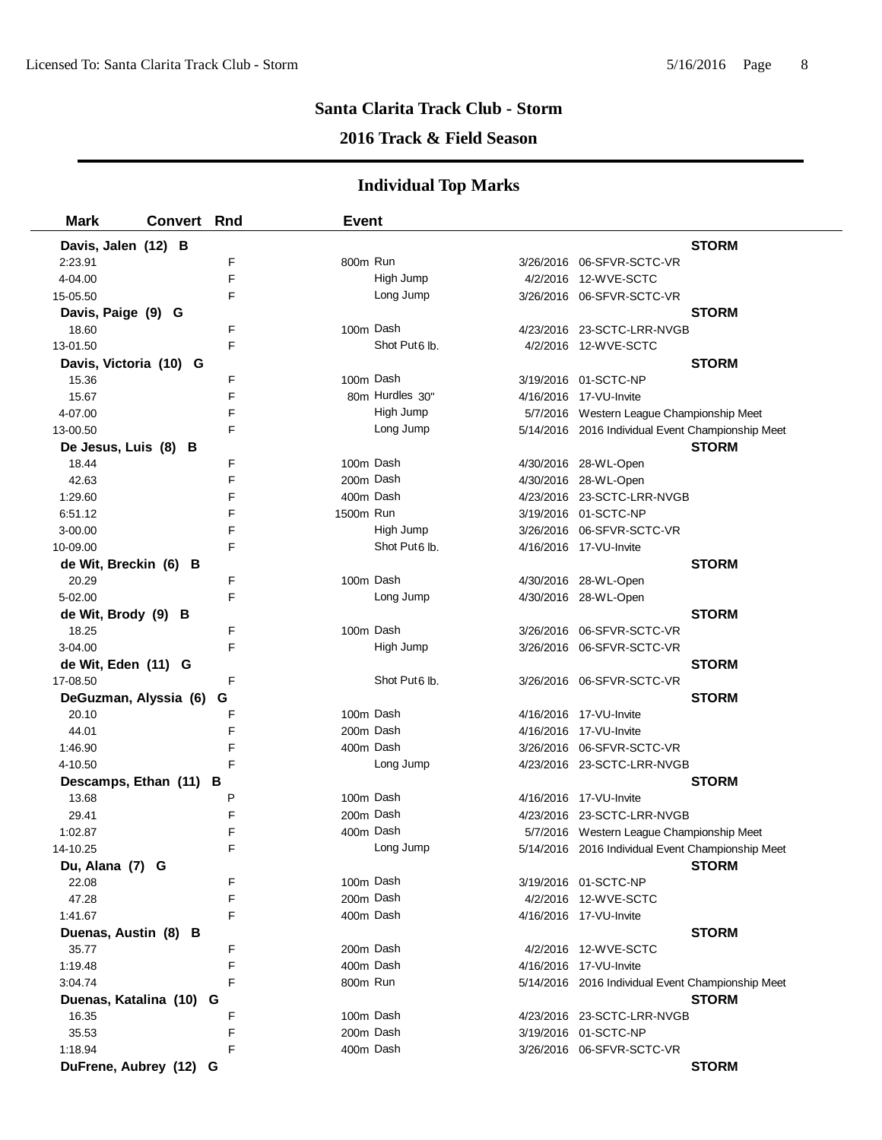## **2016 Track & Field Season**

| <b>Mark</b>             | <b>Convert Rnd</b> |   | <b>Event</b> |                           |                                                   |
|-------------------------|--------------------|---|--------------|---------------------------|---------------------------------------------------|
| Davis, Jalen (12) B     |                    |   |              |                           | <b>STORM</b>                                      |
| 2:23.91                 |                    | F | 800m Run     |                           |                                                   |
| 4-04.00                 |                    | F |              | High Jump                 | 4/2/2016 12-WVE-SCTC                              |
| 15-05.50                |                    | F |              | Long Jump                 | 3/26/2016 06-SFVR-SCTC-VR                         |
| Davis, Paige (9) G      |                    |   |              |                           | <b>STORM</b>                                      |
| 18.60                   |                    | F | 100m Dash    |                           | 4/23/2016 23-SCTC-LRR-NVGB                        |
| 13-01.50                |                    | F |              | Shot Put <sub>6</sub> lb. | 4/2/2016 12-WVE-SCTC                              |
| Davis, Victoria (10) G  |                    |   |              |                           | <b>STORM</b>                                      |
| 15.36                   |                    | F | 100m Dash    |                           | 3/19/2016 01-SCTC-NP                              |
| 15.67                   |                    | F |              | 80m Hurdles 30"           | 4/16/2016 17-VU-Invite                            |
| 4-07.00                 |                    | F |              | High Jump                 | 5/7/2016 Western League Championship Meet         |
| 13-00.50                |                    | F |              | Long Jump                 | 5/14/2016 2016 Individual Event Championship Meet |
| De Jesus, Luis (8) B    |                    |   |              |                           | <b>STORM</b>                                      |
| 18.44                   |                    | F | 100m Dash    |                           | 4/30/2016 28-WL-Open                              |
| 42.63                   |                    | F | 200m Dash    |                           | 4/30/2016 28-WL-Open                              |
| 1:29.60                 |                    | F |              | 400m Dash                 | 4/23/2016 23-SCTC-LRR-NVGB                        |
| 6:51.12                 |                    | F | 1500m Run    |                           | 3/19/2016 01-SCTC-NP                              |
| 3-00.00                 |                    | F |              | High Jump                 | 3/26/2016 06-SFVR-SCTC-VR                         |
| 10-09.00                |                    | F |              | Shot Put6 lb.             | 4/16/2016 17-VU-Invite                            |
| de Wit, Breckin (6) B   |                    |   |              |                           | <b>STORM</b>                                      |
| 20.29                   |                    | F | 100m Dash    |                           | 4/30/2016 28-WL-Open                              |
| 5-02.00                 |                    | F |              | Long Jump                 | 4/30/2016 28-WL-Open                              |
| de Wit, Brody (9) B     |                    |   |              |                           | <b>STORM</b>                                      |
| 18.25                   |                    | F | 100m Dash    |                           | 3/26/2016 06-SFVR-SCTC-VR                         |
| 3-04.00                 |                    | F |              | High Jump                 |                                                   |
| de Wit, Eden (11) G     |                    |   |              |                           | <b>STORM</b>                                      |
| 17-08.50                |                    | F |              | Shot Put6 lb.             |                                                   |
| DeGuzman, Alyssia (6)   |                    | G |              |                           | <b>STORM</b>                                      |
| 20.10                   |                    | F | 100m Dash    |                           | 4/16/2016 17-VU-Invite                            |
| 44.01                   |                    | F | 200m Dash    |                           | 4/16/2016 17-VU-Invite                            |
| 1:46.90                 |                    | F | 400m Dash    |                           |                                                   |
| 4-10.50                 |                    | F |              | Long Jump                 | 4/23/2016 23-SCTC-LRR-NVGB                        |
| Descamps, Ethan (11) B  |                    |   |              |                           | <b>STORM</b>                                      |
| 13.68                   |                    | P | 100m Dash    |                           | 4/16/2016 17-VU-Invite                            |
| 29.41                   |                    | F | 200m Dash    |                           | 4/23/2016 23-SCTC-LRR-NVGB                        |
| 1:02.87                 |                    | F |              | 400m Dash                 | 5/7/2016 Western League Championship Meet         |
| 14-10.25                |                    | F |              | Long Jump                 | 5/14/2016 2016 Individual Event Championship Meet |
| Du, Alana (7) G         |                    |   |              |                           | <b>STORM</b>                                      |
| 22.08                   |                    | F | 100m Dash    |                           | 3/19/2016  01-SCTC-NP                             |
| 47.28                   |                    | F | 200m Dash    |                           | 4/2/2016 12-WVE-SCTC                              |
| 1:41.67                 |                    | F |              | 400m Dash                 | 4/16/2016 17-VU-Invite                            |
| Duenas, Austin (8) B    |                    |   |              |                           | <b>STORM</b>                                      |
| 35.77                   |                    | F | 200m Dash    |                           | 4/2/2016 12-WVE-SCTC                              |
| 1:19.48                 |                    | F | 400m Dash    |                           | 4/16/2016 17-VU-Invite                            |
| 3:04.74                 |                    | F | 800m Run     |                           | 5/14/2016 2016 Individual Event Championship Meet |
| Duenas, Katalina (10) G |                    |   |              |                           | <b>STORM</b>                                      |
| 16.35                   |                    | F | 100m Dash    |                           | 4/23/2016 23-SCTC-LRR-NVGB                        |
| 35.53                   |                    | F | 200m Dash    |                           | 3/19/2016 01-SCTC-NP                              |
| 1:18.94                 |                    | F |              | 400m Dash                 | 3/26/2016 06-SFVR-SCTC-VR                         |
| DuFrene, Aubrey (12) G  |                    |   |              |                           | <b>STORM</b>                                      |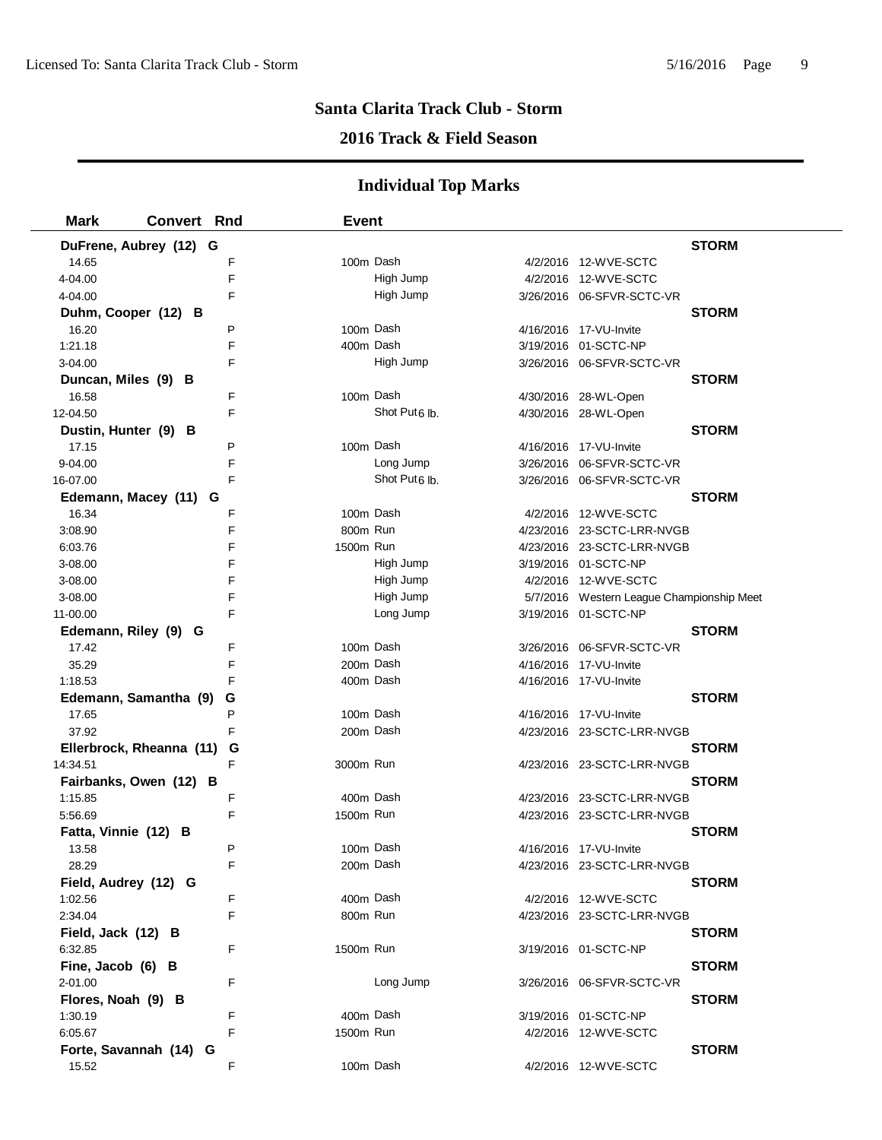## **2016 Track & Field Season**

| <b>Mark</b><br><b>Convert Rnd</b> |   | <b>Event</b> |                           |                                           |
|-----------------------------------|---|--------------|---------------------------|-------------------------------------------|
| DuFrene, Aubrey (12) G            |   |              |                           | <b>STORM</b>                              |
| 14.65                             | F |              | 100m Dash                 | 4/2/2016 12-WVE-SCTC                      |
| 4-04.00                           | F |              | High Jump                 | 4/2/2016 12-WVE-SCTC                      |
| 4-04.00                           | F |              | High Jump                 | 3/26/2016 06-SFVR-SCTC-VR                 |
| Duhm, Cooper (12) B               |   |              |                           | <b>STORM</b>                              |
| 16.20                             | P |              | 100m Dash                 | 4/16/2016 17-VU-Invite                    |
| 1:21.18                           | F |              | 400m Dash                 | 3/19/2016 01-SCTC-NP                      |
| 3-04.00                           | F |              | High Jump                 | 3/26/2016 06-SFVR-SCTC-VR                 |
| Duncan, Miles (9) B               |   |              |                           | <b>STORM</b>                              |
| 16.58                             | F |              | 100m Dash                 | 4/30/2016 28-WL-Open                      |
| 12-04.50                          | F |              | Shot Put <sub>6</sub> lb. | 4/30/2016 28-WL-Open                      |
| Dustin, Hunter (9) B              |   |              |                           | <b>STORM</b>                              |
| 17.15                             | Ρ |              | 100m Dash                 | 4/16/2016 17-VU-Invite                    |
| 9-04.00                           | F |              | Long Jump                 | 3/26/2016 06-SFVR-SCTC-VR                 |
| 16-07.00                          | F |              | Shot Put <sub>6</sub> lb. | 3/26/2016 06-SFVR-SCTC-VR                 |
| Edemann, Macey (11) G             |   |              |                           | <b>STORM</b>                              |
| 16.34                             | F |              | 100m Dash                 | 4/2/2016 12-WVE-SCTC                      |
| 3:08.90                           | F |              | 800m Run                  | 4/23/2016 23-SCTC-LRR-NVGB                |
| 6:03.76                           | F | 1500m Run    |                           | 4/23/2016 23-SCTC-LRR-NVGB                |
| 3-08.00                           | F |              | High Jump                 | 3/19/2016 01-SCTC-NP                      |
| 3-08.00                           | F |              | High Jump                 | 4/2/2016 12-WVE-SCTC                      |
| 3-08.00                           | F |              | High Jump                 | 5/7/2016 Western League Championship Meet |
| 11-00.00                          | F |              | Long Jump                 | 3/19/2016 01-SCTC-NP                      |
| Edemann, Riley (9) G              |   |              |                           | <b>STORM</b>                              |
| 17.42                             | F |              | 100m Dash                 | 3/26/2016 06-SFVR-SCTC-VR                 |
| 35.29                             | F |              | 200m Dash                 | 4/16/2016 17-VU-Invite                    |
| 1:18.53                           | F |              | 400m Dash                 | 4/16/2016 17-VU-Invite                    |
| Edemann, Samantha (9)             | G |              |                           | <b>STORM</b>                              |
| 17.65                             | P |              | 100m Dash                 | 4/16/2016 17-VU-Invite                    |
| 37.92                             | F |              | 200m Dash                 | 4/23/2016 23-SCTC-LRR-NVGB                |
| Ellerbrock, Rheanna (11)          | G |              |                           | <b>STORM</b>                              |
| 14:34.51                          | F | 3000m Run    |                           | 4/23/2016 23-SCTC-LRR-NVGB                |
| Fairbanks, Owen (12) B            |   |              |                           | <b>STORM</b>                              |
| 1:15.85                           | F |              | 400m Dash                 | 4/23/2016 23-SCTC-LRR-NVGB                |
| 5:56.69                           | F | 1500m Run    |                           | 4/23/2016 23-SCTC-LRR-NVGB                |
| Fatta, Vinnie (12) B              |   |              |                           | <b>STORM</b>                              |
| 13.58                             | P |              | 100m Dash                 | 4/16/2016 17-VU-Invite                    |
| 28.29                             | F |              | 200m Dash                 | 4/23/2016 23-SCTC-LRR-NVGB                |
| Field, Audrey (12) G              |   |              |                           | <b>STORM</b>                              |
| 1:02.56                           | F |              | 400m Dash                 | 4/2/2016 12-WVE-SCTC                      |
| 2:34.04                           | F |              | 800m Run                  | 4/23/2016 23-SCTC-LRR-NVGB                |
| Field, Jack (12) B                |   |              |                           | <b>STORM</b>                              |
| 6:32.85                           | F | 1500m Run    |                           | 3/19/2016 01-SCTC-NP                      |
| Fine, Jacob (6) B                 |   |              |                           | <b>STORM</b>                              |
| 2-01.00                           | F |              | Long Jump                 | 3/26/2016 06-SFVR-SCTC-VR                 |
| Flores, Noah (9) B                |   |              |                           | <b>STORM</b>                              |
| 1:30.19                           | F |              | 400m Dash                 | 3/19/2016 01-SCTC-NP                      |
| 6:05.67                           | F | 1500m Run    |                           | 4/2/2016 12-WVE-SCTC                      |
| Forte, Savannah (14) G            |   |              |                           | <b>STORM</b>                              |
| 15.52                             | F |              | 100m Dash                 | 4/2/2016 12-WVE-SCTC                      |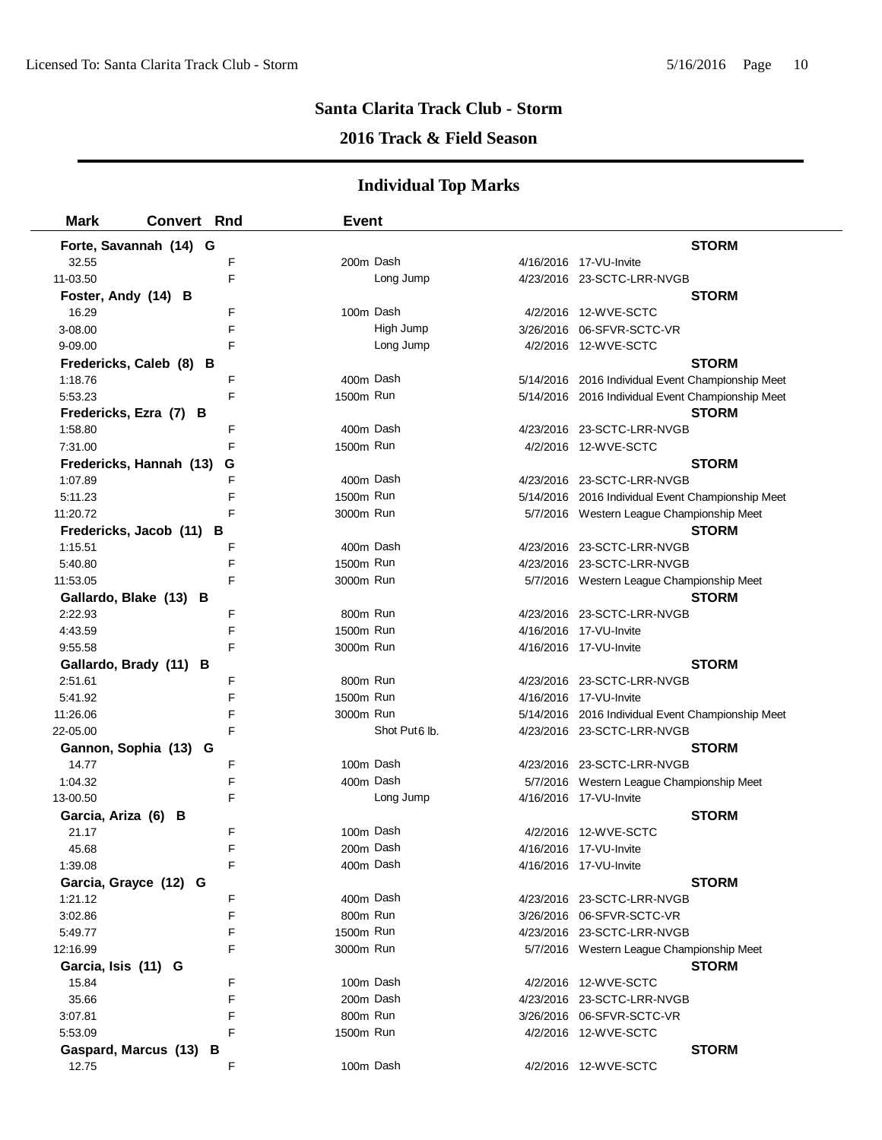### **2016 Track & Field Season**

| <b>Mark</b>         | <b>Convert Rnd</b>           | <b>Event</b> |                           |                                                   |
|---------------------|------------------------------|--------------|---------------------------|---------------------------------------------------|
|                     | Forte, Savannah (14) G       |              |                           | <b>STORM</b>                                      |
| 32.55               | F                            | 200m Dash    |                           | 4/16/2016 17-VU-Invite                            |
| 11-03.50            | F                            |              | Long Jump                 | 4/23/2016 23-SCTC-LRR-NVGB                        |
| Foster, Andy (14) B |                              |              |                           | <b>STORM</b>                                      |
| 16.29               | F                            | 100m Dash    |                           | 4/2/2016 12-WVE-SCTC                              |
| 3-08.00             | F                            |              | High Jump                 | 3/26/2016 06-SFVR-SCTC-VR                         |
| 9-09.00             | F                            |              | Long Jump                 | 4/2/2016 12-WVE-SCTC                              |
|                     | Fredericks, Caleb (8) B      |              |                           | <b>STORM</b>                                      |
| 1:18.76             | F                            | 400m Dash    |                           | 5/14/2016 2016 Individual Event Championship Meet |
| 5:53.23             | F                            | 1500m Run    |                           | 5/14/2016 2016 Individual Event Championship Meet |
|                     | Fredericks, Ezra (7) B       |              |                           | <b>STORM</b>                                      |
| 1:58.80             | F                            | 400m Dash    |                           | 4/23/2016 23-SCTC-LRR-NVGB                        |
| 7:31.00             | F                            | 1500m Run    |                           | 4/2/2016 12-WVE-SCTC                              |
|                     | Fredericks, Hannah (13)<br>G |              |                           | <b>STORM</b>                                      |
| 1:07.89             | F                            | 400m Dash    |                           | 4/23/2016 23-SCTC-LRR-NVGB                        |
| 5:11.23             | F                            | 1500m Run    |                           | 5/14/2016 2016 Individual Event Championship Meet |
| 11:20.72            | F                            | 3000m Run    |                           | 5/7/2016 Western League Championship Meet         |
|                     | Fredericks, Jacob (11)<br>В  |              |                           | <b>STORM</b>                                      |
| 1:15.51             | F                            | 400m Dash    |                           | 4/23/2016 23-SCTC-LRR-NVGB                        |
| 5:40.80             | F                            | 1500m Run    |                           | 4/23/2016 23-SCTC-LRR-NVGB                        |
| 11:53.05            | F                            | 3000m Run    |                           | 5/7/2016 Western League Championship Meet         |
|                     | Gallardo, Blake (13) B       |              |                           | <b>STORM</b>                                      |
| 2:22.93             | F                            | 800m Run     |                           | 4/23/2016 23-SCTC-LRR-NVGB                        |
| 4:43.59             | F                            | 1500m Run    |                           | 4/16/2016 17-VU-Invite                            |
| 9:55.58             | F                            | 3000m Run    |                           | 4/16/2016 17-VU-Invite                            |
|                     | Gallardo, Brady (11) B       |              |                           | <b>STORM</b>                                      |
| 2:51.61             | F                            | 800m Run     |                           | 4/23/2016 23-SCTC-LRR-NVGB                        |
| 5:41.92             | F                            | 1500m Run    |                           | 4/16/2016 17-VU-Invite                            |
| 11:26.06            | F                            | 3000m Run    |                           | 5/14/2016 2016 Individual Event Championship Meet |
| 22-05.00            | F                            |              | Shot Put <sub>6</sub> lb. | 4/23/2016 23-SCTC-LRR-NVGB                        |
|                     | Gannon, Sophia (13) G        |              |                           | <b>STORM</b>                                      |
| 14.77               | F                            | 100m Dash    |                           | 4/23/2016 23-SCTC-LRR-NVGB                        |
| 1:04.32             | F                            | 400m Dash    |                           | 5/7/2016 Western League Championship Meet         |
| 13-00.50            | F                            |              | Long Jump                 | 4/16/2016 17-VU-Invite                            |
| Garcia, Ariza (6) B |                              |              |                           | <b>STORM</b>                                      |
| 21.17               | F                            | 100m Dash    |                           | 4/2/2016 12-WVE-SCTC                              |
| 45.68               | F                            | 200m Dash    |                           | 4/16/2016 17-VU-Invite                            |
| 1:39.08             | F                            | 400m Dash    |                           | 4/16/2016 17-VU-Invite                            |
|                     | Garcia, Grayce (12) G        |              |                           | <b>STORM</b>                                      |
| 1:21.12             | F                            | 400m Dash    |                           | 4/23/2016 23-SCTC-LRR-NVGB                        |
| 3:02.86             | F                            | 800m Run     |                           |                                                   |
| 5:49.77             | F                            | 1500m Run    |                           | 4/23/2016 23-SCTC-LRR-NVGB                        |
| 12:16.99            | F                            | 3000m Run    |                           | 5/7/2016 Western League Championship Meet         |
| Garcia, Isis (11) G |                              |              |                           | <b>STORM</b>                                      |
| 15.84               | F                            | 100m Dash    |                           | 4/2/2016 12-WVE-SCTC                              |
| 35.66               | F                            | 200m Dash    |                           | 4/23/2016 23-SCTC-LRR-NVGB                        |
| 3:07.81             | F                            | 800m Run     |                           | 3/26/2016 06-SFVR-SCTC-VR                         |
| 5:53.09             | F                            | 1500m Run    |                           | 4/2/2016 12-WVE-SCTC                              |
|                     | Gaspard, Marcus (13) B<br>F  | 100m Dash    |                           | <b>STORM</b>                                      |
| 12.75               |                              |              |                           | 4/2/2016 12-WVE-SCTC                              |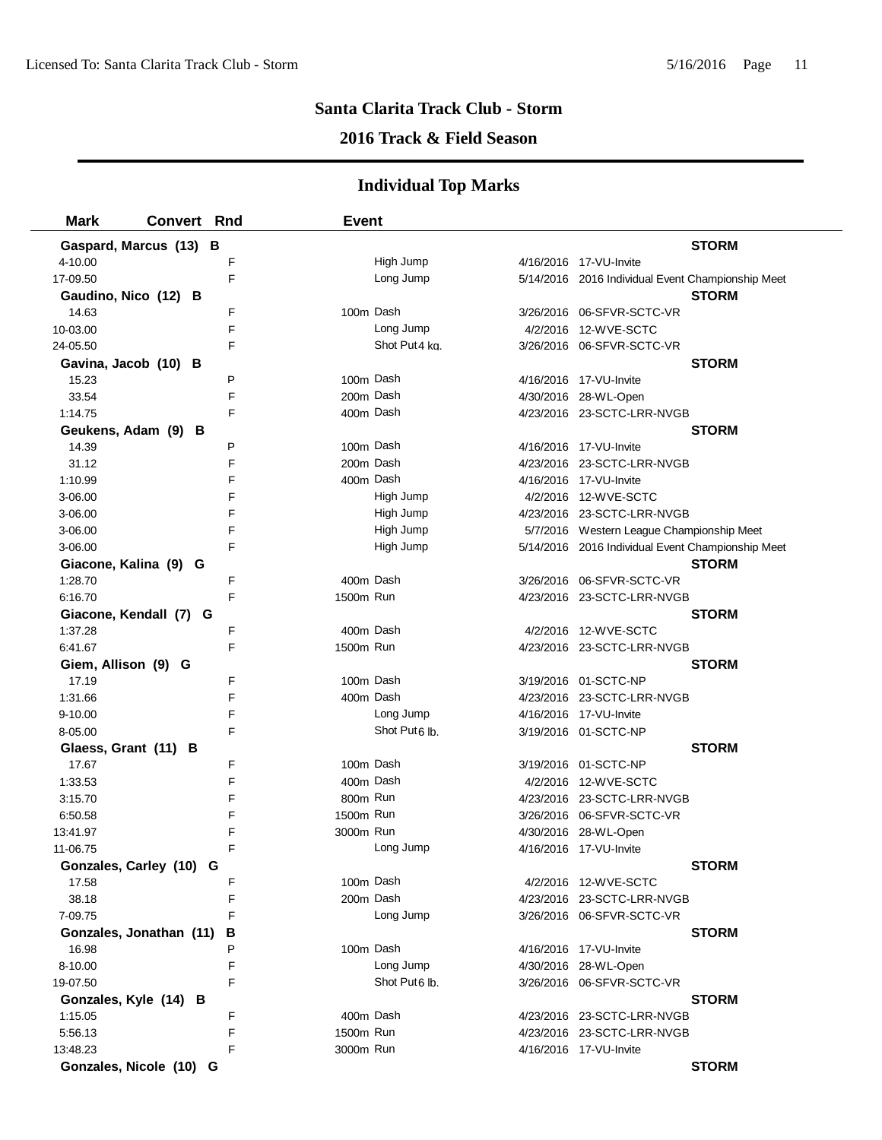## **2016 Track & Field Season**

| <b>Mark</b><br><b>Convert Rnd</b> |   | <b>Event</b> |                           |                                                   |              |
|-----------------------------------|---|--------------|---------------------------|---------------------------------------------------|--------------|
| Gaspard, Marcus (13) B            |   |              |                           |                                                   | <b>STORM</b> |
| 4-10.00                           | F |              | High Jump                 | 4/16/2016 17-VU-Invite                            |              |
| 17-09.50                          | F |              | Long Jump                 | 5/14/2016 2016 Individual Event Championship Meet |              |
| Gaudino, Nico (12) B              |   |              |                           |                                                   | <b>STORM</b> |
| 14.63                             | F |              | 100m Dash                 | 3/26/2016 06-SFVR-SCTC-VR                         |              |
| 10-03.00                          | F |              | Long Jump                 | 4/2/2016 12-WVE-SCTC                              |              |
| 24-05.50                          | F |              | Shot Put <sub>4</sub> kg. | 3/26/2016 06-SFVR-SCTC-VR                         |              |
| Gavina, Jacob (10) B              |   |              |                           |                                                   | <b>STORM</b> |
| 15.23                             | P |              | 100m Dash                 | 4/16/2016 17-VU-Invite                            |              |
| 33.54                             | F |              | 200m Dash                 | 4/30/2016 28-WL-Open                              |              |
| 1:14.75                           | F |              | 400m Dash                 | 4/23/2016 23-SCTC-LRR-NVGB                        |              |
| Geukens, Adam (9) B               |   |              |                           |                                                   | <b>STORM</b> |
| 14.39                             | P |              | 100m Dash                 | 4/16/2016 17-VU-Invite                            |              |
| 31.12                             | F |              | 200m Dash                 | 4/23/2016 23-SCTC-LRR-NVGB                        |              |
| 1:10.99                           | F |              | 400m Dash                 | 4/16/2016 17-VU-Invite                            |              |
| 3-06.00                           | F |              | High Jump                 | 4/2/2016 12-WVE-SCTC                              |              |
| 3-06.00                           | F |              | High Jump                 | 4/23/2016 23-SCTC-LRR-NVGB                        |              |
| 3-06.00                           | F |              | High Jump                 | 5/7/2016 Western League Championship Meet         |              |
| 3-06.00                           | F |              | High Jump                 | 5/14/2016 2016 Individual Event Championship Meet |              |
| Giacone, Kalina (9) G             |   |              |                           |                                                   | <b>STORM</b> |
| 1:28.70                           | F |              | 400m Dash                 | 3/26/2016 06-SFVR-SCTC-VR                         |              |
| 6:16.70                           | F |              | 1500m Run                 | 4/23/2016 23-SCTC-LRR-NVGB                        |              |
| Giacone, Kendall (7) G            |   |              |                           |                                                   | <b>STORM</b> |
| 1:37.28                           | F |              | 400m Dash                 | 4/2/2016 12-WVE-SCTC                              |              |
| 6:41.67                           | F |              | 1500m Run                 | 4/23/2016 23-SCTC-LRR-NVGB                        |              |
| Giem, Allison (9) G               |   |              |                           |                                                   | <b>STORM</b> |
| 17.19                             | F |              | 100m Dash                 | 3/19/2016 01-SCTC-NP                              |              |
| 1:31.66                           | F |              | 400m Dash                 | 4/23/2016 23-SCTC-LRR-NVGB                        |              |
| $9 - 10.00$                       | F |              | Long Jump                 | 4/16/2016 17-VU-Invite                            |              |
| 8-05.00                           | F |              | Shot Put <sub>6</sub> lb. | 3/19/2016 01-SCTC-NP                              |              |
| Glaess, Grant (11) B              |   |              |                           |                                                   | <b>STORM</b> |
| 17.67                             | F |              | 100m Dash                 | 3/19/2016 01-SCTC-NP                              |              |
| 1:33.53                           | F |              | 400m Dash                 | 4/2/2016 12-WVE-SCTC                              |              |
| 3:15.70                           | F |              | 800m Run                  | 4/23/2016 23-SCTC-LRR-NVGB                        |              |
| 6:50.58                           | F |              | 1500m Run                 | 3/26/2016 06-SFVR-SCTC-VR                         |              |
| 13:41.97                          | F |              | 3000m Run                 | 4/30/2016 28-WL-Open                              |              |
| 11-06.75                          | F |              | Long Jump                 | 4/16/2016 17-VU-Invite                            |              |
| Gonzales, Carley (10) G           |   |              |                           |                                                   | <b>STORM</b> |
| 17.58                             | F |              | 100m Dash                 | 4/2/2016 12-WVE-SCTC                              |              |
| 38.18                             | F |              | 200m Dash                 | 4/23/2016 23-SCTC-LRR-NVGB                        |              |
| 7-09.75                           | F |              | Long Jump                 | 3/26/2016 06-SFVR-SCTC-VR                         |              |
| Gonzales, Jonathan (11)           | В |              |                           |                                                   | <b>STORM</b> |
| 16.98                             | P |              | 100m Dash                 | 4/16/2016 17-VU-Invite                            |              |
| 8-10.00                           | F |              | Long Jump                 | 4/30/2016 28-WL-Open                              |              |
| 19-07.50                          | F |              | Shot Put6 lb.             | 3/26/2016 06-SFVR-SCTC-VR                         |              |
| Gonzales, Kyle (14) B             |   |              |                           |                                                   | <b>STORM</b> |
| 1:15.05                           | F |              | 400m Dash                 | 4/23/2016 23-SCTC-LRR-NVGB                        |              |
| 5:56.13                           | F |              | 1500m Run                 | 4/23/2016 23-SCTC-LRR-NVGB                        |              |
| 13:48.23                          | F |              | 3000m Run                 | 4/16/2016 17-VU-Invite                            |              |
| Gonzales, Nicole (10) G           |   |              |                           |                                                   | <b>STORM</b> |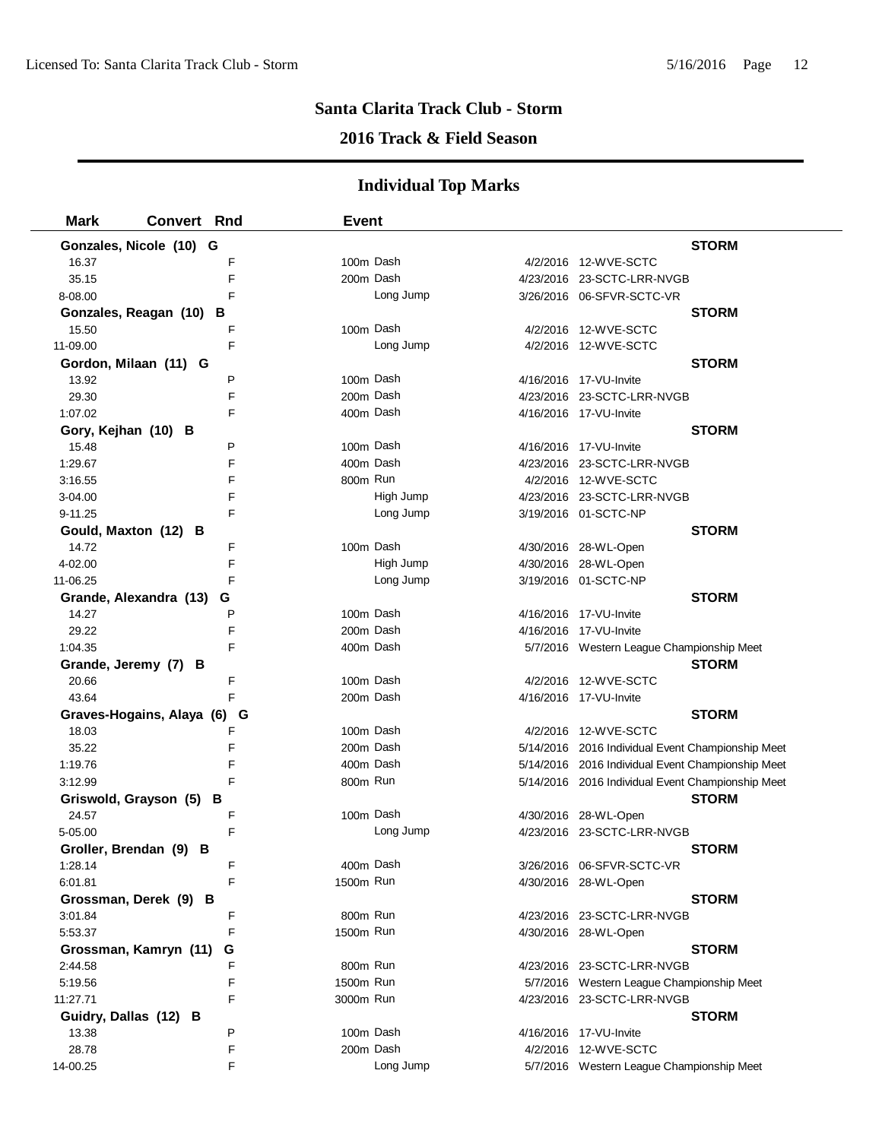#### **2016 Track & Field Season**

| <b>Mark</b>             | <b>Convert Rnd</b>             | <b>Event</b> |           |                                                   |
|-------------------------|--------------------------------|--------------|-----------|---------------------------------------------------|
| Gonzales, Nicole (10) G |                                |              |           | <b>STORM</b>                                      |
| 16.37                   | F                              | 100m Dash    |           | 4/2/2016 12-WVE-SCTC                              |
| 35.15                   | F                              | 200m Dash    |           | 4/23/2016 23-SCTC-LRR-NVGB                        |
| 8-08.00                 | F                              |              | Long Jump | 3/26/2016 06-SFVR-SCTC-VR                         |
| Gonzales, Reagan (10)   | В                              |              |           | <b>STORM</b>                                      |
| 15.50                   | F                              | 100m Dash    |           | 4/2/2016 12-WVE-SCTC                              |
| 11-09.00                | F                              |              | Long Jump | 4/2/2016 12-WVE-SCTC                              |
| Gordon, Milaan (11) G   |                                |              |           | <b>STORM</b>                                      |
| 13.92                   | P                              | 100m Dash    |           | 4/16/2016 17-VU-Invite                            |
| 29.30                   | F                              | 200m Dash    |           | 4/23/2016 23-SCTC-LRR-NVGB                        |
| 1:07.02                 | F                              | 400m Dash    |           | 4/16/2016 17-VU-Invite                            |
| Gory, Kejhan (10) B     |                                |              |           | <b>STORM</b>                                      |
| 15.48                   | P                              | 100m Dash    |           | 4/16/2016 17-VU-Invite                            |
| 1:29.67                 | F                              | 400m Dash    |           | 4/23/2016 23-SCTC-LRR-NVGB                        |
| 3:16.55                 | F                              | 800m Run     |           | 4/2/2016 12-WVE-SCTC                              |
| 3-04.00                 | F                              |              | High Jump | 4/23/2016 23-SCTC-LRR-NVGB                        |
| $9 - 11.25$             | F                              |              | Long Jump | 3/19/2016 01-SCTC-NP                              |
| Gould, Maxton (12)      | в                              |              |           | <b>STORM</b>                                      |
| 14.72                   | F                              | 100m Dash    |           | 4/30/2016 28-WL-Open                              |
| 4-02.00                 | F                              |              | High Jump | 4/30/2016 28-WL-Open                              |
| 11-06.25                | F                              |              | Long Jump | 3/19/2016 01-SCTC-NP                              |
| Grande, Alexandra (13)  | G                              |              |           | <b>STORM</b>                                      |
| 14.27                   | P                              | 100m Dash    |           | 4/16/2016 17-VU-Invite                            |
| 29.22                   | F                              | 200m Dash    |           | 4/16/2016 17-VU-Invite                            |
| 1:04.35                 | F                              | 400m Dash    |           | 5/7/2016 Western League Championship Meet         |
| Grande, Jeremy (7) B    |                                |              |           | <b>STORM</b>                                      |
| 20.66                   | F                              | 100m Dash    |           | 4/2/2016 12-WVE-SCTC                              |
| 43.64                   | F                              | 200m Dash    |           | 4/16/2016 17-VU-Invite                            |
|                         | Graves-Hogains, Alaya (6)<br>G |              |           | <b>STORM</b>                                      |
| 18.03                   | F                              | 100m Dash    |           | 4/2/2016 12-WVE-SCTC                              |
| 35.22                   | F                              | 200m Dash    |           | 5/14/2016 2016 Individual Event Championship Meet |
| 1:19.76                 | F                              | 400m Dash    |           | 5/14/2016 2016 Individual Event Championship Meet |
| 3:12.99                 | F                              | 800m Run     |           | 5/14/2016 2016 Individual Event Championship Meet |
| Griswold, Grayson (5)   | в                              |              |           | <b>STORM</b>                                      |
| 24.57                   | F                              | 100m Dash    |           | 4/30/2016 28-WL-Open                              |
| 5-05.00                 | F                              |              | Long Jump | 4/23/2016 23-SCTC-LRR-NVGB                        |
| Groller, Brendan (9) B  |                                |              |           | <b>STORM</b>                                      |
| 1:28.14                 | F                              | 400m Dash    |           | 3/26/2016 06-SFVR-SCTC-VR                         |
| 6:01.81                 | F                              | 1500m Run    |           | 4/30/2016 28-WL-Open                              |
| Grossman, Derek (9) B   |                                |              |           | <b>STORM</b>                                      |
| 3:01.84                 | F                              | 800m Run     |           | 4/23/2016 23-SCTC-LRR-NVGB                        |
| 5:53.37                 | F                              | 1500m Run    |           | 4/30/2016 28-WL-Open                              |
| Grossman, Kamryn (11)   | G                              |              |           | <b>STORM</b>                                      |
| 2:44.58                 | F                              | 800m Run     |           | 4/23/2016 23-SCTC-LRR-NVGB                        |
| 5:19.56                 | F                              | 1500m Run    |           | 5/7/2016 Western League Championship Meet         |
| 11:27.71                | F                              | 3000m Run    |           | 4/23/2016 23-SCTC-LRR-NVGB                        |
| Guidry, Dallas (12) B   |                                |              |           | <b>STORM</b>                                      |
| 13.38                   | P                              | 100m Dash    |           | 4/16/2016 17-VU-Invite                            |
| 28.78                   | F                              | 200m Dash    |           | 4/2/2016 12-WVE-SCTC                              |
| 14-00.25                | F                              |              | Long Jump | 5/7/2016 Western League Championship Meet         |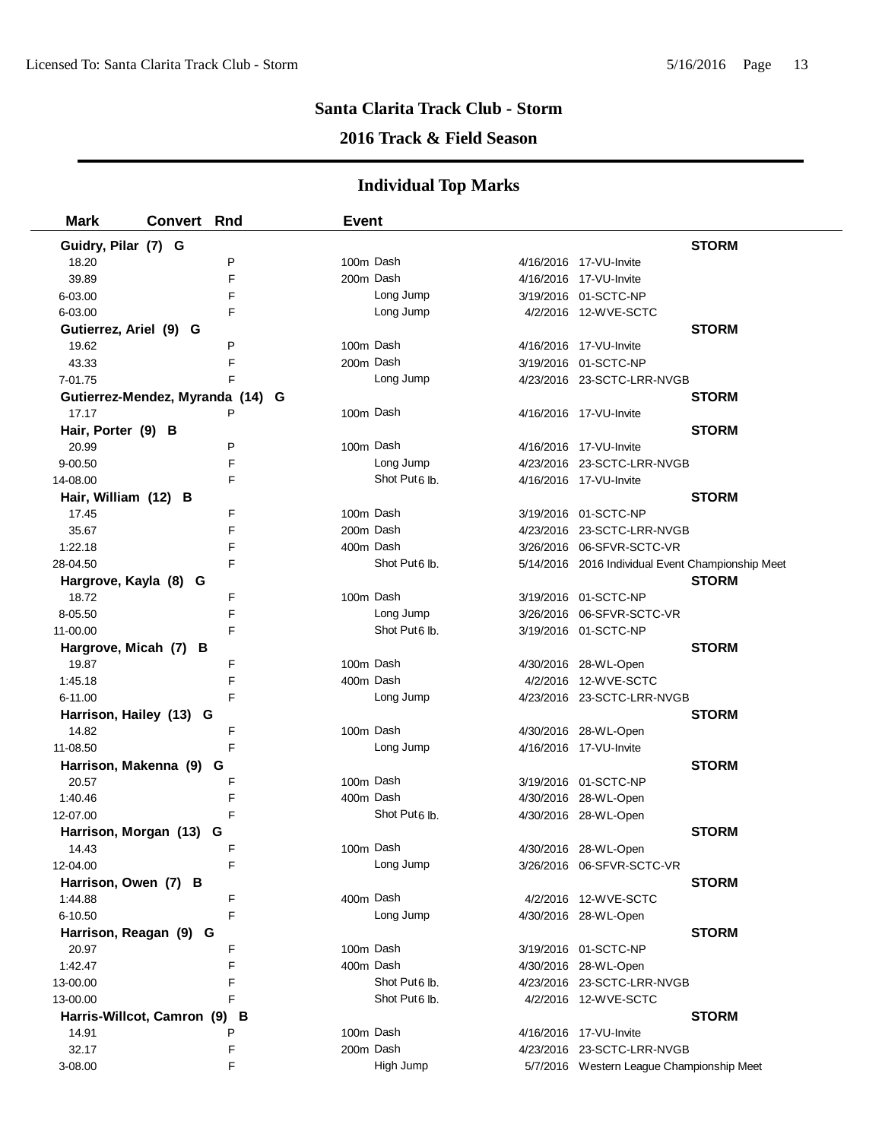## **2016 Track & Field Season**

| <b>Mark</b><br><b>Convert Rnd</b> | <b>Event</b> |                           |                                                   |
|-----------------------------------|--------------|---------------------------|---------------------------------------------------|
| Guidry, Pilar (7) G               |              |                           | <b>STORM</b>                                      |
| P<br>18.20                        |              | 100m Dash                 | 4/16/2016 17-VU-Invite                            |
| 39.89<br>F                        |              | 200m Dash                 | 4/16/2016 17-VU-Invite                            |
| 6-03.00<br>F                      |              | Long Jump                 | 3/19/2016 01-SCTC-NP                              |
| F<br>6-03.00                      |              | Long Jump                 | 4/2/2016 12-WVE-SCTC                              |
| Gutierrez, Ariel (9) G            |              |                           | <b>STORM</b>                                      |
| P<br>19.62                        |              | 100m Dash                 | 4/16/2016 17-VU-Invite                            |
| F<br>43.33                        |              | 200m Dash                 | 3/19/2016 01-SCTC-NP                              |
| F<br>7-01.75                      |              | Long Jump                 | 4/23/2016 23-SCTC-LRR-NVGB                        |
| Gutierrez-Mendez, Myranda (14) G  |              |                           | <b>STORM</b>                                      |
| 17.17                             |              | 100m Dash                 | 4/16/2016 17-VU-Invite                            |
| Hair, Porter (9) B                |              |                           | <b>STORM</b>                                      |
| 20.99<br>P                        |              | 100m Dash                 | 4/16/2016 17-VU-Invite                            |
| F<br>$9 - 00.50$                  |              | Long Jump                 | 4/23/2016 23-SCTC-LRR-NVGB                        |
| F<br>14-08.00                     |              | Shot Put <sub>6</sub> lb. | 4/16/2016 17-VU-Invite                            |
| Hair, William (12) B              |              |                           | <b>STORM</b>                                      |
| 17.45<br>F                        |              | 100m Dash                 | 3/19/2016 01-SCTC-NP                              |
| 35.67<br>F                        |              | 200m Dash                 | 4/23/2016 23-SCTC-LRR-NVGB                        |
| 1:22.18<br>F                      |              | 400m Dash                 | 3/26/2016 06-SFVR-SCTC-VR                         |
| F<br>28-04.50                     |              | Shot Put <sub>6</sub> lb. | 5/14/2016 2016 Individual Event Championship Meet |
| Hargrove, Kayla (8) G             |              |                           | <b>STORM</b>                                      |
| F<br>18.72                        |              | 100m Dash                 | 3/19/2016 01-SCTC-NP                              |
| F<br>8-05.50                      |              | Long Jump                 | 3/26/2016 06-SFVR-SCTC-VR                         |
| F<br>11-00.00                     |              | Shot Put <sub>6</sub> lb. | 3/19/2016 01-SCTC-NP                              |
| Hargrove, Micah (7) B             |              |                           | <b>STORM</b>                                      |
| 19.87<br>F                        |              | 100m Dash                 | 4/30/2016 28-WL-Open                              |
| F<br>1:45.18                      |              | 400m Dash                 | 4/2/2016 12-WVE-SCTC                              |
| 6-11.00<br>F                      |              | Long Jump                 | 4/23/2016 23-SCTC-LRR-NVGB                        |
| Harrison, Hailey (13) G           |              |                           | <b>STORM</b>                                      |
| 14.82<br>F                        |              | 100m Dash                 | 4/30/2016 28-WL-Open                              |
| F<br>11-08.50                     |              | Long Jump                 | 4/16/2016 17-VU-Invite                            |
| Harrison, Makenna (9) G           |              |                           | <b>STORM</b>                                      |
| F<br>20.57                        |              | 100m Dash                 | 3/19/2016 01-SCTC-NP                              |
| F<br>1:40.46                      |              | 400m Dash                 | 4/30/2016 28-WL-Open                              |
| F<br>12-07.00                     |              | Shot Put6 lb.             | 4/30/2016 28-WL-Open                              |
| Harrison, Morgan (13)<br>G        |              |                           | <b>STORM</b>                                      |
| 14.43<br>F                        |              | 100m Dash                 | 4/30/2016 28-WL-Open                              |
| 12-04.00                          |              | Long Jump                 | 3/26/2016 06-SFVR-SCTC-VR                         |
| Harrison, Owen (7) B              |              |                           | <b>STORM</b>                                      |
| F<br>1:44.88                      |              | 400m Dash                 | 4/2/2016 12-WVE-SCTC                              |
| F<br>6-10.50                      |              | Long Jump                 | 4/30/2016 28-WL-Open                              |
| Harrison, Reagan (9) G            |              |                           | <b>STORM</b>                                      |
| F<br>20.97                        |              | 100m Dash                 | 3/19/2016 01-SCTC-NP                              |
| 1:42.47<br>F                      |              | 400m Dash                 | 4/30/2016 28-WL-Open                              |
| 13-00.00<br>F                     |              | Shot Put6 lb.             | 4/23/2016 23-SCTC-LRR-NVGB                        |
| F<br>13-00.00                     |              | Shot Put <sub>6</sub> lb. | 4/2/2016 12-WVE-SCTC                              |
| Harris-Willcot, Camron (9) B      |              |                           | <b>STORM</b>                                      |
| P<br>14.91                        |              | 100m Dash                 | 4/16/2016 17-VU-Invite                            |
| 32.17<br>F                        |              | 200m Dash                 | 4/23/2016 23-SCTC-LRR-NVGB                        |
| F<br>3-08.00                      |              | High Jump                 | 5/7/2016 Western League Championship Meet         |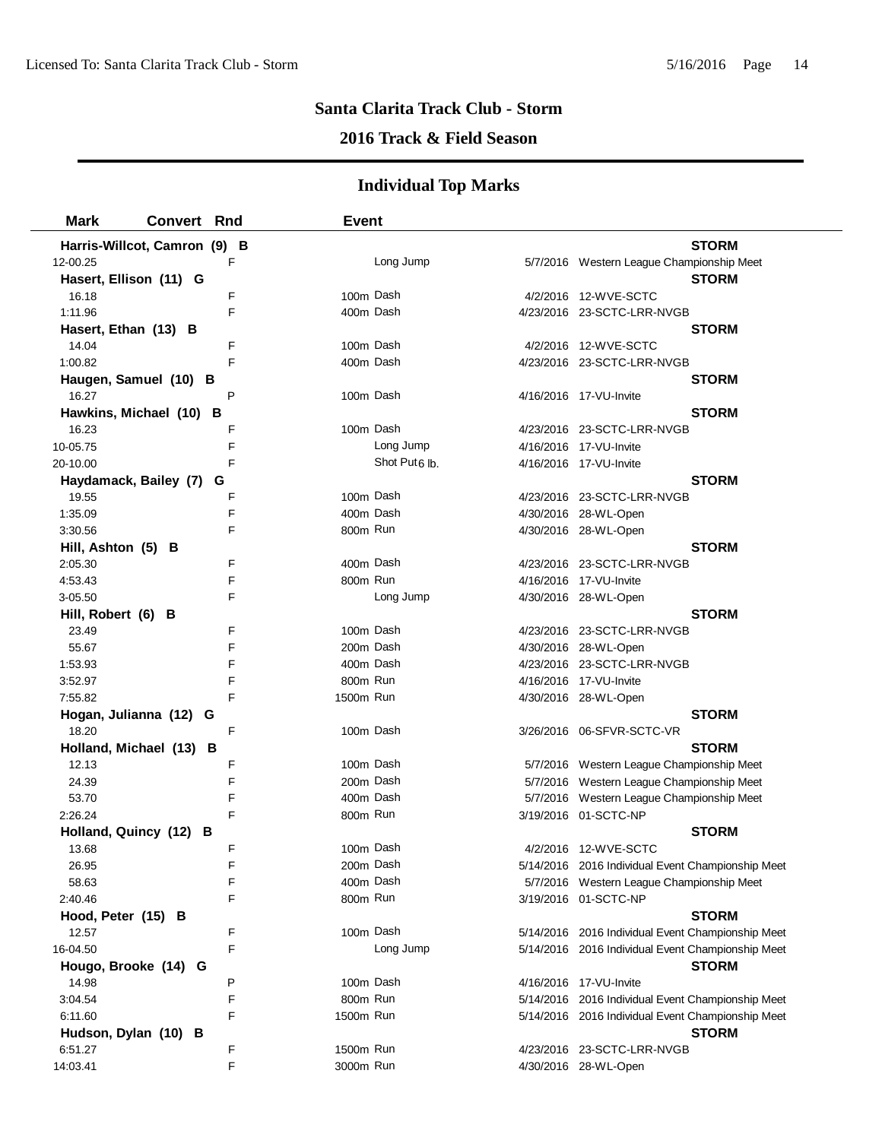## **2016 Track & Field Season**

| <b>Mark</b>            | <b>Convert Rnd</b>           | <b>Event</b>              |                                                   |
|------------------------|------------------------------|---------------------------|---------------------------------------------------|
|                        | Harris-Willcot, Camron (9) B |                           | <b>STORM</b>                                      |
| 12-00.25               | F                            | Long Jump                 | 5/7/2016 Western League Championship Meet         |
| Hasert, Ellison (11) G |                              |                           | <b>STORM</b>                                      |
| 16.18                  | F                            | 100m Dash                 | 4/2/2016 12-WVE-SCTC                              |
| 1:11.96                | F                            | 400m Dash                 | 4/23/2016 23-SCTC-LRR-NVGB                        |
| Hasert, Ethan (13) B   |                              |                           | <b>STORM</b>                                      |
| 14.04                  | F                            | 100m Dash                 | 4/2/2016 12-WVE-SCTC                              |
| 1:00.82                | F                            | 400m Dash                 | 4/23/2016 23-SCTC-LRR-NVGB                        |
|                        | Haugen, Samuel (10) B        |                           | <b>STORM</b>                                      |
| 16.27                  | P                            | 100m Dash                 | 4/16/2016 17-VU-Invite                            |
|                        | Hawkins, Michael (10) B      |                           | <b>STORM</b>                                      |
| 16.23                  | F                            | 100m Dash                 | 4/23/2016 23-SCTC-LRR-NVGB                        |
| 10-05.75               | F                            | Long Jump                 | 4/16/2016 17-VU-Invite                            |
| 20-10.00               | F                            | Shot Put <sub>6</sub> lb. | 4/16/2016 17-VU-Invite                            |
| Haydamack, Bailey (7)  | G                            |                           | <b>STORM</b>                                      |
| 19.55                  | F                            | 100m Dash                 | 4/23/2016 23-SCTC-LRR-NVGB                        |
| 1:35.09                | F                            | 400m Dash                 | 4/30/2016 28-WL-Open                              |
| 3:30.56                | F                            | 800m Run                  | 4/30/2016 28-WL-Open                              |
| Hill, Ashton (5) B     |                              |                           | <b>STORM</b>                                      |
| 2:05.30                | F                            | 400m Dash                 | 4/23/2016 23-SCTC-LRR-NVGB                        |
| 4:53.43                | F                            | 800m Run                  | 4/16/2016 17-VU-Invite                            |
| 3-05.50                | F                            | Long Jump                 | 4/30/2016 28-WL-Open                              |
| Hill, Robert (6) B     |                              |                           | <b>STORM</b>                                      |
| 23.49                  | F                            | 100m Dash                 | 4/23/2016 23-SCTC-LRR-NVGB                        |
| 55.67                  | F                            | 200m Dash                 | 4/30/2016 28-WL-Open                              |
| 1:53.93                | F                            | 400m Dash                 | 4/23/2016 23-SCTC-LRR-NVGB                        |
| 3:52.97                | F                            | 800m Run                  | 4/16/2016 17-VU-Invite                            |
| 7:55.82                | F                            | 1500m Run                 | 4/30/2016 28-WL-Open                              |
|                        | Hogan, Julianna (12) G       |                           | <b>STORM</b>                                      |
| 18.20                  | F                            | 100m Dash                 |                                                   |
|                        | Holland, Michael (13) B      |                           | <b>STORM</b>                                      |
| 12.13                  | F                            | 100m Dash                 | 5/7/2016 Western League Championship Meet         |
| 24.39                  | F                            | 200m Dash                 | 5/7/2016 Western League Championship Meet         |
| 53.70                  | F                            | 400m Dash                 | 5/7/2016 Western League Championship Meet         |
| 2:26.24                | F                            | 800m Run                  | 3/19/2016 01-SCTC-NP                              |
|                        | Holland, Quincy (12) B       |                           | <b>STORM</b>                                      |
| 13.68                  | F                            | 100m Dash                 | 4/2/2016 12-WVE-SCTC                              |
| 26.95                  | F                            | 200m Dash                 | 5/14/2016 2016 Individual Event Championship Meet |
| 58.63                  | F                            | 400m Dash                 | 5/7/2016 Western League Championship Meet         |
| 2:40.46                | F                            | 800m Run                  | 3/19/2016 01-SCTC-NP                              |
| Hood, Peter (15) B     |                              |                           | <b>STORM</b>                                      |
| 12.57                  | F                            | 100m Dash                 | 5/14/2016 2016 Individual Event Championship Meet |
| 16-04.50               | F                            | Long Jump                 | 5/14/2016 2016 Individual Event Championship Meet |
|                        | Hougo, Brooke (14) G         |                           | <b>STORM</b>                                      |
| 14.98                  | P                            | 100m Dash                 | 4/16/2016 17-VU-Invite                            |
| 3:04.54                | F                            | 800m Run                  | 5/14/2016 2016 Individual Event Championship Meet |
| 6:11.60                | F                            | 1500m Run                 | 5/14/2016 2016 Individual Event Championship Meet |
| Hudson, Dylan (10) B   |                              |                           | <b>STORM</b>                                      |
| 6:51.27                | F                            | 1500m Run                 | 4/23/2016 23-SCTC-LRR-NVGB                        |
| 14:03.41               | F                            | 3000m Run                 | 4/30/2016 28-WL-Open                              |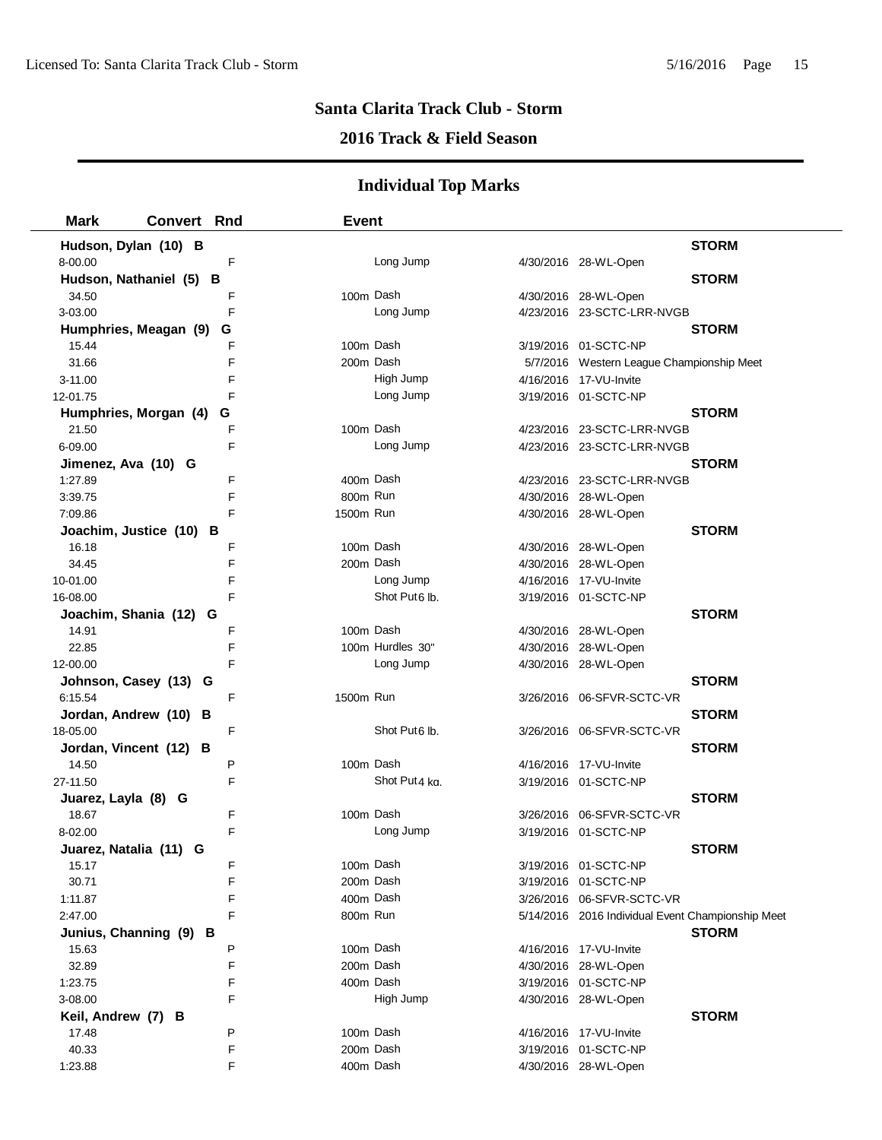## **2016 Track & Field Season**

| <b>Mark</b>             | Convert Rnd |   | <b>Event</b> |                           |                                                   |              |
|-------------------------|-------------|---|--------------|---------------------------|---------------------------------------------------|--------------|
| Hudson, Dylan (10) B    |             |   |              |                           |                                                   | <b>STORM</b> |
| 8-00.00                 |             | F |              | Long Jump                 | 4/30/2016 28-WL-Open                              |              |
| Hudson, Nathaniel (5) B |             |   |              |                           |                                                   | <b>STORM</b> |
| 34.50                   |             | F | 100m Dash    |                           | 4/30/2016 28-WL-Open                              |              |
| 3-03.00                 |             | F |              | Long Jump                 | 4/23/2016 23-SCTC-LRR-NVGB                        |              |
| Humphries, Meagan (9)   |             | G |              |                           |                                                   | <b>STORM</b> |
| 15.44                   |             | F | 100m Dash    |                           | 3/19/2016 01-SCTC-NP                              |              |
| 31.66                   |             | F | 200m Dash    |                           | 5/7/2016 Western League Championship Meet         |              |
| $3 - 11.00$             |             | F |              | High Jump                 | 4/16/2016 17-VU-Invite                            |              |
| 12-01.75                |             | F |              | Long Jump                 | 3/19/2016 01-SCTC-NP                              |              |
| Humphries, Morgan (4)   |             | G |              |                           |                                                   | <b>STORM</b> |
| 21.50                   |             | F | 100m Dash    |                           | 4/23/2016 23-SCTC-LRR-NVGB                        |              |
| 6-09.00                 |             | F |              | Long Jump                 | 4/23/2016 23-SCTC-LRR-NVGB                        |              |
| Jimenez, Ava (10) G     |             |   |              |                           |                                                   | <b>STORM</b> |
| 1:27.89                 |             | F | 400m Dash    |                           | 4/23/2016 23-SCTC-LRR-NVGB                        |              |
| 3:39.75                 |             | F | 800m Run     |                           | 4/30/2016 28-WL-Open                              |              |
| 7:09.86                 |             | F | 1500m Run    |                           | 4/30/2016 28-WL-Open                              |              |
| Joachim, Justice (10) B |             |   |              |                           |                                                   | <b>STORM</b> |
| 16.18                   |             | F | 100m Dash    |                           | 4/30/2016 28-WL-Open                              |              |
| 34.45                   |             | F | 200m Dash    |                           | 4/30/2016 28-WL-Open                              |              |
| 10-01.00                |             | F |              | Long Jump                 | 4/16/2016 17-VU-Invite                            |              |
| 16-08.00                |             | F |              | Shot Put6 lb.             | 3/19/2016 01-SCTC-NP                              |              |
| Joachim, Shania (12) G  |             |   |              |                           |                                                   | <b>STORM</b> |
| 14.91                   |             | F | 100m Dash    |                           | 4/30/2016 28-WL-Open                              |              |
| 22.85                   |             | F |              | 100m Hurdles 30"          | 4/30/2016 28-WL-Open                              |              |
| 12-00.00                |             | F |              | Long Jump                 | 4/30/2016 28-WL-Open                              |              |
| Johnson, Casey (13) G   |             |   |              |                           |                                                   | <b>STORM</b> |
| 6:15.54                 |             | F | 1500m Run    |                           | 3/26/2016 06-SFVR-SCTC-VR                         |              |
| Jordan, Andrew (10) B   |             |   |              |                           |                                                   | <b>STORM</b> |
| 18-05.00                |             | F |              | Shot Put <sub>6</sub> lb. | 3/26/2016 06-SFVR-SCTC-VR                         |              |
| Jordan, Vincent (12) B  |             |   |              |                           |                                                   | <b>STORM</b> |
| 14.50                   |             | P | 100m Dash    |                           | 4/16/2016 17-VU-Invite                            |              |
| 27-11.50                |             | F |              | Shot Put4 kg              | 3/19/2016 01-SCTC-NP                              |              |
| Juarez, Layla (8) G     |             |   |              |                           |                                                   | <b>STORM</b> |
| 18.67                   |             | F | 100m Dash    |                           | 3/26/2016 06-SFVR-SCTC-VR                         |              |
| 8-02.00                 |             | F |              | Long Jump                 | 3/19/2016 01-SCTC-NP                              |              |
| Juarez, Natalia (11) G  |             |   |              |                           |                                                   | <b>STORM</b> |
| 15.17                   |             | F | 100m Dash    |                           | 3/19/2016 01-SCTC-NP                              |              |
| 30.71                   |             | F | 200m Dash    |                           | 3/19/2016 01-SCTC-NP                              |              |
| 1:11.87                 |             | F | 400m Dash    |                           | 3/26/2016 06-SFVR-SCTC-VR                         |              |
| 2:47.00                 |             | F | 800m Run     |                           | 5/14/2016 2016 Individual Event Championship Meet |              |
| Junius, Channing (9) B  |             |   |              |                           |                                                   | <b>STORM</b> |
| 15.63                   |             | P | 100m Dash    |                           | 4/16/2016 17-VU-Invite                            |              |
| 32.89                   |             | F | 200m Dash    |                           | 4/30/2016 28-WL-Open                              |              |
| 1:23.75                 |             | F | 400m Dash    |                           | 3/19/2016 01-SCTC-NP                              |              |
| 3-08.00                 |             | F |              | High Jump                 | 4/30/2016 28-WL-Open                              |              |
| Keil, Andrew (7) B      |             |   |              |                           |                                                   | <b>STORM</b> |
| 17.48                   |             | P | 100m Dash    |                           | 4/16/2016 17-VU-Invite                            |              |
| 40.33                   |             | F | 200m Dash    |                           | 3/19/2016 01-SCTC-NP                              |              |
| 1:23.88                 |             | F | 400m Dash    |                           | 4/30/2016 28-WL-Open                              |              |
|                         |             |   |              |                           |                                                   |              |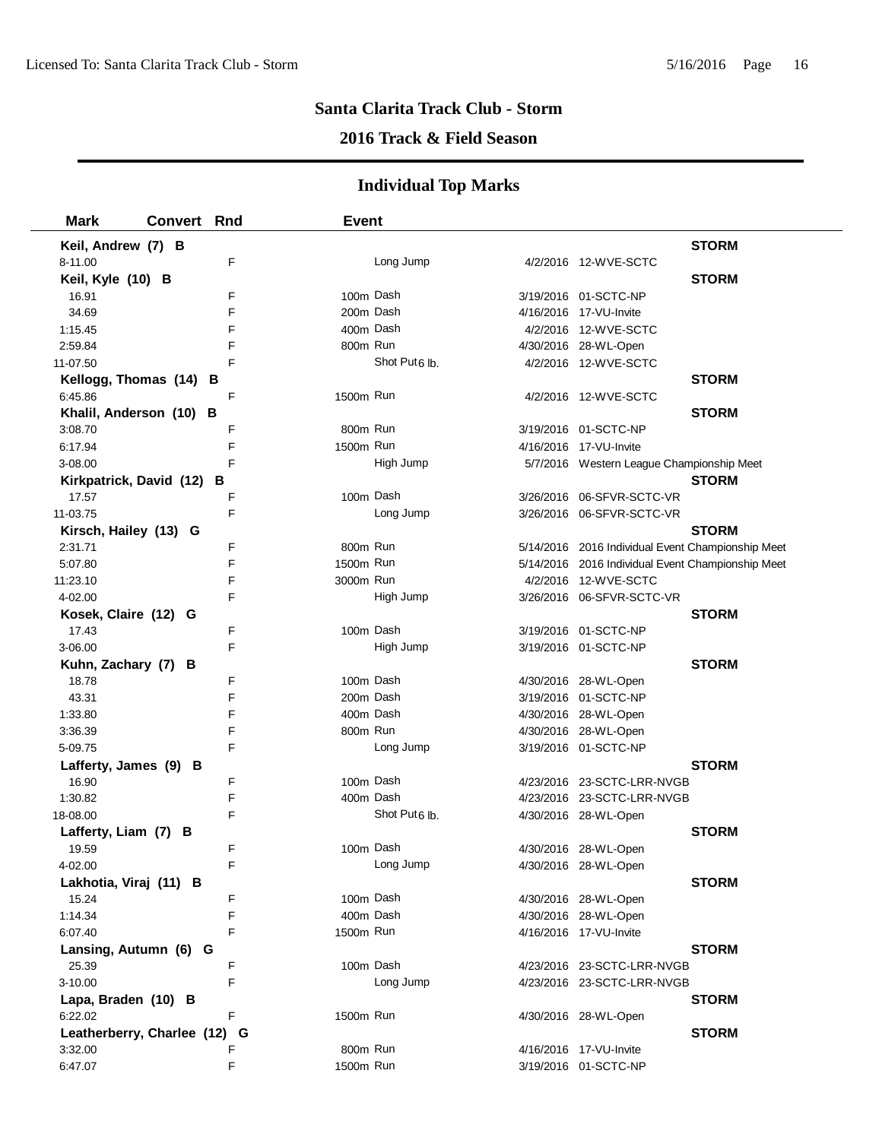## **2016 Track & Field Season**

| <b>Mark</b>             | Convert Rnd                |   | <b>Event</b> |                           |                                                   |              |
|-------------------------|----------------------------|---|--------------|---------------------------|---------------------------------------------------|--------------|
| Keil, Andrew (7) B      |                            |   |              |                           |                                                   | <b>STORM</b> |
| 8-11.00                 |                            | F |              | Long Jump                 | 4/2/2016 12-WVE-SCTC                              |              |
| Keil, Kyle (10) B       |                            |   |              |                           |                                                   | <b>STORM</b> |
| 16.91                   |                            | F |              | 100m Dash                 | 3/19/2016 01-SCTC-NP                              |              |
| 34.69                   |                            | F |              | 200m Dash                 | 4/16/2016 17-VU-Invite                            |              |
| 1:15.45                 |                            | F |              | 400m Dash                 | 4/2/2016 12-WVE-SCTC                              |              |
| 2:59.84                 |                            | F | 800m Run     |                           | 4/30/2016 28-WL-Open                              |              |
| 11-07.50                |                            | F |              | Shot Put6 lb.             | 4/2/2016 12-WVE-SCTC                              |              |
|                         | Kellogg, Thomas (14) B     |   |              |                           |                                                   | <b>STORM</b> |
| 6:45.86                 |                            | F | 1500m Run    |                           | 4/2/2016 12-WVE-SCTC                              |              |
|                         | Khalil, Anderson (10) B    |   |              |                           |                                                   | <b>STORM</b> |
| 3:08.70                 |                            | F | 800m Run     |                           | 3/19/2016 01-SCTC-NP                              |              |
| 6:17.94                 |                            | F | 1500m Run    |                           | 4/16/2016 17-VU-Invite                            |              |
| 3-08.00                 |                            | F |              | High Jump                 | 5/7/2016 Western League Championship Meet         |              |
| Kirkpatrick, David (12) | в                          |   |              |                           |                                                   | <b>STORM</b> |
| 17.57                   |                            | F | 100m Dash    |                           | 3/26/2016 06-SFVR-SCTC-VR                         |              |
| 11-03.75                |                            | F |              | Long Jump                 | 3/26/2016 06-SFVR-SCTC-VR                         |              |
| Kirsch, Hailey (13) G   |                            |   |              |                           |                                                   | <b>STORM</b> |
| 2:31.71                 |                            | F | 800m Run     |                           | 5/14/2016 2016 Individual Event Championship Meet |              |
| 5:07.80                 |                            | F | 1500m Run    |                           | 5/14/2016 2016 Individual Event Championship Meet |              |
| 11:23.10                |                            | F | 3000m Run    |                           | 4/2/2016 12-WVE-SCTC                              |              |
| 4-02.00                 |                            | F |              | High Jump                 | 3/26/2016 06-SFVR-SCTC-VR                         |              |
| Kosek, Claire (12) G    |                            |   |              |                           |                                                   | <b>STORM</b> |
| 17.43                   |                            | F | 100m Dash    |                           | 3/19/2016 01-SCTC-NP                              |              |
| 3-06.00                 |                            | F |              | High Jump                 | 3/19/2016 01-SCTC-NP                              |              |
| Kuhn, Zachary (7) B     |                            |   |              |                           |                                                   | <b>STORM</b> |
| 18.78                   |                            | F |              | 100m Dash                 | 4/30/2016 28-WL-Open                              |              |
| 43.31                   |                            | F |              | 200m Dash                 | 3/19/2016 01-SCTC-NP                              |              |
| 1:33.80                 |                            | F |              | 400m Dash                 | 4/30/2016 28-WL-Open                              |              |
| 3:36.39                 |                            | F | 800m Run     |                           | 4/30/2016 28-WL-Open                              |              |
| 5-09.75                 |                            | F |              | Long Jump                 | 3/19/2016 01-SCTC-NP                              |              |
| Lafferty, James (9) B   |                            |   |              |                           |                                                   | <b>STORM</b> |
| 16.90                   |                            | F |              | 100m Dash                 | 4/23/2016 23-SCTC-LRR-NVGB                        |              |
| 1:30.82                 |                            | F |              | 400m Dash                 | 4/23/2016 23-SCTC-LRR-NVGB                        |              |
| 18-08.00                |                            | F |              | Shot Put <sub>6</sub> lb. | 4/30/2016 28-WL-Open                              |              |
| Lafferty, Liam (7) B    |                            |   |              |                           |                                                   | <b>STORM</b> |
| 19.59                   |                            | F |              | 100m Dash                 | 4/30/2016 28-WL-Open                              |              |
| 4-02.00                 |                            |   |              | Long Jump                 | 4/30/2016 28-WL-Open                              |              |
| Lakhotia, Viraj (11) B  |                            |   |              |                           |                                                   | <b>STORM</b> |
| 15.24                   |                            | F |              | 100m Dash                 | 4/30/2016 28-WL-Open                              |              |
| 1:14.34                 |                            | F | 400m Dash    |                           | 4/30/2016 28-WL-Open                              |              |
| 6:07.40                 |                            | F | 1500m Run    |                           | 4/16/2016 17-VU-Invite                            |              |
| Lansing, Autumn (6) G   |                            |   |              |                           |                                                   | <b>STORM</b> |
| 25.39                   |                            | F |              | 100m Dash                 | 4/23/2016 23-SCTC-LRR-NVGB                        |              |
| 3-10.00                 |                            | F |              | Long Jump                 | 4/23/2016 23-SCTC-LRR-NVGB                        |              |
| Lapa, Braden (10) B     |                            |   |              |                           |                                                   | <b>STORM</b> |
| 6:22.02                 |                            | F | 1500m Run    |                           | 4/30/2016 28-WL-Open                              |              |
|                         | Leatherberry, Charlee (12) | G |              |                           |                                                   | <b>STORM</b> |
| 3:32.00                 |                            | F | 800m Run     |                           | 4/16/2016 17-VU-Invite                            |              |
| 6:47.07                 |                            | F | 1500m Run    |                           | 3/19/2016 01-SCTC-NP                              |              |
|                         |                            |   |              |                           |                                                   |              |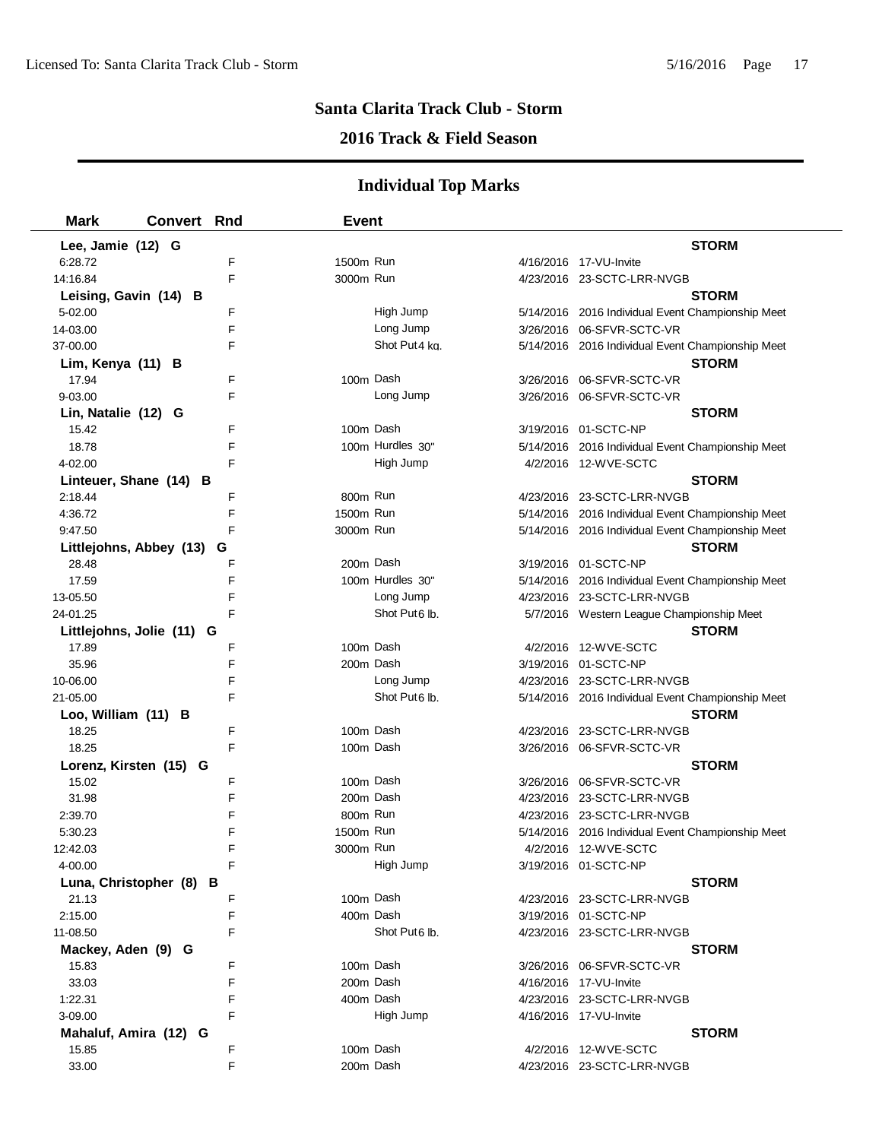### **2016 Track & Field Season**

| <b>Mark</b>             | <b>Convert Rnd</b>        | <b>Event</b> |                           |                                                   |
|-------------------------|---------------------------|--------------|---------------------------|---------------------------------------------------|
| Lee, Jamie (12) G       |                           |              |                           | <b>STORM</b>                                      |
| 6:28.72                 | F                         | 1500m Run    |                           | 4/16/2016 17-VU-Invite                            |
| 14:16.84                | F                         | 3000m Run    |                           | 4/23/2016 23-SCTC-LRR-NVGB                        |
| Leising, Gavin (14) B   |                           |              |                           | <b>STORM</b>                                      |
| 5-02.00                 | F                         |              | High Jump                 | 5/14/2016 2016 Individual Event Championship Meet |
| 14-03.00                | F                         |              | Long Jump                 | 3/26/2016 06-SFVR-SCTC-VR                         |
| 37-00.00                | F                         |              | Shot Put4 kg.             | 5/14/2016 2016 Individual Event Championship Meet |
| Lim, Kenya (11) B       |                           |              |                           | <b>STORM</b>                                      |
| 17.94                   | F                         |              | 100m Dash                 | 3/26/2016 06-SFVR-SCTC-VR                         |
| 9-03.00                 | F                         |              | Long Jump                 | 3/26/2016 06-SFVR-SCTC-VR                         |
| Lin, Natalie (12) G     |                           |              |                           | <b>STORM</b>                                      |
| 15.42                   | F                         |              | 100m Dash                 | 3/19/2016 01-SCTC-NP                              |
| 18.78                   | F                         |              | 100m Hurdles 30"          | 5/14/2016 2016 Individual Event Championship Meet |
| 4-02.00                 | F                         |              | High Jump                 | 4/2/2016 12-WVE-SCTC                              |
|                         | Linteuer, Shane (14) B    |              |                           | <b>STORM</b>                                      |
| 2:18.44                 | F                         | 800m Run     |                           | 4/23/2016 23-SCTC-LRR-NVGB                        |
| 4:36.72                 | F                         | 1500m Run    |                           | 5/14/2016 2016 Individual Event Championship Meet |
| 9:47.50                 | F                         | 3000m Run    |                           | 5/14/2016 2016 Individual Event Championship Meet |
| Littlejohns, Abbey (13) | G                         |              |                           | <b>STORM</b>                                      |
| 28.48                   | F                         | 200m Dash    |                           | 3/19/2016 01-SCTC-NP                              |
| 17.59                   | E                         |              | 100m Hurdles 30"          | 5/14/2016 2016 Individual Event Championship Meet |
| 13-05.50                | F                         |              | Long Jump                 | 4/23/2016 23-SCTC-LRR-NVGB                        |
| 24-01.25                | F                         |              | Shot Put <sub>6</sub> lb. | 5/7/2016 Western League Championship Meet         |
|                         | Littlejohns, Jolie (11) G |              |                           | <b>STORM</b>                                      |
| 17.89                   | F                         | 100m Dash    |                           | 4/2/2016 12-WVE-SCTC                              |
| 35.96                   | F                         | 200m Dash    |                           | 3/19/2016 01-SCTC-NP                              |
| 10-06.00                | F                         |              | Long Jump                 | 4/23/2016 23-SCTC-LRR-NVGB                        |
| 21-05.00                | F                         |              | Shot Put6 lb.             | 5/14/2016 2016 Individual Event Championship Meet |
| Loo, William (11) B     |                           |              |                           | <b>STORM</b>                                      |
| 18.25                   | F                         | 100m Dash    |                           | 4/23/2016 23-SCTC-LRR-NVGB                        |
| 18.25                   | F                         |              | 100m Dash                 | 3/26/2016 06-SFVR-SCTC-VR                         |
| Lorenz, Kirsten (15) G  |                           |              |                           | <b>STORM</b>                                      |
| 15.02                   | F                         |              | 100m Dash                 | 3/26/2016 06-SFVR-SCTC-VR                         |
| 31.98                   | F                         |              | 200m Dash                 | 4/23/2016 23-SCTC-LRR-NVGB                        |
| 2:39.70                 | F                         | 800m Run     |                           | 4/23/2016 23-SCTC-LRR-NVGB                        |
| 5:30.23                 | F                         | 1500m Run    |                           | 5/14/2016 2016 Individual Event Championship Meet |
| 12:42.03                | F                         | 3000m Run    |                           | 4/2/2016 12-WVE-SCTC                              |
| 4-00.00                 |                           |              | High Jump                 | 3/19/2016 01-SCTC-NP                              |
|                         | Luna, Christopher (8) B   |              |                           | <b>STORM</b>                                      |
| 21.13                   | F                         |              | 100m Dash                 | 4/23/2016 23-SCTC-LRR-NVGB                        |
| 2:15.00                 | F                         |              | 400m Dash                 | 3/19/2016 01-SCTC-NP                              |
| 11-08.50                | F                         |              | Shot Put6 lb.             | 4/23/2016 23-SCTC-LRR-NVGB                        |
| Mackey, Aden (9) G      |                           |              |                           | <b>STORM</b>                                      |
| 15.83                   | F                         | 100m Dash    |                           | 3/26/2016 06-SFVR-SCTC-VR                         |
| 33.03                   | F                         | 200m Dash    |                           | 4/16/2016 17-VU-Invite                            |
| 1:22.31                 | F                         |              | 400m Dash                 | 4/23/2016 23-SCTC-LRR-NVGB                        |
| 3-09.00                 | F                         |              | High Jump                 | 4/16/2016 17-VU-Invite                            |
| Mahaluf, Amira (12) G   |                           |              |                           | <b>STORM</b>                                      |
| 15.85                   | F                         | 100m Dash    |                           | 4/2/2016 12-WVE-SCTC                              |
| 33.00                   | F                         |              | 200m Dash                 | 4/23/2016 23-SCTC-LRR-NVGB                        |
|                         |                           |              |                           |                                                   |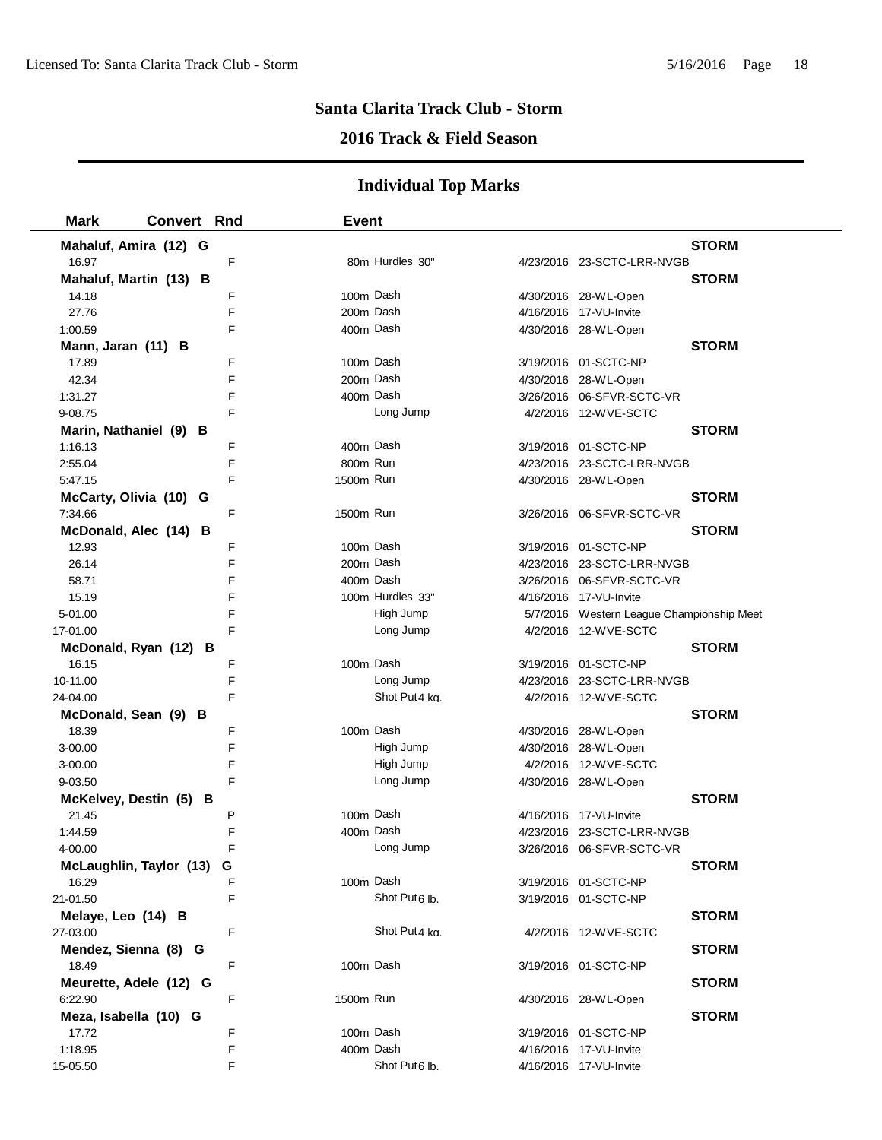## **2016 Track & Field Season**

| <b>Mark</b>               | <b>Convert Rnd</b> |   | <b>Event</b> |                           |                                                         |              |
|---------------------------|--------------------|---|--------------|---------------------------|---------------------------------------------------------|--------------|
| Mahaluf, Amira (12) G     |                    |   |              |                           |                                                         | <b>STORM</b> |
| 16.97                     |                    | F |              | 80m Hurdles 30"           | 4/23/2016 23-SCTC-LRR-NVGB                              |              |
| Mahaluf, Martin (13) B    |                    |   |              |                           |                                                         | <b>STORM</b> |
| 14.18                     |                    | F | 100m Dash    |                           | 4/30/2016 28-WL-Open                                    |              |
| 27.76                     |                    | F | 200m Dash    |                           | 4/16/2016 17-VU-Invite                                  |              |
| 1:00.59                   |                    | F | 400m Dash    |                           | 4/30/2016 28-WL-Open                                    |              |
| Mann, Jaran (11) B        |                    |   |              |                           |                                                         | <b>STORM</b> |
| 17.89                     |                    | F | 100m Dash    |                           | 3/19/2016 01-SCTC-NP                                    |              |
| 42.34                     |                    | F | 200m Dash    |                           | 4/30/2016 28-WL-Open                                    |              |
| 1:31.27                   |                    | F | 400m Dash    |                           | 3/26/2016 06-SFVR-SCTC-VR                               |              |
| 9-08.75                   |                    | F |              | Long Jump                 | 4/2/2016 12-WVE-SCTC                                    |              |
| Marin, Nathaniel (9) B    |                    |   |              |                           |                                                         | <b>STORM</b> |
| 1:16.13                   |                    | F | 400m Dash    |                           | 3/19/2016 01-SCTC-NP                                    |              |
| 2:55.04                   |                    | F | 800m Run     |                           | 4/23/2016 23-SCTC-LRR-NVGB                              |              |
| 5:47.15                   |                    | F | 1500m Run    |                           | 4/30/2016 28-WL-Open                                    |              |
| McCarty, Olivia (10) G    |                    |   |              |                           |                                                         | <b>STORM</b> |
| 7:34.66                   |                    | F | 1500m Run    |                           | 3/26/2016 06-SFVR-SCTC-VR                               |              |
| McDonald, Alec (14) B     |                    |   |              |                           |                                                         | <b>STORM</b> |
| 12.93                     |                    | F | 100m Dash    |                           | 3/19/2016 01-SCTC-NP                                    |              |
| 26.14                     |                    | F | 200m Dash    |                           | 4/23/2016 23-SCTC-LRR-NVGB                              |              |
| 58.71                     |                    | F | 400m Dash    |                           | 3/26/2016 06-SFVR-SCTC-VR                               |              |
| 15.19                     |                    | F |              | 100m Hurdles 33"          | 4/16/2016 17-VU-Invite                                  |              |
| 5-01.00                   |                    | F |              | High Jump                 | 5/7/2016 Western League Championship Meet               |              |
| 17-01.00                  |                    | F |              | Long Jump                 | 4/2/2016 12-WVE-SCTC                                    |              |
| McDonald, Ryan (12) B     |                    |   |              |                           |                                                         | <b>STORM</b> |
| 16.15                     |                    | F | 100m Dash    |                           | 3/19/2016 01-SCTC-NP                                    |              |
| 10-11.00                  |                    | F |              | Long Jump                 | 4/23/2016 23-SCTC-LRR-NVGB                              |              |
| 24-04.00                  |                    | F |              | Shot Put4 kg.             | 4/2/2016 12-WVE-SCTC                                    |              |
| McDonald, Sean (9) B      |                    |   |              |                           |                                                         | <b>STORM</b> |
| 18.39                     |                    | F | 100m Dash    |                           | 4/30/2016 28-WL-Open                                    |              |
| 3-00.00                   |                    | F |              | High Jump                 | 4/30/2016 28-WL-Open                                    |              |
| 3-00.00                   |                    | F |              | High Jump                 | 4/2/2016 12-WVE-SCTC                                    |              |
| 9-03.50                   |                    | F |              | Long Jump                 | 4/30/2016 28-WL-Open                                    |              |
| McKelvey, Destin (5) B    |                    | P | 100m Dash    |                           |                                                         | <b>STORM</b> |
| 21.45                     |                    | F | 400m Dash    |                           | 4/16/2016 17-VU-Invite                                  |              |
| 1:44.59<br>4-00.00        |                    | F |              | Long Jump                 | 4/23/2016 23-SCTC-LRR-NVGB<br>3/26/2016 06-SFVR-SCTC-VR |              |
| McLaughlin, Taylor (13) G |                    |   |              |                           |                                                         | <b>STORM</b> |
| 16.29                     |                    | F | 100m Dash    |                           | 3/19/2016 01-SCTC-NP                                    |              |
| 21-01.50                  |                    | F |              | Shot Put <sub>6</sub> lb. | 3/19/2016 01-SCTC-NP                                    |              |
| Melaye, Leo (14) B        |                    |   |              |                           |                                                         | <b>STORM</b> |
| 27-03.00                  |                    | F |              | Shot Put4 kg.             | 4/2/2016 12-WVE-SCTC                                    |              |
| Mendez, Sienna (8) G      |                    |   |              |                           |                                                         | <b>STORM</b> |
| 18.49                     |                    | F | 100m Dash    |                           | 3/19/2016 01-SCTC-NP                                    |              |
| Meurette, Adele (12) G    |                    |   |              |                           |                                                         | <b>STORM</b> |
| 6:22.90                   |                    | F | 1500m Run    |                           | 4/30/2016 28-WL-Open                                    |              |
| Meza, Isabella (10) G     |                    |   |              |                           |                                                         | <b>STORM</b> |
| 17.72                     |                    | F | 100m Dash    |                           | 3/19/2016 01-SCTC-NP                                    |              |
| 1:18.95                   |                    | F | 400m Dash    |                           | 4/16/2016 17-VU-Invite                                  |              |
| 15-05.50                  |                    | F |              | Shot Put6 lb.             | 4/16/2016 17-VU-Invite                                  |              |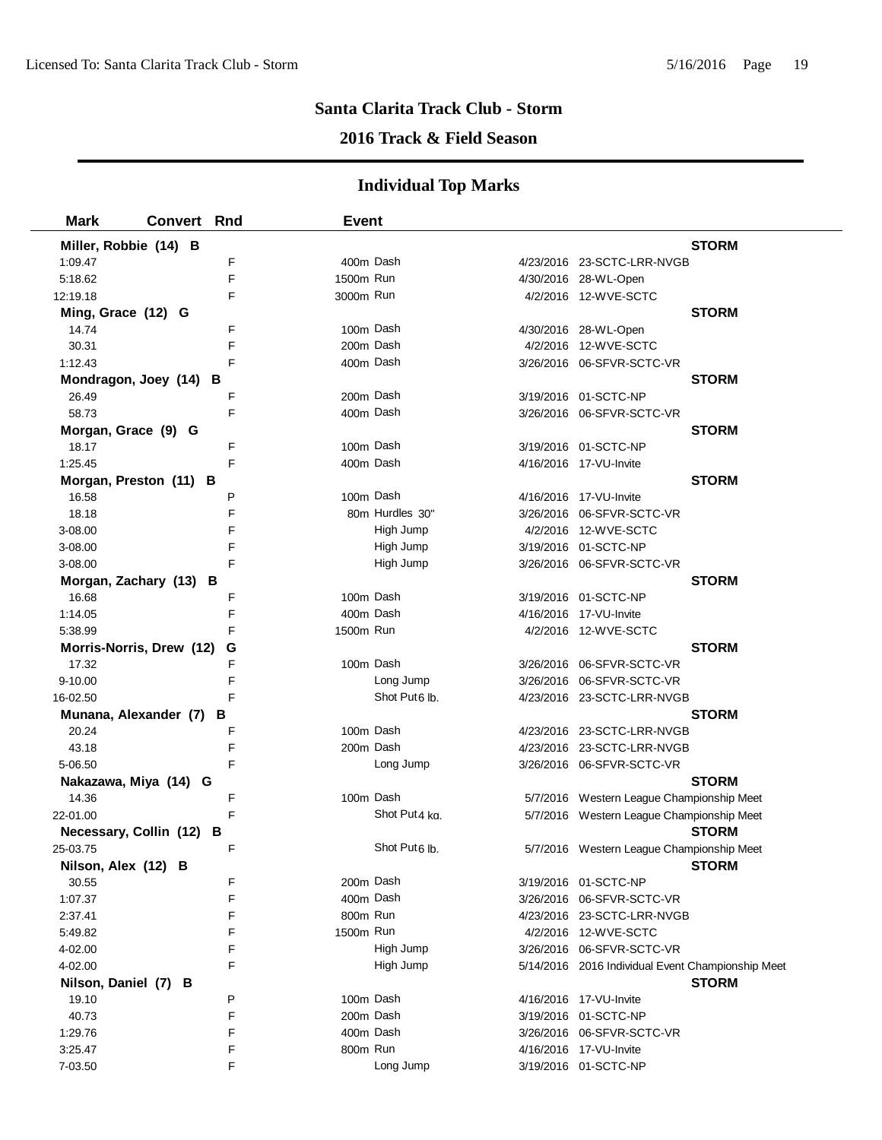## **2016 Track & Field Season**

| <b>Mark</b>              | <b>Convert</b> | Rnd | <b>Event</b> |                           |                                                   |              |
|--------------------------|----------------|-----|--------------|---------------------------|---------------------------------------------------|--------------|
| Miller, Robbie (14) B    |                |     |              |                           |                                                   | <b>STORM</b> |
| 1:09.47                  |                | F   | 400m Dash    |                           | 4/23/2016 23-SCTC-LRR-NVGB                        |              |
| 5:18.62                  |                | F   | 1500m Run    |                           | 4/30/2016 28-WL-Open                              |              |
| 12:19.18                 |                | F   | 3000m Run    |                           | 4/2/2016 12-WVE-SCTC                              |              |
| Ming, Grace (12) G       |                |     |              |                           |                                                   | <b>STORM</b> |
| 14.74                    |                | F   | 100m Dash    |                           | 4/30/2016 28-WL-Open                              |              |
| 30.31                    |                | F   | 200m Dash    |                           | 4/2/2016 12-WVE-SCTC                              |              |
| 1:12.43                  |                | F   | 400m Dash    |                           | 3/26/2016 06-SFVR-SCTC-VR                         |              |
| Mondragon, Joey (14) B   |                |     |              |                           |                                                   | <b>STORM</b> |
| 26.49                    |                | F   | 200m Dash    |                           | 3/19/2016 01-SCTC-NP                              |              |
| 58.73                    |                | F   | 400m Dash    |                           | 3/26/2016 06-SFVR-SCTC-VR                         |              |
| Morgan, Grace (9) G      |                |     |              |                           |                                                   | <b>STORM</b> |
| 18.17                    |                | F   | 100m Dash    |                           | 3/19/2016 01-SCTC-NP                              |              |
| 1:25.45                  |                | F   | 400m Dash    |                           | 4/16/2016 17-VU-Invite                            |              |
| Morgan, Preston (11) B   |                |     |              |                           |                                                   | <b>STORM</b> |
| 16.58                    |                | P   | 100m Dash    |                           | 4/16/2016 17-VU-Invite                            |              |
| 18.18                    |                | F   |              | 80m Hurdles 30"           | 3/26/2016 06-SFVR-SCTC-VR                         |              |
| 3-08.00                  |                | F   |              | High Jump                 | 4/2/2016 12-WVE-SCTC                              |              |
| 3-08.00                  |                | F   |              | High Jump                 | 3/19/2016 01-SCTC-NP                              |              |
| 3-08.00                  |                | F   |              | High Jump                 | 3/26/2016 06-SFVR-SCTC-VR                         |              |
| Morgan, Zachary (13) B   |                |     |              |                           |                                                   | <b>STORM</b> |
| 16.68                    |                | F   | 100m Dash    |                           | 3/19/2016 01-SCTC-NP                              |              |
| 1:14.05                  |                | F   | 400m Dash    |                           | 4/16/2016 17-VU-Invite                            |              |
| 5:38.99                  |                | F   | 1500m Run    |                           | 4/2/2016 12-WVE-SCTC                              |              |
| Morris-Norris, Drew (12) |                | G   |              |                           |                                                   | <b>STORM</b> |
| 17.32                    |                | F   | 100m Dash    |                           | 3/26/2016 06-SFVR-SCTC-VR                         |              |
| $9 - 10.00$              |                | F   |              | Long Jump                 | 3/26/2016 06-SFVR-SCTC-VR                         |              |
| 16-02.50                 |                | F   |              | Shot Put6 lb.             | 4/23/2016 23-SCTC-LRR-NVGB                        |              |
| Munana, Alexander (7)    |                | в   |              |                           |                                                   | <b>STORM</b> |
| 20.24                    |                | F   | 100m Dash    |                           | 4/23/2016 23-SCTC-LRR-NVGB                        |              |
| 43.18                    |                | F   | 200m Dash    |                           | 4/23/2016 23-SCTC-LRR-NVGB                        |              |
| 5-06.50                  |                | F   |              | Long Jump                 | 3/26/2016 06-SFVR-SCTC-VR                         |              |
| Nakazawa, Miya (14) G    |                |     |              |                           |                                                   | <b>STORM</b> |
| 14.36                    |                | F   | 100m Dash    |                           | 5/7/2016 Western League Championship Meet         |              |
| 22-01.00                 |                | F   |              | Shot Put4 kg.             | 5/7/2016 Western League Championship Meet         |              |
| Necessary, Collin (12)   |                | В   |              |                           |                                                   | <b>STORM</b> |
| 25-03.75                 |                | F   |              | Shot Put <sub>6</sub> lb. | 5/7/2016 Western League Championship Meet         |              |
| Nilson, Alex (12) B      |                |     |              |                           |                                                   | <b>STORM</b> |
| 30.55                    |                | F   | 200m Dash    |                           | 3/19/2016 01-SCTC-NP                              |              |
| 1:07.37                  |                | F   | 400m Dash    |                           | 3/26/2016 06-SFVR-SCTC-VR                         |              |
| 2:37.41                  |                | F   | 800m Run     |                           | 4/23/2016 23-SCTC-LRR-NVGB                        |              |
| 5:49.82                  |                | F   | 1500m Run    |                           | 4/2/2016 12-WVE-SCTC                              |              |
| 4-02.00                  |                | F   |              | High Jump                 | 3/26/2016 06-SFVR-SCTC-VR                         |              |
| 4-02.00                  |                | F   |              | High Jump                 | 5/14/2016 2016 Individual Event Championship Meet |              |
| Nilson, Daniel (7) B     |                |     |              |                           |                                                   | <b>STORM</b> |
| 19.10                    |                | P   | 100m Dash    |                           | 4/16/2016 17-VU-Invite                            |              |
| 40.73                    |                | F   | 200m Dash    |                           | 3/19/2016 01-SCTC-NP                              |              |
| 1:29.76                  |                | F   | 400m Dash    |                           | 3/26/2016 06-SFVR-SCTC-VR                         |              |
| 3:25.47                  |                | F   | 800m Run     |                           | 4/16/2016 17-VU-Invite                            |              |
| 7-03.50                  |                | F   |              | Long Jump                 | 3/19/2016 01-SCTC-NP                              |              |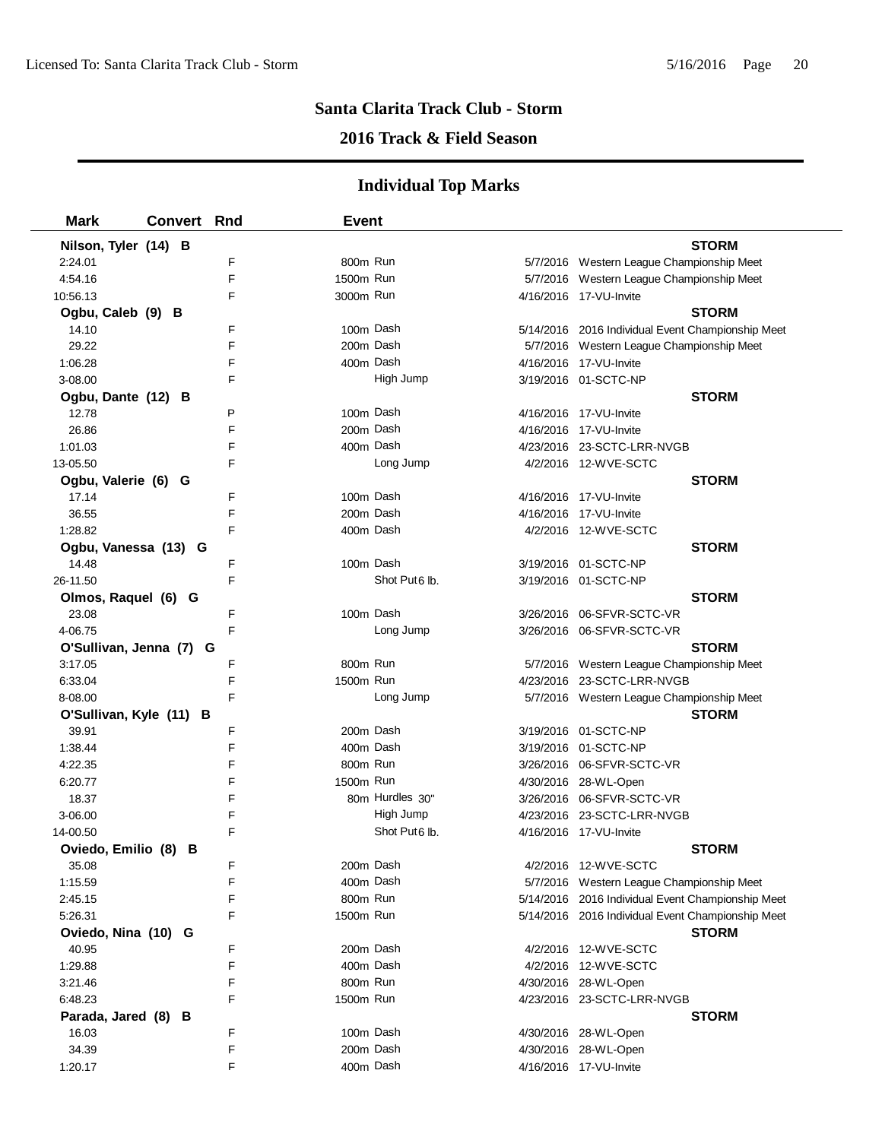## **2016 Track & Field Season**

| <b>Mark</b>             | <b>Convert Rnd</b> |   | <b>Event</b> |                           |                                                   |  |
|-------------------------|--------------------|---|--------------|---------------------------|---------------------------------------------------|--|
| Nilson, Tyler (14) B    |                    |   |              |                           | <b>STORM</b>                                      |  |
| 2:24.01                 |                    | F | 800m Run     |                           | 5/7/2016 Western League Championship Meet         |  |
| 4:54.16                 |                    | E | 1500m Run    |                           | 5/7/2016 Western League Championship Meet         |  |
| 10:56.13                |                    | F | 3000m Run    |                           | 4/16/2016 17-VU-Invite                            |  |
| Ogbu, Caleb (9) B       |                    |   |              |                           | <b>STORM</b>                                      |  |
| 14.10                   |                    | F |              | 100m Dash                 | 5/14/2016 2016 Individual Event Championship Meet |  |
| 29.22                   |                    | F | 200m Dash    |                           | 5/7/2016 Western League Championship Meet         |  |
| 1:06.28                 |                    | F |              | 400m Dash                 | 4/16/2016 17-VU-Invite                            |  |
| 3-08.00                 |                    | F |              | High Jump                 | 3/19/2016 01-SCTC-NP                              |  |
| Ogbu, Dante (12) B      |                    |   |              |                           | <b>STORM</b>                                      |  |
| 12.78                   |                    | P |              | 100m Dash                 | 4/16/2016 17-VU-Invite                            |  |
| 26.86                   |                    | F | 200m Dash    |                           | 4/16/2016 17-VU-Invite                            |  |
| 1:01.03                 |                    | F | 400m Dash    |                           | 4/23/2016 23-SCTC-LRR-NVGB                        |  |
| 13-05.50                |                    | F |              | Long Jump                 | 4/2/2016 12-WVE-SCTC                              |  |
| Ogbu, Valerie (6) G     |                    |   |              |                           | <b>STORM</b>                                      |  |
| 17.14                   |                    | F | 100m Dash    |                           | 4/16/2016 17-VU-Invite                            |  |
| 36.55                   |                    | F | 200m Dash    |                           | 4/16/2016 17-VU-Invite                            |  |
| 1:28.82                 |                    | F | 400m Dash    |                           | 4/2/2016 12-WVE-SCTC                              |  |
| Ogbu, Vanessa (13) G    |                    |   |              |                           | <b>STORM</b>                                      |  |
| 14.48                   |                    | F | 100m Dash    |                           | 3/19/2016 01-SCTC-NP                              |  |
| 26-11.50                |                    | F |              | Shot Put <sub>6</sub> lb. | 3/19/2016 01-SCTC-NP                              |  |
| Olmos, Raquel (6) G     |                    |   |              |                           | <b>STORM</b>                                      |  |
| 23.08                   |                    | F | 100m Dash    |                           | 3/26/2016 06-SFVR-SCTC-VR                         |  |
| 4-06.75                 |                    | F |              | Long Jump                 | 3/26/2016 06-SFVR-SCTC-VR                         |  |
| O'Sullivan, Jenna (7) G |                    |   |              |                           | <b>STORM</b>                                      |  |
| 3:17.05                 |                    | F | 800m Run     |                           | 5/7/2016 Western League Championship Meet         |  |
| 6:33.04                 |                    | F | 1500m Run    |                           | 4/23/2016 23-SCTC-LRR-NVGB                        |  |
| 8-08.00                 |                    | F |              | Long Jump                 | 5/7/2016 Western League Championship Meet         |  |
| O'Sullivan, Kyle (11) B |                    |   |              |                           | <b>STORM</b>                                      |  |
| 39.91                   |                    | F | 200m Dash    |                           | 3/19/2016 01-SCTC-NP                              |  |
| 1:38.44                 |                    | F | 400m Dash    |                           | 3/19/2016 01-SCTC-NP                              |  |
| 4:22.35                 |                    | F | 800m Run     |                           | 3/26/2016 06-SFVR-SCTC-VR                         |  |
| 6:20.77                 |                    | F | 1500m Run    |                           | 4/30/2016 28-WL-Open                              |  |
| 18.37                   |                    | F |              | 80m Hurdles 30"           | 3/26/2016 06-SFVR-SCTC-VR                         |  |
| 3-06.00                 |                    | F |              | High Jump                 | 4/23/2016 23-SCTC-LRR-NVGB                        |  |
| 14-00.50                |                    | F |              | Shot Put6 lb.             | 4/16/2016 17-VU-Invite                            |  |
| Oviedo, Emilio (8) B    |                    |   |              |                           | <b>STORM</b>                                      |  |
| 35.08                   |                    | F | 200m Dash    |                           | 4/2/2016 12-WVE-SCTC                              |  |
| 1:15.59                 |                    | F | 400m Dash    |                           | 5/7/2016 Western League Championship Meet         |  |
| 2:45.15                 |                    | F | 800m Run     |                           | 5/14/2016 2016 Individual Event Championship Meet |  |
| 5:26.31                 |                    | F | 1500m Run    |                           | 5/14/2016 2016 Individual Event Championship Meet |  |
| Oviedo, Nina (10) G     |                    |   |              |                           | <b>STORM</b>                                      |  |
| 40.95                   |                    | F | 200m Dash    |                           | 4/2/2016 12-WVE-SCTC                              |  |
| 1:29.88                 |                    | F | 400m Dash    |                           | 4/2/2016 12-WVE-SCTC                              |  |
| 3:21.46                 |                    | F | 800m Run     |                           | 4/30/2016 28-WL-Open                              |  |
| 6:48.23                 |                    | F | 1500m Run    |                           | 4/23/2016 23-SCTC-LRR-NVGB                        |  |
| Parada, Jared (8) B     |                    |   |              |                           | <b>STORM</b>                                      |  |
| 16.03                   |                    | F | 100m Dash    |                           | 4/30/2016 28-WL-Open                              |  |
| 34.39                   |                    | F | 200m Dash    |                           | 4/30/2016 28-WL-Open                              |  |
| 1:20.17                 |                    | F | 400m Dash    |                           | 4/16/2016 17-VU-Invite                            |  |
|                         |                    |   |              |                           |                                                   |  |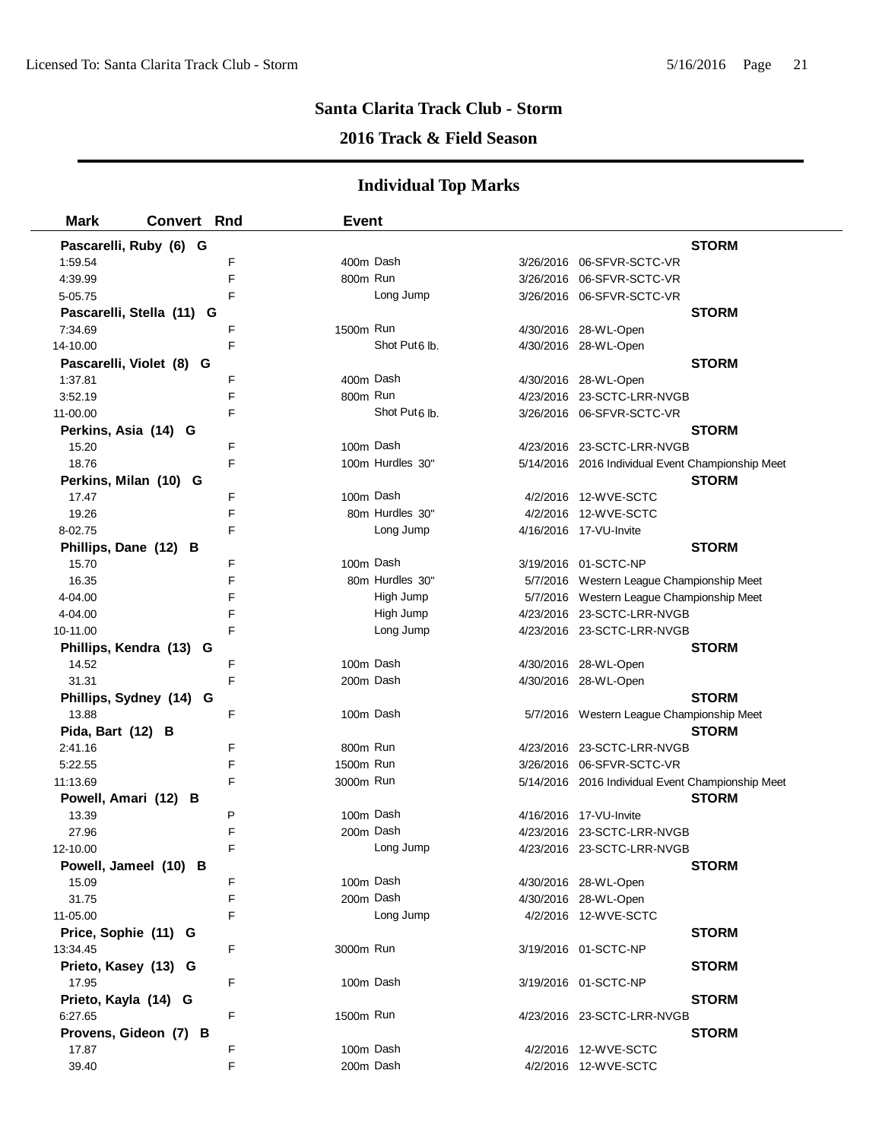### **2016 Track & Field Season**

| <b>Mark</b><br><b>Convert Rnd</b> |   | <b>Event</b> |                           |                                                   |              |
|-----------------------------------|---|--------------|---------------------------|---------------------------------------------------|--------------|
| Pascarelli, Ruby (6) G            |   |              |                           |                                                   | <b>STORM</b> |
| 1:59.54                           | F | 400m Dash    |                           | 3/26/2016 06-SFVR-SCTC-VR                         |              |
| 4:39.99                           | F | 800m Run     |                           | 3/26/2016 06-SFVR-SCTC-VR                         |              |
| 5-05.75                           | F |              | Long Jump                 | 3/26/2016 06-SFVR-SCTC-VR                         |              |
| Pascarelli, Stella (11) G         |   |              |                           |                                                   | <b>STORM</b> |
| 7:34.69                           | F | 1500m Run    |                           | 4/30/2016 28-WL-Open                              |              |
| 14-10.00                          | F |              | Shot Put <sub>6</sub> lb. | 4/30/2016 28-WL-Open                              |              |
| Pascarelli, Violet (8) G          |   |              |                           |                                                   | <b>STORM</b> |
| 1:37.81                           | F | 400m Dash    |                           | 4/30/2016 28-WL-Open                              |              |
| 3:52.19                           | F | 800m Run     |                           | 4/23/2016 23-SCTC-LRR-NVGB                        |              |
| 11-00.00                          | F |              | Shot Put <sub>6</sub> lb. | 3/26/2016 06-SFVR-SCTC-VR                         |              |
| Perkins, Asia (14) G              |   |              |                           |                                                   | <b>STORM</b> |
| 15.20                             | F | 100m Dash    |                           | 4/23/2016 23-SCTC-LRR-NVGB                        |              |
| 18.76                             | F |              | 100m Hurdles 30"          | 5/14/2016 2016 Individual Event Championship Meet |              |
| Perkins, Milan (10) G             |   |              |                           |                                                   | <b>STORM</b> |
| 17.47                             | F | 100m Dash    |                           | 4/2/2016 12-WVE-SCTC                              |              |
| 19.26                             | F |              | 80m Hurdles 30"           | 4/2/2016 12-WVE-SCTC                              |              |
| 8-02.75                           | F |              | Long Jump                 | 4/16/2016 17-VU-Invite                            |              |
| Phillips, Dane (12) B             |   |              |                           |                                                   | <b>STORM</b> |
| 15.70                             | F | 100m Dash    |                           | 3/19/2016 01-SCTC-NP                              |              |
| 16.35                             | F |              | 80m Hurdles 30"           | 5/7/2016 Western League Championship Meet         |              |
| 4-04.00                           | F |              | High Jump                 | 5/7/2016 Western League Championship Meet         |              |
| 4-04.00                           | F |              | High Jump                 | 4/23/2016 23-SCTC-LRR-NVGB                        |              |
| 10-11.00                          | F |              | Long Jump                 | 4/23/2016 23-SCTC-LRR-NVGB                        |              |
| Phillips, Kendra (13) G           |   |              |                           |                                                   | <b>STORM</b> |
| 14.52                             | F | 100m Dash    |                           | 4/30/2016 28-WL-Open                              |              |
| 31.31                             | F | 200m Dash    |                           | 4/30/2016 28-WL-Open                              |              |
| Phillips, Sydney (14) G           |   |              |                           |                                                   | <b>STORM</b> |
| 13.88                             | F |              | 100m Dash                 | 5/7/2016 Western League Championship Meet         |              |
| Pida, Bart (12) B                 |   |              |                           |                                                   | <b>STORM</b> |
| 2:41.16                           | F | 800m Run     |                           | 4/23/2016 23-SCTC-LRR-NVGB                        |              |
| 5:22.55                           | F | 1500m Run    |                           | 3/26/2016 06-SFVR-SCTC-VR                         |              |
| 11:13.69                          | F | 3000m Run    |                           | 5/14/2016 2016 Individual Event Championship Meet |              |
| Powell, Amari (12) B              |   |              |                           |                                                   | <b>STORM</b> |
| 13.39                             | P | 100m Dash    |                           | 4/16/2016 17-VU-Invite                            |              |
| 27.96                             | F | 200m Dash    |                           | 4/23/2016 23-SCTC-LRR-NVGB                        |              |
| 12-10.00                          | F |              | Long Jump                 | 4/23/2016 23-SCTC-LRR-NVGB                        |              |
| Powell, Jameel (10) B             |   |              |                           |                                                   | <b>STORM</b> |
| 15.09                             | F | 100m Dash    |                           | 4/30/2016 28-WL-Open                              |              |
| 31.75                             | F | 200m Dash    |                           | 4/30/2016 28-WL-Open                              |              |
| 11-05.00                          | F |              | Long Jump                 | 4/2/2016 12-WVE-SCTC                              |              |
| Price, Sophie (11) G              |   |              |                           |                                                   | <b>STORM</b> |
| 13:34.45                          | F | 3000m Run    |                           | 3/19/2016 01-SCTC-NP                              |              |
| Prieto, Kasey (13) G              |   |              |                           |                                                   | <b>STORM</b> |
| 17.95                             | F |              | 100m Dash                 | 3/19/2016 01-SCTC-NP                              |              |
| Prieto, Kayla (14) G              |   |              |                           |                                                   | <b>STORM</b> |
| 6:27.65                           | F | 1500m Run    |                           | 4/23/2016 23-SCTC-LRR-NVGB                        |              |
| Provens, Gideon (7) B             |   |              |                           |                                                   | <b>STORM</b> |
| 17.87                             | F | 100m Dash    |                           | 4/2/2016 12-WVE-SCTC                              |              |
| 39.40                             | F | 200m Dash    |                           | 4/2/2016 12-WVE-SCTC                              |              |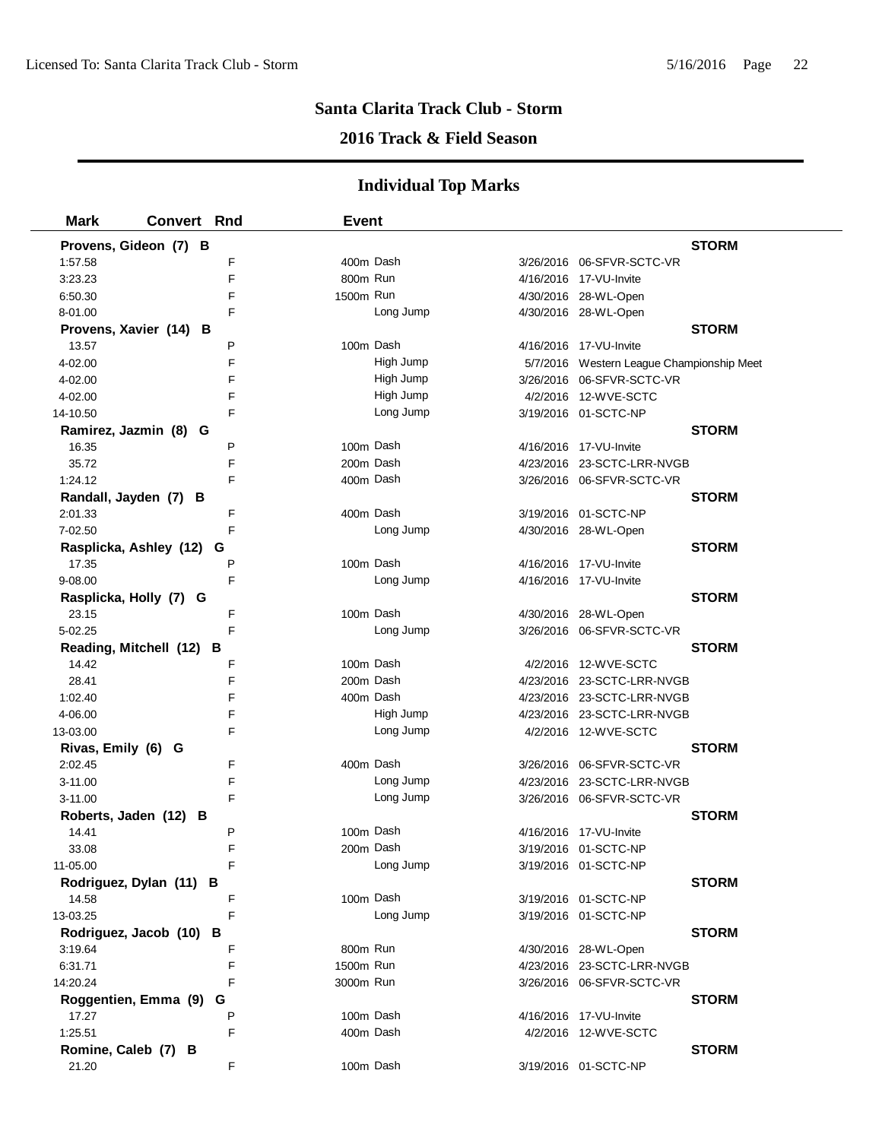## **2016 Track & Field Season**

| <b>Mark</b>             | Convert Rnd | <b>Event</b> |           |                                           |  |
|-------------------------|-------------|--------------|-----------|-------------------------------------------|--|
| Provens, Gideon (7) B   |             |              |           | <b>STORM</b>                              |  |
| 1:57.58                 | F           | 400m Dash    |           | 3/26/2016 06-SFVR-SCTC-VR                 |  |
| 3:23.23                 | F           | 800m Run     |           | 4/16/2016 17-VU-Invite                    |  |
| 6:50.30                 | F           | 1500m Run    |           | 4/30/2016 28-WL-Open                      |  |
| 8-01.00                 | F           |              | Long Jump | 4/30/2016 28-WL-Open                      |  |
| Provens, Xavier (14) B  |             |              |           | <b>STORM</b>                              |  |
| 13.57                   | P           | 100m Dash    |           | 4/16/2016 17-VU-Invite                    |  |
| 4-02.00                 | F           |              | High Jump | 5/7/2016 Western League Championship Meet |  |
| 4-02.00                 | F           |              | High Jump | 3/26/2016 06-SFVR-SCTC-VR                 |  |
| 4-02.00                 | F           |              | High Jump | 4/2/2016 12-WVE-SCTC                      |  |
| 14-10.50                | F           |              | Long Jump | 3/19/2016 01-SCTC-NP                      |  |
| Ramirez, Jazmin (8) G   |             |              |           | <b>STORM</b>                              |  |
| 16.35                   | P           | 100m Dash    |           | 4/16/2016 17-VU-Invite                    |  |
| 35.72                   | F           | 200m Dash    |           | 4/23/2016 23-SCTC-LRR-NVGB                |  |
| 1:24.12                 | F           |              | 400m Dash | 3/26/2016 06-SFVR-SCTC-VR                 |  |
| Randall, Jayden (7) B   |             |              |           | <b>STORM</b>                              |  |
| 2:01.33                 | F           | 400m Dash    |           | 3/19/2016 01-SCTC-NP                      |  |
| 7-02.50                 | F           |              | Long Jump | 4/30/2016 28-WL-Open                      |  |
| Rasplicka, Ashley (12)  | G           |              |           | <b>STORM</b>                              |  |
| 17.35                   | P           | 100m Dash    |           | 4/16/2016 17-VU-Invite                    |  |
| 9-08.00                 | F           |              | Long Jump | 4/16/2016 17-VU-Invite                    |  |
| Rasplicka, Holly (7) G  |             |              |           | <b>STORM</b>                              |  |
| 23.15                   | F           | 100m Dash    |           | 4/30/2016 28-WL-Open                      |  |
| 5-02.25                 | F           |              | Long Jump | 3/26/2016 06-SFVR-SCTC-VR                 |  |
| Reading, Mitchell (12)  | в           |              |           | <b>STORM</b>                              |  |
| 14.42                   | F           | 100m Dash    |           | 4/2/2016 12-WVE-SCTC                      |  |
| 28.41                   | F           | 200m Dash    |           | 4/23/2016 23-SCTC-LRR-NVGB                |  |
| 1:02.40                 | F           | 400m Dash    |           | 4/23/2016 23-SCTC-LRR-NVGB                |  |
| 4-06.00                 | F           |              | High Jump | 4/23/2016 23-SCTC-LRR-NVGB                |  |
| 13-03.00                | F           |              | Long Jump | 4/2/2016 12-WVE-SCTC                      |  |
| Rivas, Emily (6) G      |             |              |           | <b>STORM</b>                              |  |
| 2:02.45                 | F           | 400m Dash    |           | 3/26/2016 06-SFVR-SCTC-VR                 |  |
| 3-11.00                 | F           |              | Long Jump | 4/23/2016 23-SCTC-LRR-NVGB                |  |
| 3-11.00                 | F           |              | Long Jump | 3/26/2016 06-SFVR-SCTC-VR                 |  |
| Roberts, Jaden (12) B   |             |              |           | <b>STORM</b>                              |  |
| 14.41                   | P           | 100m Dash    |           | 4/16/2016 17-VU-Invite                    |  |
| 33.08                   | F           |              | 200m Dash | 3/19/2016 01-SCTC-NP                      |  |
| 11-05.00                |             |              | Long Jump | 3/19/2016 01-SCTC-NP                      |  |
| Rodriguez, Dylan (11) B |             |              |           | <b>STORM</b>                              |  |
| 14.58                   | F           |              | 100m Dash | 3/19/2016 01-SCTC-NP                      |  |
| 13-03.25                | F           |              | Long Jump | 3/19/2016 01-SCTC-NP                      |  |
| Rodriguez, Jacob (10)   | в           |              |           | <b>STORM</b>                              |  |
| 3:19.64                 | F           | 800m Run     |           | 4/30/2016 28-WL-Open                      |  |
| 6:31.71                 | F           | 1500m Run    |           | 4/23/2016 23-SCTC-LRR-NVGB                |  |
| 14:20.24                | F           | 3000m Run    |           | 3/26/2016 06-SFVR-SCTC-VR                 |  |
| Roggentien, Emma (9)    | G           |              |           | <b>STORM</b>                              |  |
| 17.27                   | P           |              | 100m Dash | 4/16/2016 17-VU-Invite                    |  |
| 1:25.51                 | F           |              | 400m Dash | 4/2/2016 12-WVE-SCTC                      |  |
| Romine, Caleb (7) B     |             |              |           | <b>STORM</b>                              |  |
| 21.20                   | F           |              | 100m Dash | 3/19/2016 01-SCTC-NP                      |  |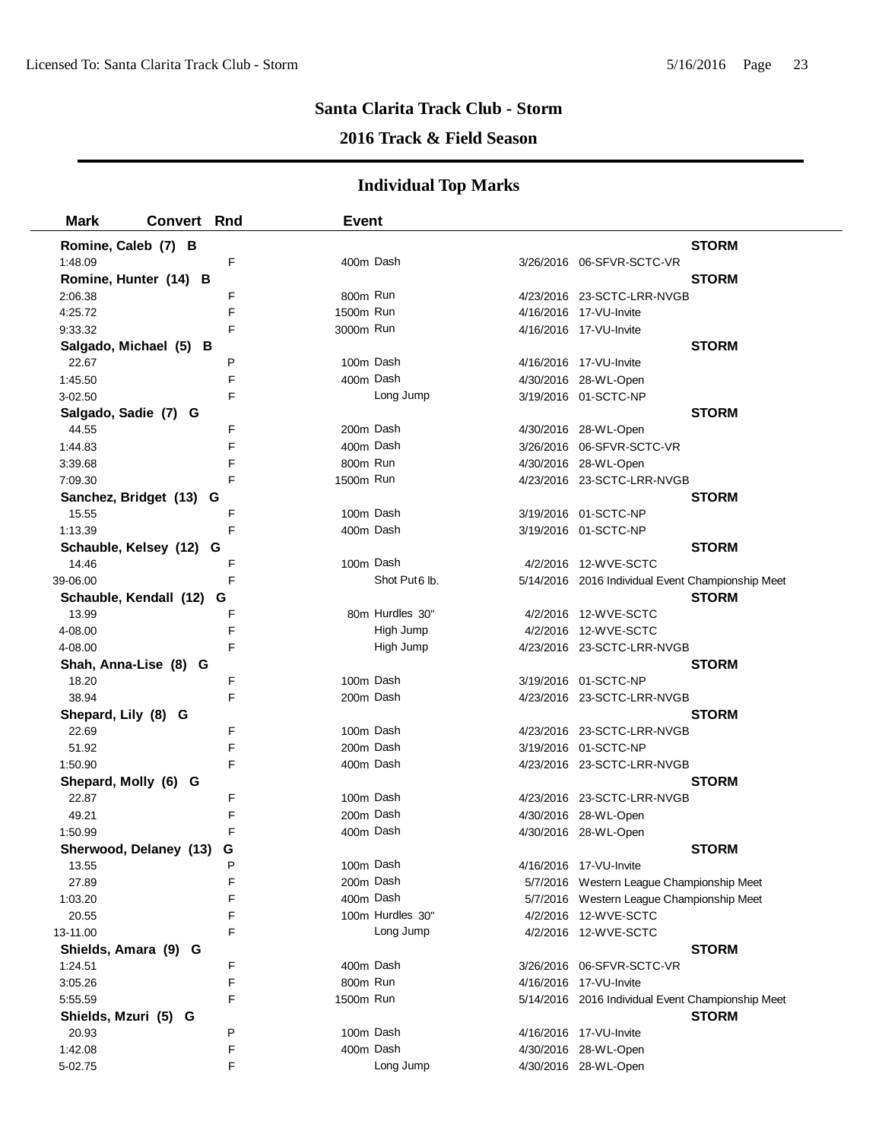## **2016 Track & Field Season**

| <b>Mark</b>          | <b>Convert</b><br>Rnd       | <b>Event</b>              |                                                   |
|----------------------|-----------------------------|---------------------------|---------------------------------------------------|
| Romine, Caleb (7) B  |                             |                           | <b>STORM</b>                                      |
| 1:48.09              | F                           | 400m Dash                 |                                                   |
|                      | Romine, Hunter (14) B       |                           | <b>STORM</b>                                      |
| 2:06.38              | F                           | 800m Run                  | 4/23/2016 23-SCTC-LRR-NVGB                        |
| 4:25.72              | E                           | 1500m Run                 | 4/16/2016 17-VU-Invite                            |
| 9:33.32              | F                           | 3000m Run                 | 4/16/2016 17-VU-Invite                            |
|                      | Salgado, Michael (5) B      |                           | <b>STORM</b>                                      |
| 22.67                | P                           | 100m Dash                 | 4/16/2016 17-VU-Invite                            |
| 1:45.50              | F                           | 400m Dash                 | 4/30/2016 28-WL-Open                              |
| 3-02.50              | F                           | Long Jump                 | 3/19/2016 01-SCTC-NP                              |
| Salgado, Sadie (7) G |                             |                           | <b>STORM</b>                                      |
| 44.55                | F                           | 200m Dash                 | 4/30/2016 28-WL-Open                              |
| 1:44.83              | F                           | 400m Dash                 | 3/26/2016 06-SFVR-SCTC-VR                         |
| 3:39.68              | F                           | 800m Run                  | 4/30/2016 28-WL-Open                              |
| 7:09.30              | F                           | 1500m Run                 | 4/23/2016 23-SCTC-LRR-NVGB                        |
|                      | Sanchez, Bridget (13) G     |                           | <b>STORM</b>                                      |
| 15.55                | F                           | 100m Dash                 | 3/19/2016 01-SCTC-NP                              |
| 1:13.39              | F                           | 400m Dash                 | 3/19/2016 01-SCTC-NP                              |
|                      | Schauble, Kelsey (12) G     |                           | <b>STORM</b>                                      |
| 14.46                | F                           | 100m Dash                 | 4/2/2016 12-WVE-SCTC                              |
| 39-06.00             | F                           | Shot Put <sub>6</sub> lb. | 5/14/2016 2016 Individual Event Championship Meet |
|                      | Schauble, Kendall (12)<br>G |                           | <b>STORM</b>                                      |
| 13.99                | F                           | 80m Hurdles 30"           | 4/2/2016 12-WVE-SCTC                              |
| 4-08.00              | F                           | High Jump                 | 4/2/2016 12-WVE-SCTC                              |
| 4-08.00              | F                           | High Jump                 | 4/23/2016 23-SCTC-LRR-NVGB                        |
|                      | Shah, Anna-Lise (8) G       |                           | <b>STORM</b>                                      |
| 18.20                | F                           | 100m Dash                 | 3/19/2016 01-SCTC-NP                              |
| 38.94                | F                           | 200m Dash                 | 4/23/2016 23-SCTC-LRR-NVGB                        |
| Shepard, Lily (8) G  |                             |                           | <b>STORM</b>                                      |
| 22.69                | F                           | 100m Dash                 | 4/23/2016 23-SCTC-LRR-NVGB                        |
| 51.92                | F                           | 200m Dash                 | 3/19/2016 01-SCTC-NP                              |
| 1:50.90              | F                           | 400m Dash                 | 4/23/2016 23-SCTC-LRR-NVGB                        |
| Shepard, Molly (6) G |                             |                           | <b>STORM</b>                                      |
| 22.87                | F                           | 100m Dash                 | 4/23/2016 23-SCTC-LRR-NVGB                        |
| 49.21                | F                           | 200m Dash                 | 4/30/2016 28-WL-Open                              |
| 1:50.99              | F                           | 400m Dash                 | 4/30/2016 28-WL-Open                              |
|                      | Sherwood, Delaney (13)<br>G |                           | <b>STORM</b>                                      |
| 13.55                | P                           | 100m Dash                 | 4/16/2016 17-VU-Invite                            |
| 27.89                | F                           | 200m Dash                 | 5/7/2016 Western League Championship Meet         |
| 1:03.20              | F                           | 400m Dash                 | 5/7/2016 Western League Championship Meet         |
| 20.55                | F                           | 100m Hurdles 30"          | 4/2/2016 12-WVE-SCTC                              |
| 13-11.00             | F                           | Long Jump                 | 4/2/2016 12-WVE-SCTC                              |
| Shields, Amara (9) G |                             |                           | <b>STORM</b>                                      |
| 1:24.51              | F                           | 400m Dash                 |                                                   |
| 3:05.26              | F                           | 800m Run                  | 4/16/2016 17-VU-Invite                            |
| 5:55.59              | F                           | 1500m Run                 | 5/14/2016 2016 Individual Event Championship Meet |
| Shields, Mzuri (5) G |                             |                           | <b>STORM</b>                                      |
| 20.93                | P                           | 100m Dash                 | 4/16/2016 17-VU-Invite                            |
| 1:42.08              | F                           | 400m Dash                 | 4/30/2016 28-WL-Open                              |
| 5-02.75              | F                           | Long Jump                 | 4/30/2016 28-WL-Open                              |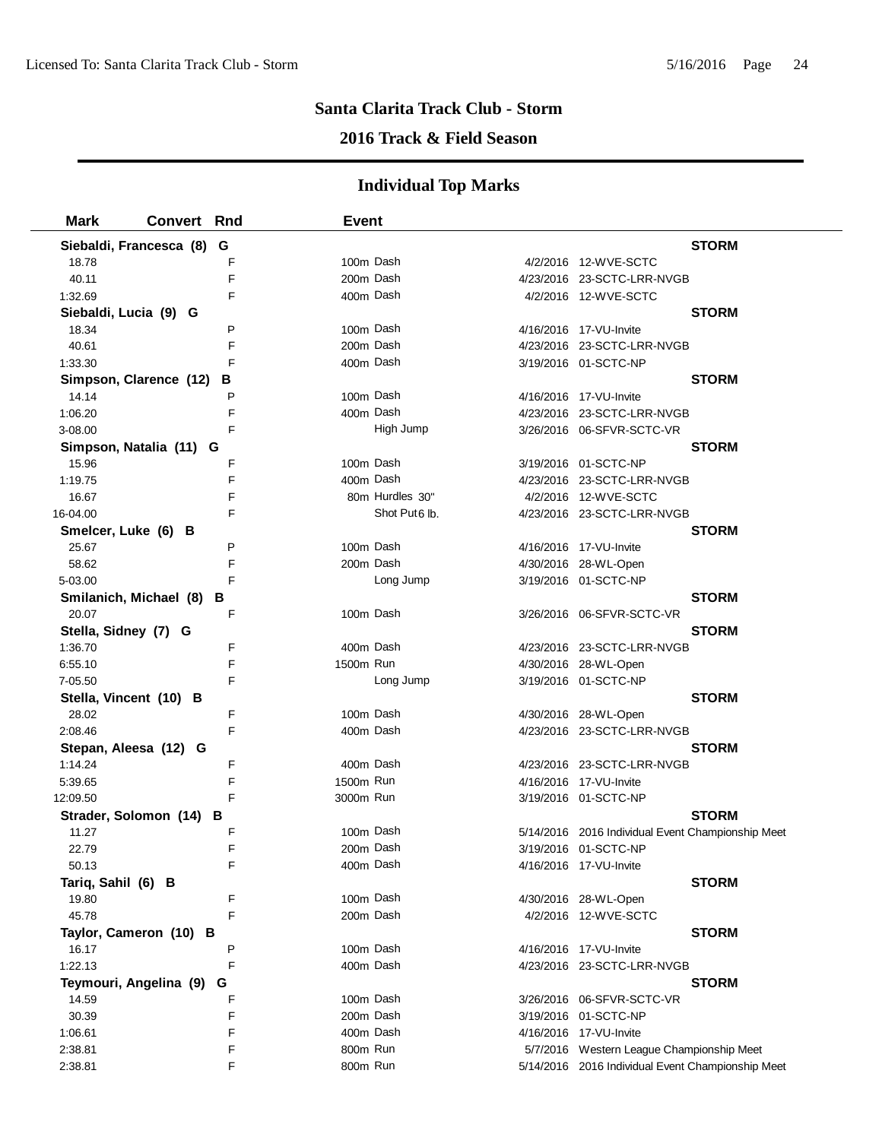## **2016 Track & Field Season**

| <b>Mark</b>            | <b>Convert Rnd</b>      |        | <b>Event</b> |                           |                                                      |              |
|------------------------|-------------------------|--------|--------------|---------------------------|------------------------------------------------------|--------------|
|                        | Siebaldi, Francesca (8) | G      |              |                           |                                                      | <b>STORM</b> |
| 18.78                  |                         | F      | 100m Dash    |                           | 4/2/2016 12-WVE-SCTC                                 |              |
| 40.11                  |                         | F      | 200m Dash    |                           | 4/23/2016 23-SCTC-LRR-NVGB                           |              |
| 1:32.69                |                         | F      | 400m Dash    |                           | 4/2/2016 12-WVE-SCTC                                 |              |
| Siebaldi, Lucia (9) G  |                         |        |              |                           |                                                      | <b>STORM</b> |
| 18.34                  |                         | P      | 100m Dash    |                           | 4/16/2016 17-VU-Invite                               |              |
| 40.61                  |                         | F      | 200m Dash    |                           | 4/23/2016 23-SCTC-LRR-NVGB                           |              |
| 1:33.30                |                         | F      | 400m Dash    |                           | 3/19/2016 01-SCTC-NP                                 |              |
|                        | Simpson, Clarence (12)  | В      |              |                           |                                                      | <b>STORM</b> |
| 14.14                  |                         | P      | 100m Dash    |                           | 4/16/2016 17-VU-Invite                               |              |
| 1:06.20                |                         | F      | 400m Dash    |                           | 4/23/2016 23-SCTC-LRR-NVGB                           |              |
| 3-08.00                |                         | F      |              | High Jump                 | 3/26/2016 06-SFVR-SCTC-VR                            |              |
|                        | Simpson, Natalia (11) G |        |              |                           |                                                      | <b>STORM</b> |
| 15.96                  |                         | F      | 100m Dash    |                           | 3/19/2016 01-SCTC-NP                                 |              |
| 1:19.75                |                         | F      | 400m Dash    |                           | 4/23/2016 23-SCTC-LRR-NVGB                           |              |
| 16.67                  |                         | F      |              | 80m Hurdles 30"           | 4/2/2016 12-WVE-SCTC                                 |              |
| 16-04.00               |                         | F      |              | Shot Put <sub>6</sub> lb. | 4/23/2016 23-SCTC-LRR-NVGB                           |              |
| Smelcer, Luke (6) B    |                         |        |              |                           |                                                      | <b>STORM</b> |
| 25.67                  |                         | P      | 100m Dash    |                           | 4/16/2016 17-VU-Invite                               |              |
| 58.62                  |                         | F      | 200m Dash    |                           | 4/30/2016 28-WL-Open                                 |              |
| 5-03.00                |                         | F      |              | Long Jump                 | 3/19/2016 01-SCTC-NP                                 |              |
|                        | Smilanich, Michael (8)  | в      |              |                           |                                                      | <b>STORM</b> |
| 20.07                  |                         | F      | 100m Dash    |                           | 3/26/2016 06-SFVR-SCTC-VR                            |              |
| Stella, Sidney (7) G   |                         |        |              |                           |                                                      | <b>STORM</b> |
| 1:36.70                |                         | F      | 400m Dash    |                           | 4/23/2016 23-SCTC-LRR-NVGB                           |              |
| 6:55.10                |                         | F      | 1500m Run    |                           | 4/30/2016 28-WL-Open                                 |              |
| 7-05.50                |                         | F      |              | Long Jump                 | 3/19/2016 01-SCTC-NP                                 |              |
| Stella, Vincent (10) B |                         |        |              |                           |                                                      | <b>STORM</b> |
| 28.02                  |                         | F      | 100m Dash    |                           | 4/30/2016 28-WL-Open                                 |              |
| 2:08.46                |                         | F      | 400m Dash    |                           | 4/23/2016 23-SCTC-LRR-NVGB                           |              |
|                        | Stepan, Aleesa (12) G   |        |              |                           |                                                      | <b>STORM</b> |
| 1:14.24                |                         | F      | 400m Dash    |                           | 4/23/2016 23-SCTC-LRR-NVGB                           |              |
| 5:39.65                |                         | F      | 1500m Run    |                           | 4/16/2016 17-VU-Invite                               |              |
| 12:09.50               |                         | F      | 3000m Run    |                           | 3/19/2016 01-SCTC-NP                                 |              |
|                        | Strader, Solomon (14)   | в      |              |                           |                                                      | <b>STORM</b> |
| 11.27                  |                         | F      | 100m Dash    |                           | 5/14/2016 2016 Individual Event Championship Meet    |              |
| 22.79                  |                         | F      | 200m Dash    |                           | 3/19/2016 01-SCTC-NP                                 |              |
| 50.13                  |                         |        | 400m Dash    |                           | 4/16/2016 17-VU-Invite                               |              |
| Tariq, Sahil (6) B     |                         |        |              |                           |                                                      | <b>STORM</b> |
| 19.80                  |                         | F<br>F | 100m Dash    |                           | 4/30/2016 28-WL-Open                                 |              |
| 45.78                  |                         |        | 200m Dash    |                           | 4/2/2016 12-WVE-SCTC                                 |              |
|                        | Taylor, Cameron (10) B  | P      | 100m Dash    |                           |                                                      | <b>STORM</b> |
| 16.17<br>1:22.13       |                         | F      | 400m Dash    |                           | 4/16/2016 17-VU-Invite<br>4/23/2016 23-SCTC-LRR-NVGB |              |
|                        |                         |        |              |                           |                                                      |              |
| 14.59                  | Teymouri, Angelina (9)  | G<br>F | 100m Dash    |                           |                                                      | <b>STORM</b> |
| 30.39                  |                         | F      | 200m Dash    |                           | 3/19/2016 01-SCTC-NP                                 |              |
| 1:06.61                |                         | F      | 400m Dash    |                           | 4/16/2016 17-VU-Invite                               |              |
| 2:38.81                |                         | F      | 800m Run     |                           | 5/7/2016 Western League Championship Meet            |              |
| 2:38.81                |                         | F      | 800m Run     |                           | 5/14/2016 2016 Individual Event Championship Meet    |              |
|                        |                         |        |              |                           |                                                      |              |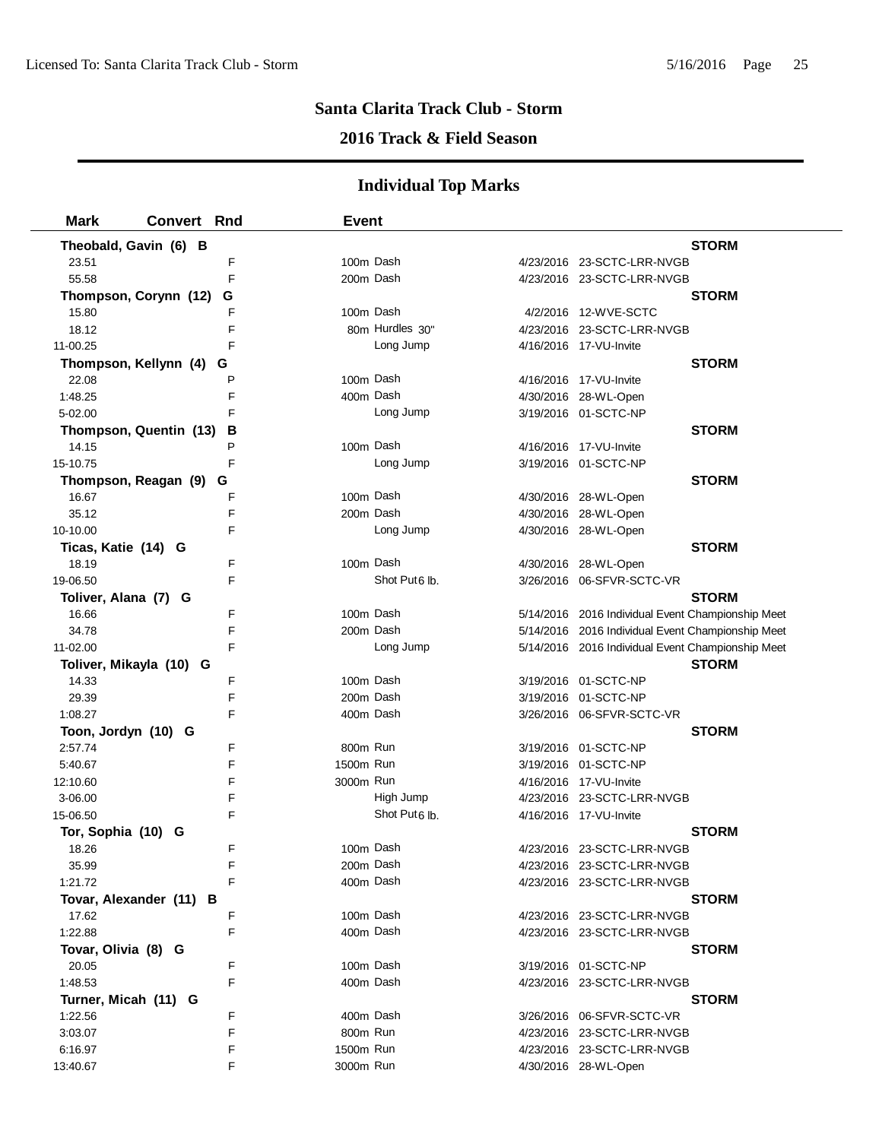### **2016 Track & Field Season**

| <b>Mark</b>          | Convert Rnd                 | <b>Event</b> |                           |                                                   |
|----------------------|-----------------------------|--------------|---------------------------|---------------------------------------------------|
|                      | Theobald, Gavin (6) B       |              |                           | <b>STORM</b>                                      |
| 23.51                | F                           |              | 100m Dash                 | 4/23/2016 23-SCTC-LRR-NVGB                        |
| 55.58                | F                           |              | 200m Dash                 | 4/23/2016 23-SCTC-LRR-NVGB                        |
|                      | Thompson, Corynn (12)<br>G  |              |                           | <b>STORM</b>                                      |
| 15.80                | F                           |              | 100m Dash                 | 4/2/2016 12-WVE-SCTC                              |
| 18.12                | F                           |              | 80m Hurdles 30"           | 4/23/2016 23-SCTC-LRR-NVGB                        |
| 11-00.25             | F                           |              | Long Jump                 | 4/16/2016 17-VU-Invite                            |
|                      | Thompson, Kellynn (4)<br>G  |              |                           | <b>STORM</b>                                      |
| 22.08                | P                           |              | 100m Dash                 | 4/16/2016 17-VU-Invite                            |
| 1:48.25              | F                           |              | 400m Dash                 | 4/30/2016 28-WL-Open                              |
| 5-02.00              | F                           |              | Long Jump                 | 3/19/2016 01-SCTC-NP                              |
|                      | в<br>Thompson, Quentin (13) |              |                           | <b>STORM</b>                                      |
| 14.15                | P                           |              | 100m Dash                 | 4/16/2016 17-VU-Invite                            |
| 15-10.75             | F                           |              | Long Jump                 | 3/19/2016 01-SCTC-NP                              |
|                      | Thompson, Reagan (9) G      |              |                           | <b>STORM</b>                                      |
| 16.67                | F                           |              | 100m Dash                 | 4/30/2016 28-WL-Open                              |
| 35.12                | F                           |              | 200m Dash                 | 4/30/2016 28-WL-Open                              |
| 10-10.00             | F                           |              | Long Jump                 | 4/30/2016 28-WL-Open                              |
| Ticas, Katie (14) G  |                             |              |                           | <b>STORM</b>                                      |
| 18.19                | F                           |              | 100m Dash                 | 4/30/2016 28-WL-Open                              |
| 19-06.50             | F                           |              | Shot Put <sub>6</sub> lb. | 3/26/2016 06-SFVR-SCTC-VR                         |
| Toliver, Alana (7) G |                             |              |                           | <b>STORM</b>                                      |
| 16.66                | F                           |              | 100m Dash                 | 5/14/2016 2016 Individual Event Championship Meet |
| 34.78                | F                           |              | 200m Dash                 | 5/14/2016 2016 Individual Event Championship Meet |
| 11-02.00             | F                           |              | Long Jump                 | 5/14/2016 2016 Individual Event Championship Meet |
|                      | Toliver, Mikayla (10) G     |              |                           | <b>STORM</b>                                      |
| 14.33                | F                           |              | 100m Dash                 | 3/19/2016 01-SCTC-NP                              |
| 29.39                | F                           |              | 200m Dash                 | 3/19/2016 01-SCTC-NP                              |
| 1:08.27              | F                           |              | 400m Dash                 | 3/26/2016 06-SFVR-SCTC-VR                         |
| Toon, Jordyn (10) G  |                             |              |                           | <b>STORM</b>                                      |
| 2:57.74              | F                           |              | 800m Run                  | 3/19/2016 01-SCTC-NP                              |
| 5:40.67              | F                           | 1500m Run    |                           | 3/19/2016 01-SCTC-NP                              |
| 12:10.60             | F                           | 3000m Run    |                           | 4/16/2016 17-VU-Invite                            |
| 3-06.00              | F                           |              | High Jump                 | 4/23/2016 23-SCTC-LRR-NVGB                        |
| 15-06.50             | F                           |              | Shot Put <sub>6</sub> lb. | 4/16/2016 17-VU-Invite                            |
| Tor, Sophia (10) G   |                             |              |                           | <b>STORM</b>                                      |
| 18.26                | F                           |              | 100m Dash                 | 4/23/2016 23-SCTC-LRR-NVGB                        |
| 35.99                | F                           |              | 200m Dash                 | 4/23/2016 23-SCTC-LRR-NVGB                        |
| 1:21.72              | F                           |              | 400m Dash                 | 4/23/2016 23-SCTC-LRR-NVGB                        |
|                      | Tovar, Alexander (11) B     |              |                           | <b>STORM</b>                                      |
| 17.62                | F                           |              | 100m Dash                 | 4/23/2016 23-SCTC-LRR-NVGB                        |
| 1:22.88              | F                           |              | 400m Dash                 | 4/23/2016 23-SCTC-LRR-NVGB                        |
| Tovar, Olivia (8) G  |                             |              |                           | <b>STORM</b>                                      |
| 20.05                | F                           |              | 100m Dash                 | 3/19/2016 01-SCTC-NP                              |
| 1:48.53              | F                           |              | 400m Dash                 | 4/23/2016 23-SCTC-LRR-NVGB                        |
| Turner, Micah (11) G |                             |              |                           | <b>STORM</b>                                      |
| 1:22.56              | F                           |              | 400m Dash                 |                                                   |
| 3:03.07              | F                           |              | 800m Run                  | 4/23/2016 23-SCTC-LRR-NVGB                        |
| 6:16.97              | F                           | 1500m Run    |                           | 4/23/2016 23-SCTC-LRR-NVGB                        |
| 13:40.67             | F                           | 3000m Run    |                           | 4/30/2016 28-WL-Open                              |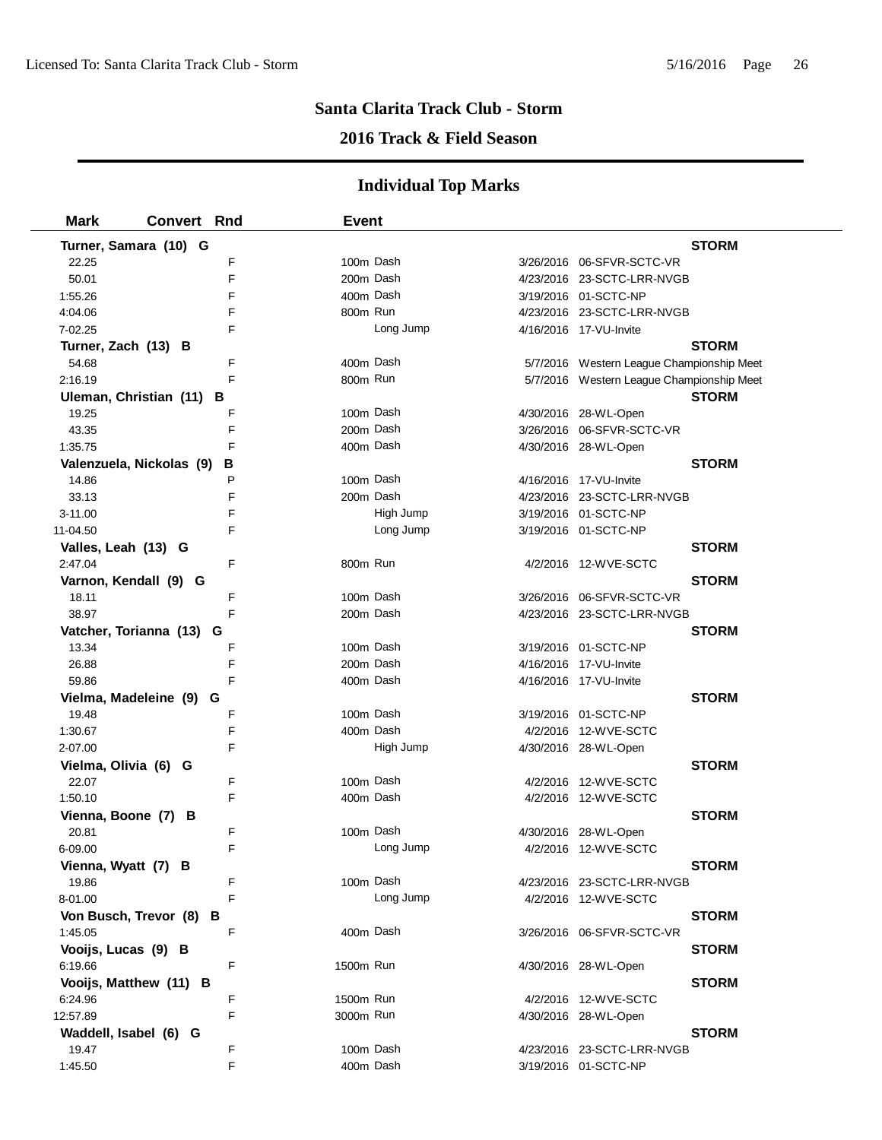## **2016 Track & Field Season**

| <b>Mark</b>            | <b>Convert Rnd</b>            | Event     |           |                                           |
|------------------------|-------------------------------|-----------|-----------|-------------------------------------------|
| Turner, Samara (10) G  |                               |           |           | <b>STORM</b>                              |
| 22.25                  | F                             |           | 100m Dash | 3/26/2016 06-SFVR-SCTC-VR                 |
| 50.01                  | E                             |           | 200m Dash | 4/23/2016 23-SCTC-LRR-NVGB                |
| 1:55.26                | F                             |           | 400m Dash | 3/19/2016 01-SCTC-NP                      |
| 4:04.06                | F                             | 800m Run  |           | 4/23/2016 23-SCTC-LRR-NVGB                |
| 7-02.25                | F                             |           | Long Jump | 4/16/2016 17-VU-Invite                    |
| Turner, Zach (13) B    |                               |           |           | <b>STORM</b>                              |
| 54.68                  | F                             |           | 400m Dash | 5/7/2016 Western League Championship Meet |
| 2:16.19                | F                             | 800m Run  |           | 5/7/2016 Western League Championship Meet |
| Uleman, Christian (11) | в                             |           |           | <b>STORM</b>                              |
| 19.25                  | F                             |           | 100m Dash | 4/30/2016 28-WL-Open                      |
| 43.35                  | F                             |           | 200m Dash | 3/26/2016    06-SFVR-SCTC-VR              |
| 1:35.75                | F                             |           | 400m Dash | 4/30/2016 28-WL-Open                      |
|                        | Valenzuela, Nickolas (9)<br>В |           |           | <b>STORM</b>                              |
| 14.86                  | P                             |           | 100m Dash | 4/16/2016 17-VU-Invite                    |
| 33.13                  | F                             |           | 200m Dash | 4/23/2016 23-SCTC-LRR-NVGB                |
| 3-11.00                | F                             |           | High Jump | 3/19/2016 01-SCTC-NP                      |
| 11-04.50               | F                             |           | Long Jump | 3/19/2016 01-SCTC-NP                      |
| Valles, Leah (13) G    |                               |           |           | <b>STORM</b>                              |
| 2:47.04                | F                             | 800m Run  |           | 4/2/2016 12-WVE-SCTC                      |
| Varnon, Kendall (9) G  |                               |           |           | <b>STORM</b>                              |
| 18.11                  | F                             |           | 100m Dash |                                           |
| 38.97                  | F                             |           | 200m Dash | 4/23/2016 23-SCTC-LRR-NVGB                |
|                        | Vatcher, Torianna (13) G      |           |           | <b>STORM</b>                              |
| 13.34                  | F                             |           | 100m Dash | 3/19/2016 01-SCTC-NP                      |
| 26.88                  | F                             |           | 200m Dash | 4/16/2016 17-VU-Invite                    |
| 59.86                  | F                             |           | 400m Dash | 4/16/2016 17-VU-Invite                    |
|                        | Vielma, Madeleine (9) G       |           |           | <b>STORM</b>                              |
| 19.48                  | F                             |           | 100m Dash | 3/19/2016 01-SCTC-NP                      |
| 1:30.67                | F                             |           | 400m Dash | 4/2/2016 12-WVE-SCTC                      |
| 2-07.00                | F                             |           | High Jump | 4/30/2016 28-WL-Open                      |
| Vielma, Olivia (6) G   |                               |           |           | <b>STORM</b>                              |
| 22.07                  | F                             |           | 100m Dash | 4/2/2016 12-WVE-SCTC                      |
| 1:50.10                | F                             |           | 400m Dash | 4/2/2016 12-WVE-SCTC                      |
| Vienna, Boone (7) B    |                               |           |           | <b>STORM</b>                              |
| 20.81                  | F                             |           | 100m Dash | 4/30/2016 28-WL-Open                      |
| 6-09.00                | F                             |           | Long Jump | 4/2/2016 12-WVE-SCTC                      |
| Vienna, Wyatt (7) B    |                               |           |           | <b>STORM</b>                              |
| 19.86                  | F                             |           | 100m Dash | 4/23/2016 23-SCTC-LRR-NVGB                |
| 8-01.00                | F                             |           | Long Jump | 4/2/2016 12-WVE-SCTC                      |
| Von Busch, Trevor (8)  | в                             |           |           | <b>STORM</b>                              |
| 1:45.05                | F                             |           | 400m Dash | 3/26/2016    06-SFVR-SCTC-VR              |
| Vooijs, Lucas (9) B    |                               |           |           | <b>STORM</b>                              |
| 6:19.66                | F                             | 1500m Run |           | 4/30/2016 28-WL-Open                      |
| Vooijs, Matthew (11) B |                               |           |           | <b>STORM</b>                              |
| 6:24.96                | F                             | 1500m Run |           | 4/2/2016 12-WVE-SCTC                      |
| 12:57.89               | F                             | 3000m Run |           | 4/30/2016 28-WL-Open                      |
| Waddell, Isabel (6) G  |                               |           |           | <b>STORM</b>                              |
| 19.47                  | F                             |           | 100m Dash | 4/23/2016 23-SCTC-LRR-NVGB                |
| 1:45.50                | F                             |           | 400m Dash | 3/19/2016 01-SCTC-NP                      |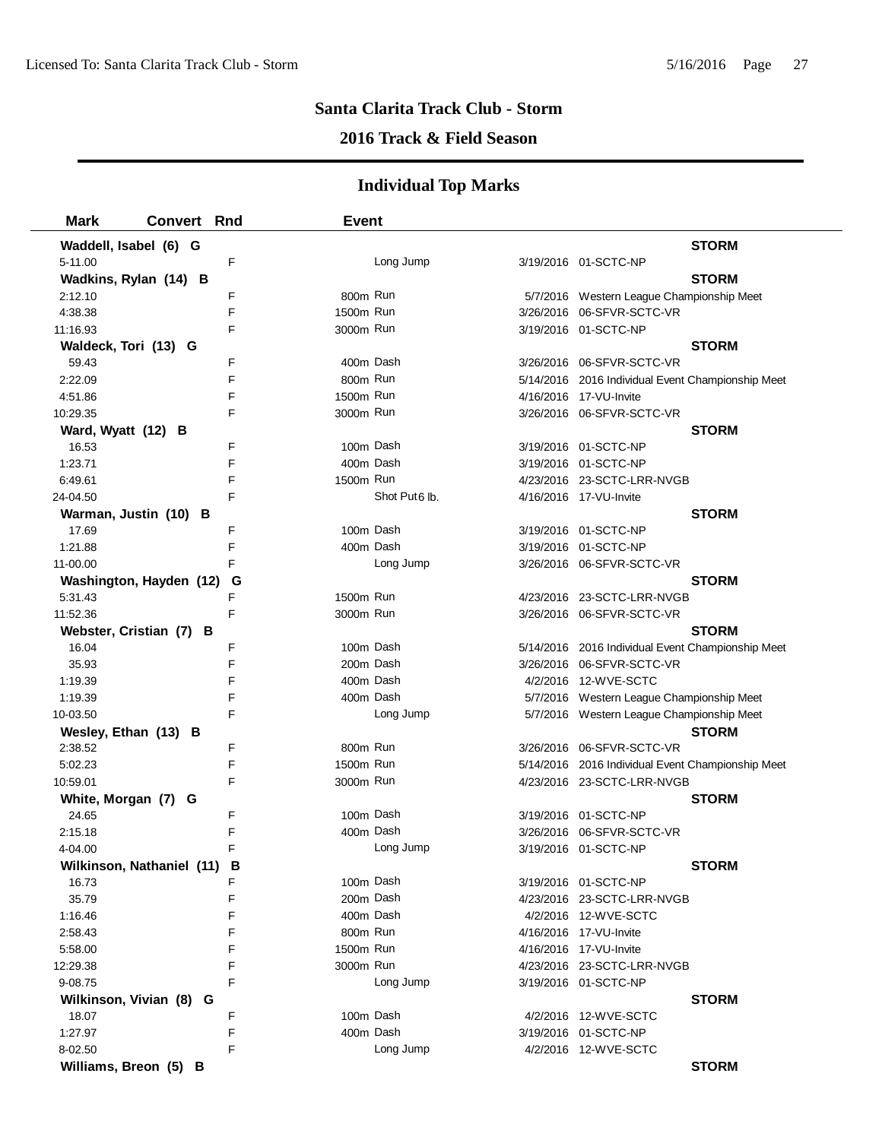## **2016 Track & Field Season**

| <b>Mark</b>                 | <b>Convert Rnd</b> |   | <b>Event</b> |                           |                                                   |  |
|-----------------------------|--------------------|---|--------------|---------------------------|---------------------------------------------------|--|
| Waddell, Isabel (6) G       |                    |   |              |                           | <b>STORM</b>                                      |  |
| 5-11.00                     |                    | F |              | Long Jump                 | 3/19/2016 01-SCTC-NP                              |  |
| Wadkins, Rylan (14) B       |                    |   |              |                           | <b>STORM</b>                                      |  |
| 2:12.10                     |                    | F | 800m Run     |                           | 5/7/2016 Western League Championship Meet         |  |
| 4:38.38                     |                    | F | 1500m Run    |                           | 3/26/2016 06-SFVR-SCTC-VR                         |  |
| 11:16.93                    |                    | F | 3000m Run    |                           | 3/19/2016 01-SCTC-NP                              |  |
| Waldeck, Tori (13) G        |                    |   |              |                           | <b>STORM</b>                                      |  |
| 59.43                       |                    | F | 400m Dash    |                           | 3/26/2016 06-SFVR-SCTC-VR                         |  |
| 2:22.09                     |                    | F | 800m Run     |                           | 5/14/2016 2016 Individual Event Championship Meet |  |
| 4:51.86                     |                    | F | 1500m Run    |                           | 4/16/2016 17-VU-Invite                            |  |
| 10:29.35                    |                    | F | 3000m Run    |                           | 3/26/2016 06-SFVR-SCTC-VR                         |  |
| Ward, Wyatt (12) B          |                    |   |              |                           | <b>STORM</b>                                      |  |
| 16.53                       |                    | F | 100m Dash    |                           | 3/19/2016 01-SCTC-NP                              |  |
| 1:23.71                     |                    | F | 400m Dash    |                           | 3/19/2016 01-SCTC-NP                              |  |
| 6:49.61                     |                    | F | 1500m Run    |                           | 4/23/2016 23-SCTC-LRR-NVGB                        |  |
| 24-04.50                    |                    | E |              | Shot Put <sub>6</sub> lb. | 4/16/2016 17-VU-Invite                            |  |
| Warman, Justin (10) B       |                    |   |              |                           | <b>STORM</b>                                      |  |
| 17.69                       |                    | F | 100m Dash    |                           | 3/19/2016 01-SCTC-NP                              |  |
| 1:21.88                     |                    | F | 400m Dash    |                           | 3/19/2016 01-SCTC-NP                              |  |
| 11-00.00                    |                    | F |              | Long Jump                 | 3/26/2016 06-SFVR-SCTC-VR                         |  |
| Washington, Hayden (12)     |                    | G |              |                           | <b>STORM</b>                                      |  |
| 5:31.43                     |                    | F | 1500m Run    |                           | 4/23/2016 23-SCTC-LRR-NVGB                        |  |
| 11:52.36                    |                    | F | 3000m Run    |                           | 3/26/2016 06-SFVR-SCTC-VR                         |  |
| Webster, Cristian (7) B     |                    |   |              |                           | <b>STORM</b>                                      |  |
| 16.04                       |                    | F | 100m Dash    |                           | 5/14/2016 2016 Individual Event Championship Meet |  |
| 35.93                       |                    | F | 200m Dash    |                           | 3/26/2016 06-SFVR-SCTC-VR                         |  |
| 1:19.39                     |                    | F | 400m Dash    |                           | 4/2/2016 12-WVE-SCTC                              |  |
| 1:19.39                     |                    | F | 400m Dash    |                           | 5/7/2016 Western League Championship Meet         |  |
| 10-03.50                    |                    | F |              | Long Jump                 | 5/7/2016 Western League Championship Meet         |  |
| Wesley, Ethan (13) B        |                    |   |              |                           | <b>STORM</b>                                      |  |
| 2:38.52                     |                    | F | 800m Run     |                           | 3/26/2016 06-SFVR-SCTC-VR                         |  |
| 5:02.23                     |                    | F | 1500m Run    |                           | 5/14/2016 2016 Individual Event Championship Meet |  |
| 10:59.01                    |                    | F | 3000m Run    |                           | 4/23/2016 23-SCTC-LRR-NVGB                        |  |
| White, Morgan (7) G         |                    |   |              |                           | <b>STORM</b>                                      |  |
| 24.65                       |                    | F | 100m Dash    |                           | 3/19/2016 01-SCTC-NP                              |  |
| 2:15.18                     |                    | F | 400m Dash    |                           | 3/26/2016 06-SFVR-SCTC-VR                         |  |
| 4-04.00                     |                    | F |              | Long Jump                 | 3/19/2016 01-SCTC-NP                              |  |
| Wilkinson, Nathaniel (11) B |                    |   |              |                           | <b>STORM</b>                                      |  |
| 16.73                       |                    | F | 100m Dash    |                           | 3/19/2016 01-SCTC-NP                              |  |
| 35.79                       |                    | F | 200m Dash    |                           | 4/23/2016 23-SCTC-LRR-NVGB                        |  |
| 1:16.46                     |                    | F | 400m Dash    |                           | 4/2/2016 12-WVE-SCTC                              |  |
| 2:58.43                     |                    | F | 800m Run     |                           | 4/16/2016 17-VU-Invite                            |  |
| 5:58.00                     |                    | F | 1500m Run    |                           | 4/16/2016 17-VU-Invite                            |  |
| 12:29.38                    |                    | F | 3000m Run    |                           | 4/23/2016 23-SCTC-LRR-NVGB                        |  |
| 9-08.75                     |                    | F |              | Long Jump                 | 3/19/2016 01-SCTC-NP                              |  |
| Wilkinson, Vivian (8) G     |                    |   |              |                           | <b>STORM</b>                                      |  |
| 18.07                       |                    | F | 100m Dash    |                           | 4/2/2016 12-WVE-SCTC                              |  |
| 1:27.97                     |                    | F | 400m Dash    |                           | 3/19/2016 01-SCTC-NP                              |  |
| 8-02.50                     |                    | F |              | Long Jump                 | 4/2/2016 12-WVE-SCTC                              |  |
| Williams, Breon (5) B       |                    |   |              |                           | <b>STORM</b>                                      |  |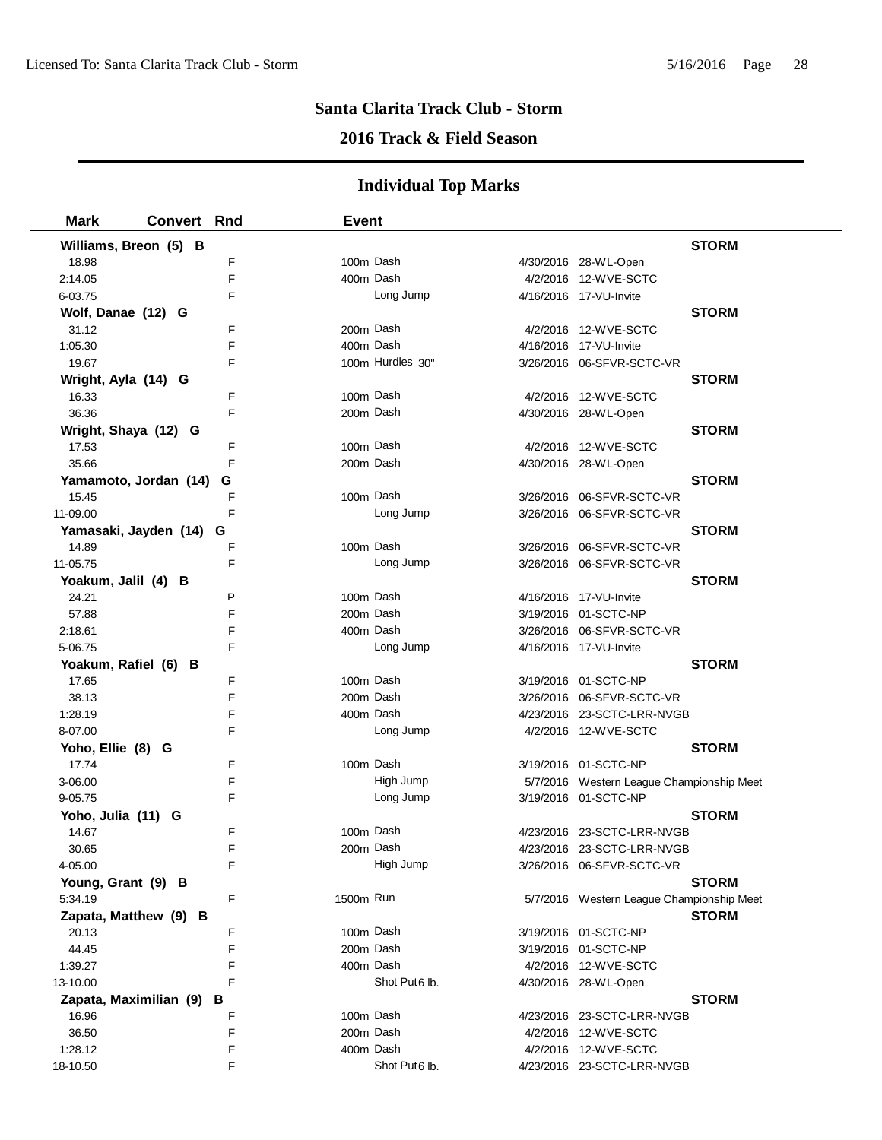## **2016 Track & Field Season**

| <b>Mark</b>            | Convert Rnd |   | <b>Event</b> |                  |                                           |              |
|------------------------|-------------|---|--------------|------------------|-------------------------------------------|--------------|
| Williams, Breon (5) B  |             |   |              |                  |                                           | <b>STORM</b> |
| 18.98                  |             | F |              | 100m Dash        | 4/30/2016 28-WL-Open                      |              |
| 2:14.05                |             | F |              | 400m Dash        | 4/2/2016 12-WVE-SCTC                      |              |
| 6-03.75                |             | F |              | Long Jump        | 4/16/2016 17-VU-Invite                    |              |
| Wolf, Danae (12) G     |             |   |              |                  |                                           | <b>STORM</b> |
| 31.12                  |             | F |              | 200m Dash        | 4/2/2016 12-WVE-SCTC                      |              |
| 1:05.30                |             | F |              | 400m Dash        | 4/16/2016 17-VU-Invite                    |              |
| 19.67                  |             | F |              | 100m Hurdles 30" | 3/26/2016 06-SFVR-SCTC-VR                 |              |
| Wright, Ayla (14) G    |             |   |              |                  |                                           | <b>STORM</b> |
| 16.33                  |             | F | 100m Dash    |                  | 4/2/2016 12-WVE-SCTC                      |              |
| 36.36                  |             | F |              | 200m Dash        | 4/30/2016 28-WL-Open                      |              |
| Wright, Shaya (12) G   |             |   |              |                  |                                           | <b>STORM</b> |
| 17.53                  |             | F |              | 100m Dash        | 4/2/2016 12-WVE-SCTC                      |              |
| 35.66                  |             | F |              | 200m Dash        | 4/30/2016 28-WL-Open                      |              |
| Yamamoto, Jordan (14)  |             | G |              |                  |                                           | <b>STORM</b> |
| 15.45                  |             | F | 100m Dash    |                  | 3/26/2016 06-SFVR-SCTC-VR                 |              |
| 11-09.00               |             | F |              | Long Jump        | 3/26/2016 06-SFVR-SCTC-VR                 |              |
| Yamasaki, Jayden (14)  |             | G |              |                  |                                           | <b>STORM</b> |
| 14.89                  |             | F | 100m Dash    |                  | 3/26/2016 06-SFVR-SCTC-VR                 |              |
| 11-05.75               |             | F |              | Long Jump        | 3/26/2016 06-SFVR-SCTC-VR                 |              |
| Yoakum, Jalil (4) B    |             |   |              |                  |                                           | <b>STORM</b> |
| 24.21                  |             | P | 100m Dash    |                  | 4/16/2016 17-VU-Invite                    |              |
| 57.88                  |             | F |              | 200m Dash        | 3/19/2016 01-SCTC-NP                      |              |
| 2:18.61                |             | F |              | 400m Dash        | 3/26/2016 06-SFVR-SCTC-VR                 |              |
| 5-06.75                |             | F |              | Long Jump        | 4/16/2016 17-VU-Invite                    |              |
| Yoakum, Rafiel (6) B   |             |   |              |                  |                                           | <b>STORM</b> |
| 17.65                  |             | F |              | 100m Dash        | 3/19/2016 01-SCTC-NP                      |              |
| 38.13                  |             | F |              | 200m Dash        | 3/26/2016 06-SFVR-SCTC-VR                 |              |
| 1:28.19                |             | F |              | 400m Dash        | 4/23/2016 23-SCTC-LRR-NVGB                |              |
| 8-07.00                |             | F |              | Long Jump        | 4/2/2016 12-WVE-SCTC                      |              |
| Yoho, Ellie (8) G      |             |   |              |                  |                                           | <b>STORM</b> |
| 17.74                  |             | F |              | 100m Dash        | 3/19/2016 01-SCTC-NP                      |              |
| 3-06.00                |             | F |              | High Jump        | 5/7/2016 Western League Championship Meet |              |
| $9 - 05.75$            |             | F |              | Long Jump        | 3/19/2016 01-SCTC-NP                      |              |
| Yoho, Julia (11) G     |             |   |              |                  |                                           | <b>STORM</b> |
| 14.67                  |             | F |              | 100m Dash        | 4/23/2016 23-SCTC-LRR-NVGB                |              |
| 30.65                  |             | F |              | 200m Dash        | 4/23/2016 23-SCTC-LRR-NVGB                |              |
| 4-05.00                |             | F |              | High Jump        | 3/26/2016 06-SFVR-SCTC-VR                 |              |
| Young, Grant (9) B     |             |   |              |                  |                                           | <b>STORM</b> |
| 5:34.19                |             | F | 1500m Run    |                  | 5/7/2016 Western League Championship Meet |              |
| Zapata, Matthew (9) B  |             |   |              |                  |                                           | <b>STORM</b> |
| 20.13                  |             | F |              | 100m Dash        | 3/19/2016 01-SCTC-NP                      |              |
| 44.45                  |             | F | 200m Dash    |                  | 3/19/2016 01-SCTC-NP                      |              |
| 1:39.27                |             | F |              | 400m Dash        | 4/2/2016 12-WVE-SCTC                      |              |
| 13-10.00               |             | F |              | Shot Put6 lb.    | 4/30/2016 28-WL-Open                      |              |
| Zapata, Maximilian (9) |             | в |              |                  |                                           | <b>STORM</b> |
| 16.96                  |             | F |              | 100m Dash        | 4/23/2016 23-SCTC-LRR-NVGB                |              |
| 36.50                  |             | F |              | 200m Dash        | 4/2/2016 12-WVE-SCTC                      |              |
| 1:28.12                |             | F |              | 400m Dash        | 4/2/2016 12-WVE-SCTC                      |              |
| 18-10.50               |             | F |              | Shot Put6 lb.    | 4/23/2016 23-SCTC-LRR-NVGB                |              |